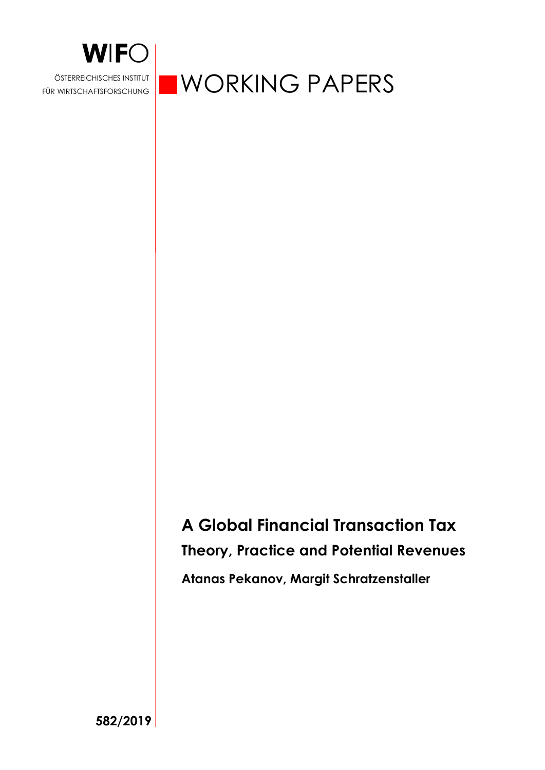

FÜR WIRTSCHAFTSFORSCHUNG

**WORKING PAPERS** 

**A Global Financial Transaction Tax Theory, Practice and Potential Revenues Atanas Pekanov, Margit Schratzenstaller** 

**582/2019**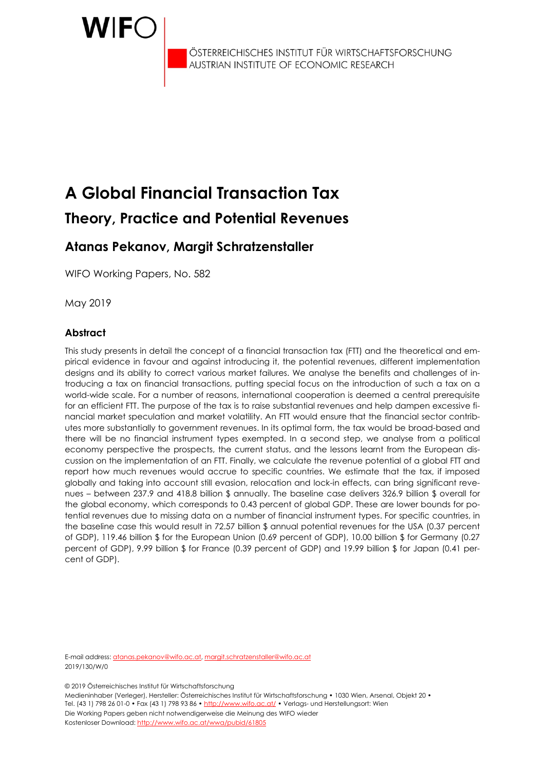

ÖSTERREICHISCHES INSTITUT FÜR WIRTSCHAFTSFORSCHUNG AUSTRIAN INSTITUTE OF ECONOMIC RESEARCH

# **A Global Financial Transaction Tax Theory, Practice and Potential Revenues**

# **Atanas Pekanov, Margit Schratzenstaller**

WIFO Working Papers, No. 582

May 2019

#### **Abstract**

This study presents in detail the concept of a financial transaction tax (FTT) and the theoretical and empirical evidence in favour and against introducing it, the potential revenues, different implementation designs and its ability to correct various market failures. We analyse the benefits and challenges of introducing a tax on financial transactions, putting special focus on the introduction of such a tax on a world-wide scale. For a number of reasons, international cooperation is deemed a central prerequisite for an efficient FTT. The purpose of the tax is to raise substantial revenues and help dampen excessive financial market speculation and market volatility. An FTT would ensure that the financial sector contributes more substantially to government revenues. In its optimal form, the tax would be broad-based and there will be no financial instrument types exempted. In a second step, we analyse from a political economy perspective the prospects, the current status, and the lessons learnt from the European discussion on the implementation of an FTT. Finally, we calculate the revenue potential of a global FTT and report how much revenues would accrue to specific countries. We estimate that the tax, if imposed globally and taking into account still evasion, relocation and lock-in effects, can bring significant revenues – between 237.9 and 418.8 billion \$ annually. The baseline case delivers 326.9 billion \$ overall for the global economy, which corresponds to 0.43 percent of global GDP. These are lower bounds for potential revenues due to missing data on a number of financial instrument types. For specific countries, in the baseline case this would result in 72.57 billion \$ annual potential revenues for the USA (0.37 percent of GDP), 119.46 billion \$ for the European Union (0.69 percent of GDP), 10.00 billion \$ for Germany (0.27 percent of GDP), 9.99 billion \$ for France (0.39 percent of GDP) and 19.99 billion \$ for Japan (0.41 percent of GDP).

E-mail address: atanas.pekanov@wifo.ac.at, margit.schratzenstaller@wifo.ac.at 2019/130/W/0

© 2019 Österreichisches Institut für Wirtschaftsforschung

Medieninhaber (Verleger), Hersteller: Österreichisches Institut für Wirtschaftsforschung • 1030 Wien, Arsenal, Objekt 20 • Tel. (43 1) 798 26 01-0 • Fax (43 1) 798 93 86 • http://www.wifo.ac.at/ • Verlags- und Herstellungsort: Wien Die Working Papers geben nicht notwendigerweise die Meinung des WIFO wieder Kostenloser Download: http://www.wifo.ac.at/wwa/pubid/61805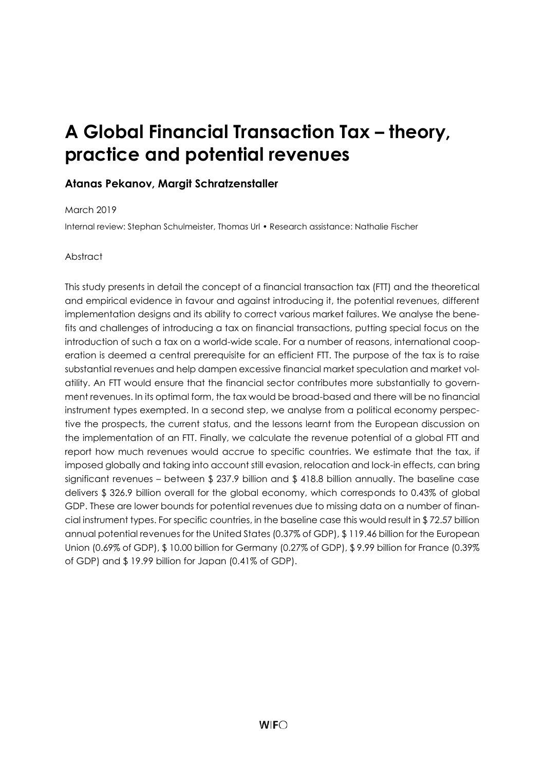# **A Global Financial Transaction Tax – theory, practice and potential revenues**

## **Atanas Pekanov, Margit Schratzenstaller**

#### March 2019

Internal review: Stephan Schulmeister, Thomas Url • Research assistance: Nathalie Fischer

#### Abstract

This study presents in detail the concept of a financial transaction tax (FTT) and the theoretical and empirical evidence in favour and against introducing it, the potential revenues, different implementation designs and its ability to correct various market failures. We analyse the benefits and challenges of introducing a tax on financial transactions, putting special focus on the introduction of such a tax on a world-wide scale. For a number of reasons, international cooperation is deemed a central prerequisite for an efficient FTT. The purpose of the tax is to raise substantial revenues and help dampen excessive financial market speculation and market volatility. An FTT would ensure that the financial sector contributes more substantially to government revenues. In its optimal form, the tax would be broad-based and there will be no financial instrument types exempted. In a second step, we analyse from a political economy perspective the prospects, the current status, and the lessons learnt from the European discussion on the implementation of an FTT. Finally, we calculate the revenue potential of a global FTT and report how much revenues would accrue to specific countries. We estimate that the tax, if imposed globally and taking into account still evasion, relocation and lock-in effects, can bring significant revenues – between \$ 237.9 billion and \$ 418.8 billion annually. The baseline case delivers \$ 326.9 billion overall for the global economy, which corresponds to 0.43% of global GDP. These are lower bounds for potential revenues due to missing data on a number of financial instrument types. For specific countries, in the baseline case this would result in \$ 72.57 billion annual potential revenues for the United States (0.37% of GDP), \$ 119.46 billion for the European Union (0.69% of GDP), \$ 10.00 billion for Germany (0.27% of GDP), \$ 9.99 billion for France (0.39% of GDP) and \$ 19.99 billion for Japan (0.41% of GDP).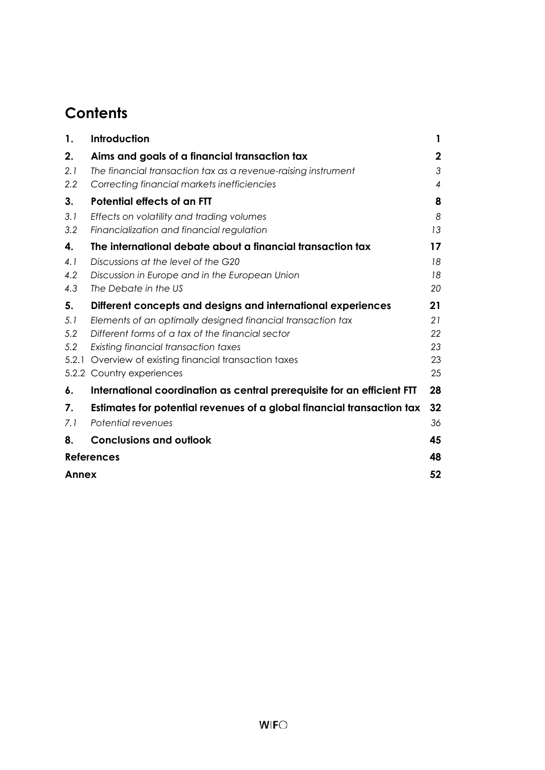# **Contents**

| Introduction                                                           | 1                                                                                                                                                                                                                                                                            |
|------------------------------------------------------------------------|------------------------------------------------------------------------------------------------------------------------------------------------------------------------------------------------------------------------------------------------------------------------------|
| Aims and goals of a financial transaction tax                          | $\mathbf 2$                                                                                                                                                                                                                                                                  |
| The financial transaction tax as a revenue-raising instrument          | 3                                                                                                                                                                                                                                                                            |
| Correcting financial markets inefficiencies                            | $\overline{4}$                                                                                                                                                                                                                                                               |
| <b>Potential effects of an FTT</b>                                     | 8                                                                                                                                                                                                                                                                            |
| Effects on volatility and trading volumes                              | 8                                                                                                                                                                                                                                                                            |
| Financialization and financial regulation                              | 13                                                                                                                                                                                                                                                                           |
| The international debate about a financial transaction tax             | 17                                                                                                                                                                                                                                                                           |
| Discussions at the level of the G20                                    | 18                                                                                                                                                                                                                                                                           |
| Discussion in Europe and in the European Union                         | 18                                                                                                                                                                                                                                                                           |
|                                                                        | 20                                                                                                                                                                                                                                                                           |
| Different concepts and designs and international experiences           | 21                                                                                                                                                                                                                                                                           |
| Elements of an optimally designed financial transaction tax            | 21                                                                                                                                                                                                                                                                           |
|                                                                        | 22                                                                                                                                                                                                                                                                           |
|                                                                        | 23                                                                                                                                                                                                                                                                           |
|                                                                        | 23                                                                                                                                                                                                                                                                           |
|                                                                        | 25                                                                                                                                                                                                                                                                           |
|                                                                        | 28                                                                                                                                                                                                                                                                           |
| Estimates for potential revenues of a global financial transaction tax | 32                                                                                                                                                                                                                                                                           |
| Potential revenues                                                     | 36                                                                                                                                                                                                                                                                           |
| <b>Conclusions and outlook</b>                                         | 45                                                                                                                                                                                                                                                                           |
| <b>References</b>                                                      | 48                                                                                                                                                                                                                                                                           |
| Annex                                                                  | 52                                                                                                                                                                                                                                                                           |
|                                                                        | The Debate in the US<br>Different forms of a tax of the financial sector<br>Existing financial transaction taxes<br>Overview of existing financial transaction taxes<br>5.2.2 Country experiences<br>International coordination as central prerequisite for an efficient FTT |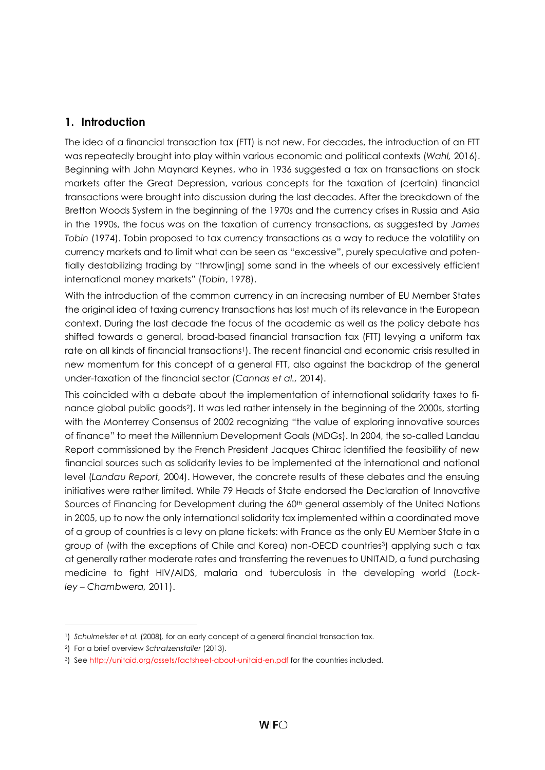# <span id="page-5-0"></span>**1. Introduction**

The idea of a financial transaction tax (FTT) is not new. For decades, the introduction of an FTT was repeatedly brought into play within various economic and political contexts (*Wahl,* 2016). Beginning with John Maynard Keynes, who in 1936 suggested a tax on transactions on stock markets after the Great Depression, various concepts for the taxation of (certain) financial transactions were brought into discussion during the last decades. After the breakdown of the Bretton Woods System in the beginning of the 1970s and the currency crises in Russia and Asia in the 1990s, the focus was on the taxation of currency transactions, as suggested by *James Tobin* (1974). Tobin proposed to tax currency transactions as a way to reduce the volatility on currency markets and to limit what can be seen as "excessive", purely speculative and potentially destabilizing trading by "throw[ing] some sand in the wheels of our excessively efficient international money markets" (*Tobin*, 1978).

With the introduction of the common currency in an increasing number of EU Member States the original idea of taxing currency transactions has lost much of its relevance in the European context. During the last decade the focus of the academic as well as the policy debate has shifted towards a general, broad-based financial transaction tax (FTT) levying a uniform tax rate on all kinds of financial transactions<sup>1</sup>). The recent financial and economic crisis resulted in new momentum for this concept of a general FTT, also against the backdrop of the general under-taxation of the financial sector (*Cannas et al.,* 2014).

This coincided with a debate about the implementation of international solidarity taxes to finance global public goods2). It was led rather intensely in the beginning of the 2000s, starting with the Monterrey Consensus of 2002 recognizing "the value of exploring innovative sources of finance" to meet the Millennium Development Goals (MDGs). In 2004, the so-called Landau Report commissioned by the French President Jacques Chirac identified the feasibility of new financial sources such as solidarity levies to be implemented at the international and national level (*Landau Report,* 2004). However, the concrete results of these debates and the ensuing initiatives were rather limited. While 79 Heads of State endorsed the Declaration of Innovative Sources of Financing for Development during the 60<sup>th</sup> general assembly of the United Nations in 2005, up to now the only international solidarity tax implemented within a coordinated move of a group of countries is a levy on plane tickets: with France as the only EU Member State in a group of (with the exceptions of Chile and Korea) non-OECD countries3) applying such a tax at generally rather moderate rates and transferring the revenues to UNITAID, a fund purchasing medicine to fight HIV/AIDS, malaria and tuberculosis in the developing world (*Lockley – Chambwera,* 2011).

l

<sup>1</sup>) *Schulmeister et al.* (2008)*,* for an early concept of a general financial transaction tax.

<sup>2</sup>) For a brief overview *Schratzenstaller* (2013).

<sup>&</sup>lt;sup>3</sup>) Se[e http://unitaid.org/assets/factsheet-about-unitaid-en.pdf](http://unitaid.org/assets/factsheet-about-unitaid-en.pdf) for the countries included.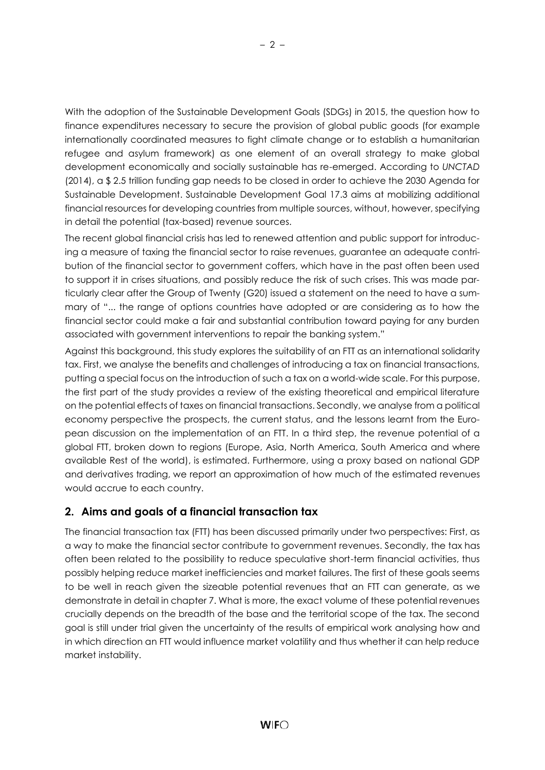With the adoption of the Sustainable Development Goals (SDGs) in 2015, the question how to finance expenditures necessary to secure the provision of global public goods (for example internationally coordinated measures to fight climate change or to establish a humanitarian refugee and asylum framework) as one element of an overall strategy to make global development economically and socially sustainable has re-emerged. According to *UNCTAD* (2014), a \$ 2.5 trillion funding gap needs to be closed in order to achieve the 2030 Agenda for Sustainable Development. Sustainable Development Goal 17.3 aims at mobilizing additional financial resources for developing countries from multiple sources, without, however, specifying in detail the potential (tax-based) revenue sources.

The recent global financial crisis has led to renewed attention and public support for introducing a measure of taxing the financial sector to raise revenues, guarantee an adequate contribution of the financial sector to government coffers, which have in the past often been used to support it in crises situations, and possibly reduce the risk of such crises. This was made particularly clear after the Group of Twenty (G20) issued a statement on the need to have a summary of "... the range of options countries have adopted or are considering as to how the financial sector could make a fair and substantial contribution toward paying for any burden associated with government interventions to repair the banking system."

Against this background, this study explores the suitability of an FTT as an international solidarity tax. First, we analyse the benefits and challenges of introducing a tax on financial transactions, putting a special focus on the introduction of such a tax on a world-wide scale. For this purpose, the first part of the study provides a review of the existing theoretical and empirical literature on the potential effects of taxes on financial transactions. Secondly, we analyse from a political economy perspective the prospects, the current status, and the lessons learnt from the European discussion on the implementation of an FTT. In a third step, the revenue potential of a global FTT, broken down to regions (Europe, Asia, North America, South America and where available Rest of the world), is estimated. Furthermore, using a proxy based on national GDP and derivatives trading, we report an approximation of how much of the estimated revenues would accrue to each country.

# <span id="page-6-0"></span>**2. Aims and goals of a financial transaction tax**

The financial transaction tax (FTT) has been discussed primarily under two perspectives: First, as a way to make the financial sector contribute to government revenues. Secondly, the tax has often been related to the possibility to reduce speculative short-term financial activities, thus possibly helping reduce market inefficiencies and market failures. The first of these goals seems to be well in reach given the sizeable potential revenues that an FTT can generate, as we demonstrate in detail in chapter 7. What is more, the exact volume of these potential revenues crucially depends on the breadth of the base and the territorial scope of the tax. The second goal is still under trial given the uncertainty of the results of empirical work analysing how and in which direction an FTT would influence market volatility and thus whether it can help reduce market instability.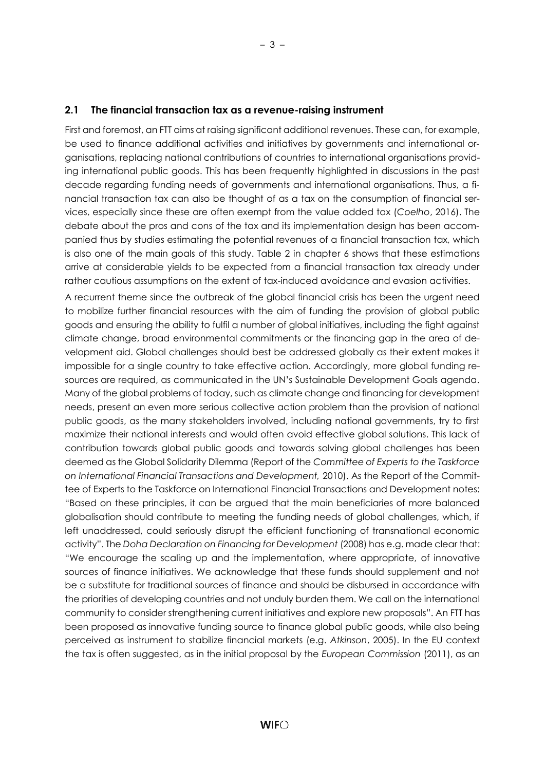#### <span id="page-7-0"></span>**2.1 The financial transaction tax as a revenue-raising instrument**

First and foremost, an FTT aims at raising significant additional revenues. These can, for example, be used to finance additional activities and initiatives by governments and international organisations, replacing national contributions of countries to international organisations providing international public goods. This has been frequently highlighted in discussions in the past decade regarding funding needs of governments and international organisations. Thus, a financial transaction tax can also be thought of as a tax on the consumption of financial services, especially since these are often exempt from the value added tax (*Coelho*, 2016). The debate about the pros and cons of the tax and its implementation design has been accompanied thus by studies estimating the potential revenues of a financial transaction tax, which is also one of the main goals of this study. Table 2 in chapter 6 shows that these estimations arrive at considerable yields to be expected from a financial transaction tax already under rather cautious assumptions on the extent of tax-induced avoidance and evasion activities.

A recurrent theme since the outbreak of the global financial crisis has been the urgent need to mobilize further financial resources with the aim of funding the provision of global public goods and ensuring the ability to fulfil a number of global initiatives, including the fight against climate change, broad environmental commitments or the financing gap in the area of development aid. Global challenges should best be addressed globally as their extent makes it impossible for a single country to take effective action. Accordingly, more global funding resources are required, as communicated in the UN's Sustainable Development Goals agenda. Many of the global problems of today, such as climate change and financing for development needs, present an even more serious collective action problem than the provision of national public goods, as the many stakeholders involved, including national governments, try to first maximize their national interests and would often avoid effective global solutions. This lack of contribution towards global public goods and towards solving global challenges has been deemed as the Global Solidarity Dilemma (Report of the *Committee of Experts to the Taskforce on International Financial Transactions and Development,* 2010). As the Report of the Committee of Experts to the Taskforce on International Financial Transactions and Development notes: "Based on these principles, it can be argued that the main beneficiaries of more balanced globalisation should contribute to meeting the funding needs of global challenges, which, if left unaddressed, could seriously disrupt the efficient functioning of transnational economic activity". The *Doha Declaration on Financing for Development* (2008) has e.g. made clear that: "We encourage the scaling up and the implementation, where appropriate, of innovative sources of finance initiatives. We acknowledge that these funds should supplement and not be a substitute for traditional sources of finance and should be disbursed in accordance with the priorities of developing countries and not unduly burden them. We call on the international community to consider strengthening current initiatives and explore new proposals". An FTT has been proposed as innovative funding source to finance global public goods, while also being perceived as instrument to stabilize financial markets (e.g. *Atkinson*, 2005). In the EU context the tax is often suggested, as in the initial proposal by the *European Commission* (2011), as an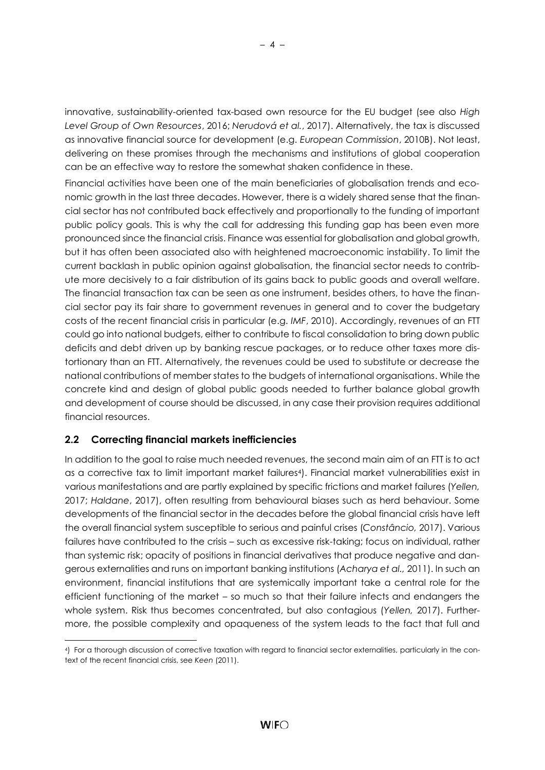innovative, sustainability-oriented tax-based own resource for the EU budget (see also *High Level Group of Own Resources*, 2016; *Nerudová et al.*, 2017). Alternatively, the tax is discussed as innovative financial source for development (e.g. *European Commission*, 2010B). Not least, delivering on these promises through the mechanisms and institutions of global cooperation can be an effective way to restore the somewhat shaken confidence in these.

Financial activities have been one of the main beneficiaries of globalisation trends and economic growth in the last three decades. However, there is a widely shared sense that the financial sector has not contributed back effectively and proportionally to the funding of important public policy goals. This is why the call for addressing this funding gap has been even more pronounced since the financial crisis. Finance was essential for globalisation and global growth, but it has often been associated also with heightened macroeconomic instability. To limit the current backlash in public opinion against globalisation, the financial sector needs to contribute more decisively to a fair distribution of its gains back to public goods and overall welfare. The financial transaction tax can be seen as one instrument, besides others, to have the financial sector pay its fair share to government revenues in general and to cover the budgetary costs of the recent financial crisis in particular (e.g. *IMF*, 2010). Accordingly, revenues of an FTT could go into national budgets, either to contribute to fiscal consolidation to bring down public deficits and debt driven up by banking rescue packages, or to reduce other taxes more distortionary than an FTT. Alternatively, the revenues could be used to substitute or decrease the national contributions of member states to the budgets of international organisations. While the concrete kind and design of global public goods needed to further balance global growth and development of course should be discussed, in any case their provision requires additional financial resources.

## <span id="page-8-0"></span>**2.2 Correcting financial markets inefficiencies**

l

In addition to the goal to raise much needed revenues, the second main aim of an FTT is to act as a corrective tax to limit important market failures<sup>4</sup>). Financial market vulnerabilities exist in various manifestations and are partly explained by specific frictions and market failures (*Yellen,* 2017; *Haldane*, 2017), often resulting from behavioural biases such as herd behaviour. Some developments of the financial sector in the decades before the global financial crisis have left the overall financial system susceptible to serious and painful crises (*Constâncio,* 2017). Various failures have contributed to the crisis – such as excessive risk-taking; focus on individual, rather than systemic risk; opacity of positions in financial derivatives that produce negative and dangerous externalities and runs on important banking institutions (*Acharya et al.,* 2011). In such an environment, financial institutions that are systemically important take a central role for the efficient functioning of the market – so much so that their failure infects and endangers the whole system. Risk thus becomes concentrated, but also contagious (*Yellen,* 2017). Furthermore, the possible complexity and opaqueness of the system leads to the fact that full and

<sup>4</sup>) For a thorough discussion of corrective taxation with regard to financial sector externalities, particularly in the context of the recent financial crisis, see *Keen* (2011).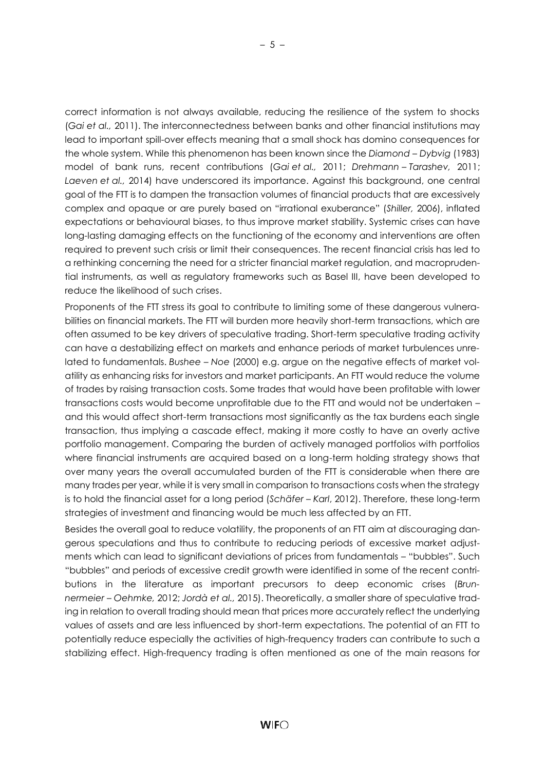correct information is not always available, reducing the resilience of the system to shocks (*Gai et al.,* 2011). The interconnectedness between banks and other financial institutions may lead to important spill-over effects meaning that a small shock has domino consequences for the whole system. While this phenomenon has been known since the *Diamond – Dybvig* (1983) model of bank runs, recent contributions (*Gai et al.,* 2011; *Drehmann – Tarashev,* 2011; *Laeven et al.,* 2014) have underscored its importance. Against this background, one central goal of the FTT is to dampen the transaction volumes of financial products that are excessively complex and opaque or are purely based on "irrational exuberance" (*Shiller,* 2006), inflated expectations or behavioural biases, to thus improve market stability. Systemic crises can have long-lasting damaging effects on the functioning of the economy and interventions are often required to prevent such crisis or limit their consequences. The recent financial crisis has led to a rethinking concerning the need for a stricter financial market regulation, and macroprudential instruments, as well as regulatory frameworks such as Basel III, have been developed to reduce the likelihood of such crises.

Proponents of the FTT stress its goal to contribute to limiting some of these dangerous vulnerabilities on financial markets. The FTT will burden more heavily short-term transactions, which are often assumed to be key drivers of speculative trading. Short-term speculative trading activity can have a destabilizing effect on markets and enhance periods of market turbulences unrelated to fundamentals. *Bushee – Noe* (2000) e.g. argue on the negative effects of market volatility as enhancing risks for investors and market participants. An FTT would reduce the volume of trades by raising transaction costs. Some trades that would have been profitable with lower transactions costs would become unprofitable due to the FTT and would not be undertaken – and this would affect short-term transactions most significantly as the tax burdens each single transaction, thus implying a cascade effect, making it more costly to have an overly active portfolio management. Comparing the burden of actively managed portfolios with portfolios where financial instruments are acquired based on a long-term holding strategy shows that over many years the overall accumulated burden of the FTT is considerable when there are many trades per year, while it is very small in comparison to transactions costs when the strategy is to hold the financial asset for a long period (*Schäfer – Karl*, 2012). Therefore, these long-term strategies of investment and financing would be much less affected by an FTT.

Besides the overall goal to reduce volatility, the proponents of an FTT aim at discouraging dangerous speculations and thus to contribute to reducing periods of excessive market adjustments which can lead to significant deviations of prices from fundamentals – "bubbles". Such "bubbles" and periods of excessive credit growth were identified in some of the recent contributions in the literature as important precursors to deep economic crises (*Brunnermeier – Oehmke,* 2012; *Jordà et al.,* 2015). Theoretically, a smaller share of speculative trading in relation to overall trading should mean that prices more accurately reflect the underlying values of assets and are less influenced by short-term expectations. The potential of an FTT to potentially reduce especially the activities of high-frequency traders can contribute to such a stabilizing effect. High-frequency trading is often mentioned as one of the main reasons for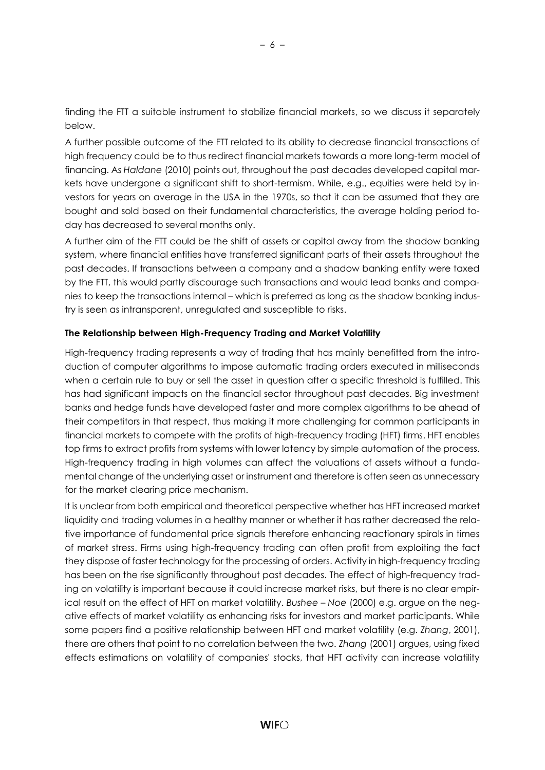finding the FTT a suitable instrument to stabilize financial markets, so we discuss it separately below.

A further possible outcome of the FTT related to its ability to decrease financial transactions of high frequency could be to thus redirect financial markets towards a more long-term model of financing. As *Haldane* (2010) points out, throughout the past decades developed capital markets have undergone a significant shift to short-termism. While, e.g., equities were held by investors for years on average in the USA in the 1970s, so that it can be assumed that they are bought and sold based on their fundamental characteristics, the average holding period today has decreased to several months only.

A further aim of the FTT could be the shift of assets or capital away from the shadow banking system, where financial entities have transferred significant parts of their assets throughout the past decades. If transactions between a company and a shadow banking entity were taxed by the FTT, this would partly discourage such transactions and would lead banks and companies to keep the transactions internal – which is preferred as long as the shadow banking industry is seen as intransparent, unregulated and susceptible to risks.

#### **The Relationship between High-Frequency Trading and Market Volatility**

High-frequency trading represents a way of trading that has mainly benefitted from the introduction of computer algorithms to impose automatic trading orders executed in milliseconds when a certain rule to buy or sell the asset in question after a specific threshold is fulfilled. This has had significant impacts on the financial sector throughout past decades. Big investment banks and hedge funds have developed faster and more complex algorithms to be ahead of their competitors in that respect, thus making it more challenging for common participants in financial markets to compete with the profits of high-frequency trading (HFT) firms. HFT enables top firms to extract profits from systems with lower latency by simple automation of the process. High-frequency trading in high volumes can affect the valuations of assets without a fundamental change of the underlying asset or instrument and therefore is often seen as unnecessary for the market clearing price mechanism.

It is unclear from both empirical and theoretical perspective whether has HFT increased market liquidity and trading volumes in a healthy manner or whether it has rather decreased the relative importance of fundamental price signals therefore enhancing reactionary spirals in times of market stress. Firms using high-frequency trading can often profit from exploiting the fact they dispose of faster technology for the processing of orders. Activity in high-frequency trading has been on the rise significantly throughout past decades. The effect of high-frequency trading on volatility is important because it could increase market risks, but there is no clear empirical result on the effect of HFT on market volatility. *Bushee – Noe* (2000) e.g. argue on the negative effects of market volatility as enhancing risks for investors and market participants. While some papers find a positive relationship between HFT and market volatility (e.g. *Zhang*, 2001), there are others that point to no correlation between the two. *Zhang* (2001) argues, using fixed effects estimations on volatility of companies' stocks, that HFT activity can increase volatility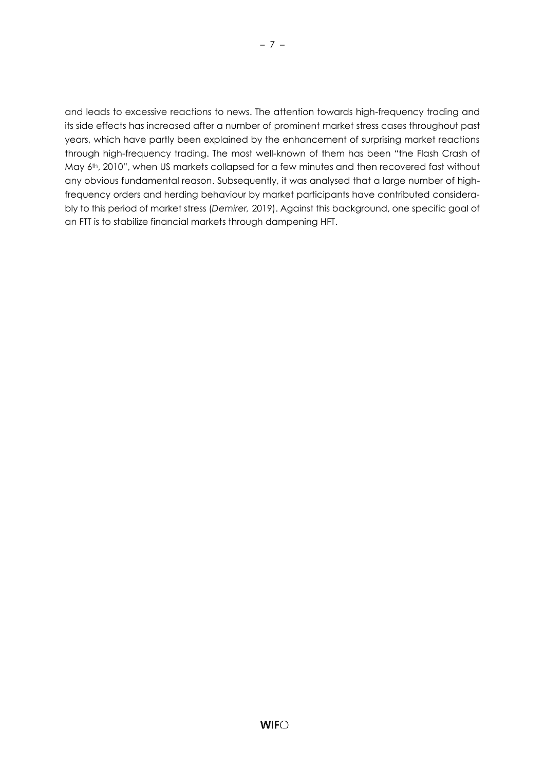and leads to excessive reactions to news. The attention towards high-frequency trading and its side effects has increased after a number of prominent market stress cases throughout past years, which have partly been explained by the enhancement of surprising market reactions through high-frequency trading. The most well-known of them has been "the Flash Crash of May 6<sup>th</sup>, 2010", when US markets collapsed for a few minutes and then recovered fast without any obvious fundamental reason. Subsequently, it was analysed that a large number of highfrequency orders and herding behaviour by market participants have contributed considerably to this period of market stress (*Demirer,* 2019). Against this background, one specific goal of an FTT is to stabilize financial markets through dampening HFT.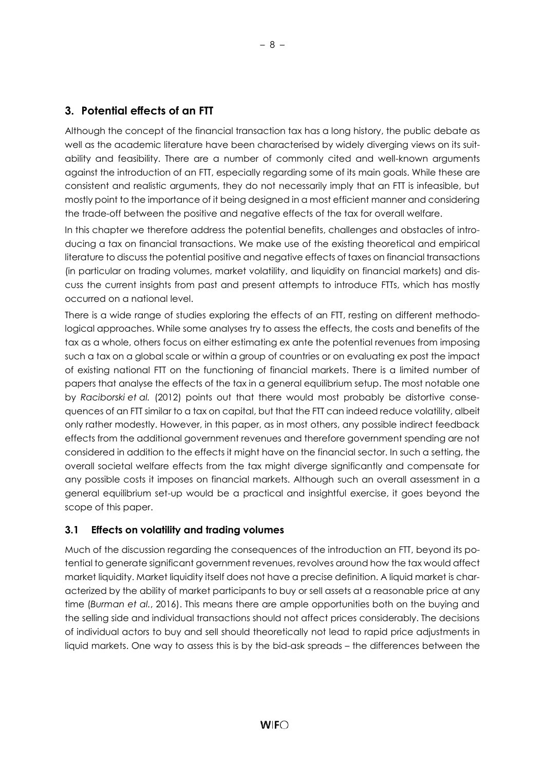## <span id="page-12-0"></span>**3. Potential effects of an FTT**

Although the concept of the financial transaction tax has a long history, the public debate as well as the academic literature have been characterised by widely diverging views on its suitability and feasibility. There are a number of commonly cited and well-known arguments against the introduction of an FTT, especially regarding some of its main goals. While these are consistent and realistic arguments, they do not necessarily imply that an FTT is infeasible, but mostly point to the importance of it being designed in a most efficient manner and considering the trade-off between the positive and negative effects of the tax for overall welfare.

In this chapter we therefore address the potential benefits, challenges and obstacles of introducing a tax on financial transactions. We make use of the existing theoretical and empirical literature to discuss the potential positive and negative effects of taxes on financial transactions (in particular on trading volumes, market volatility, and liquidity on financial markets) and discuss the current insights from past and present attempts to introduce FTTs, which has mostly occurred on a national level.

There is a wide range of studies exploring the effects of an FTT, resting on different methodological approaches. While some analyses try to assess the effects, the costs and benefits of the tax as a whole, others focus on either estimating ex ante the potential revenues from imposing such a tax on a global scale or within a group of countries or on evaluating ex post the impact of existing national FTT on the functioning of financial markets. There is a limited number of papers that analyse the effects of the tax in a general equilibrium setup. The most notable one by *Raciborski et al.* (2012) points out that there would most probably be distortive consequences of an FTT similar to a tax on capital, but that the FTT can indeed reduce volatility, albeit only rather modestly. However, in this paper, as in most others, any possible indirect feedback effects from the additional government revenues and therefore government spending are not considered in addition to the effects it might have on the financial sector. In such a setting, the overall societal welfare effects from the tax might diverge significantly and compensate for any possible costs it imposes on financial markets. Although such an overall assessment in a general equilibrium set-up would be a practical and insightful exercise, it goes beyond the scope of this paper.

## <span id="page-12-1"></span>**3.1 Effects on volatility and trading volumes**

Much of the discussion regarding the consequences of the introduction an FTT, beyond its potential to generate significant government revenues, revolves around how the tax would affect market liquidity. Market liquidity itself does not have a precise definition. A liquid market is characterized by the ability of market participants to buy or sell assets at a reasonable price at any time (*Burman et al.*, 2016). This means there are ample opportunities both on the buying and the selling side and individual transactions should not affect prices considerably. The decisions of individual actors to buy and sell should theoretically not lead to rapid price adjustments in liquid markets. One way to assess this is by the bid-ask spreads – the differences between the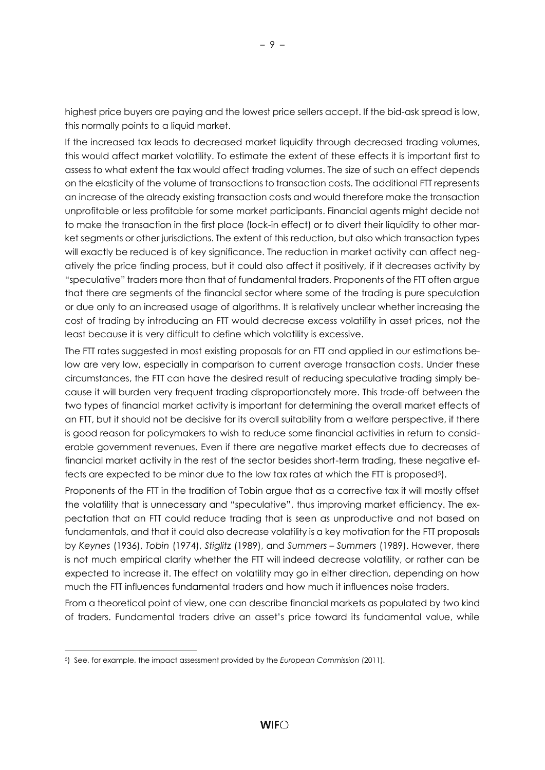highest price buyers are paying and the lowest price sellers accept. If the bid-ask spread is low, this normally points to a liquid market.

If the increased tax leads to decreased market liquidity through decreased trading volumes, this would affect market volatility. To estimate the extent of these effects it is important first to assess to what extent the tax would affect trading volumes. The size of such an effect depends on the elasticity of the volume of transactions to transaction costs. The additional FTT represents an increase of the already existing transaction costs and would therefore make the transaction unprofitable or less profitable for some market participants. Financial agents might decide not to make the transaction in the first place (lock-in effect) or to divert their liquidity to other market segments or other jurisdictions. The extent of this reduction, but also which transaction types will exactly be reduced is of key significance. The reduction in market activity can affect negatively the price finding process, but it could also affect it positively, if it decreases activity by "speculative" traders more than that of fundamental traders. Proponents of the FTT often argue that there are segments of the financial sector where some of the trading is pure speculation or due only to an increased usage of algorithms. It is relatively unclear whether increasing the cost of trading by introducing an FTT would decrease excess volatility in asset prices, not the least because it is very difficult to define which volatility is excessive.

The FTT rates suggested in most existing proposals for an FTT and applied in our estimations below are very low, especially in comparison to current average transaction costs. Under these circumstances, the FTT can have the desired result of reducing speculative trading simply because it will burden very frequent trading disproportionately more. This trade-off between the two types of financial market activity is important for determining the overall market effects of an FTT, but it should not be decisive for its overall suitability from a welfare perspective, if there is good reason for policymakers to wish to reduce some financial activities in return to considerable government revenues. Even if there are negative market effects due to decreases of financial market activity in the rest of the sector besides short-term trading, these negative effects are expected to be minor due to the low tax rates at which the FTT is proposed5).

Proponents of the FTT in the tradition of Tobin argue that as a corrective tax it will mostly offset the volatility that is unnecessary and "speculative", thus improving market efficiency. The expectation that an FTT could reduce trading that is seen as unproductive and not based on fundamentals, and that it could also decrease volatility is a key motivation for the FTT proposals by *Keynes* (1936), *Tobin* (1974), *Stiglitz* (1989), and *Summers – Summers* (1989). However, there is not much empirical clarity whether the FTT will indeed decrease volatility, or rather can be expected to increase it. The effect on volatility may go in either direction, depending on how much the FTT influences fundamental traders and how much it influences noise traders.

From a theoretical point of view, one can describe financial markets as populated by two kind of traders. Fundamental traders drive an asset's price toward its fundamental value, while

l

<sup>5</sup>) See, for example, the impact assessment provided by the *European Commission* (2011).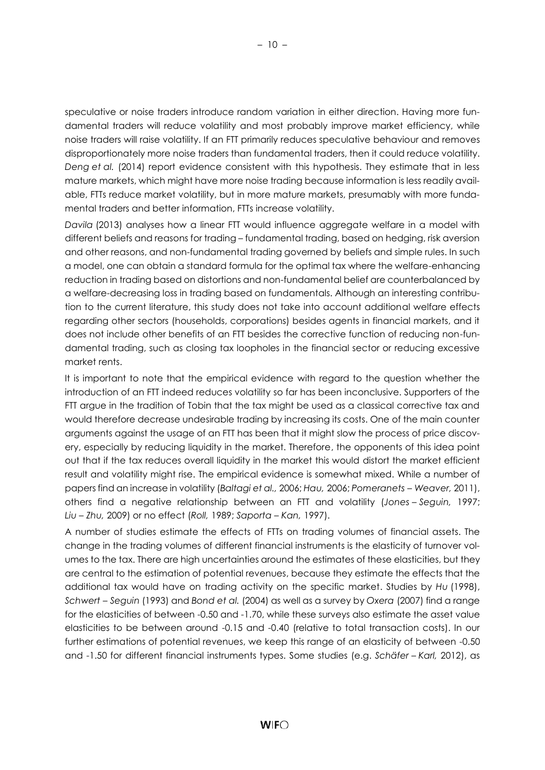speculative or noise traders introduce random variation in either direction. Having more fundamental traders will reduce volatility and most probably improve market efficiency, while noise traders will raise volatility. If an FTT primarily reduces speculative behaviour and removes disproportionately more noise traders than fundamental traders, then it could reduce volatility. *Deng et al.* (2014) report evidence consistent with this hypothesis. They estimate that in less mature markets, which might have more noise trading because information is less readily available, FTTs reduce market volatility, but in more mature markets, presumably with more fundamental traders and better information, FTTs increase volatility.

*Davila* (2013) analyses how a linear FTT would influence aggregate welfare in a model with different beliefs and reasons for trading – fundamental trading, based on hedging, risk aversion and other reasons, and non-fundamental trading governed by beliefs and simple rules. In such a model, one can obtain a standard formula for the optimal tax where the welfare-enhancing reduction in trading based on distortions and non-fundamental belief are counterbalanced by a welfare-decreasing loss in trading based on fundamentals. Although an interesting contribution to the current literature, this study does not take into account additional welfare effects regarding other sectors (households, corporations) besides agents in financial markets, and it does not include other benefits of an FTT besides the corrective function of reducing non-fundamental trading, such as closing tax loopholes in the financial sector or reducing excessive market rents.

It is important to note that the empirical evidence with regard to the question whether the introduction of an FTT indeed reduces volatility so far has been inconclusive. Supporters of the FTT argue in the tradition of Tobin that the tax might be used as a classical corrective tax and would therefore decrease undesirable trading by increasing its costs. One of the main counter arguments against the usage of an FTT has been that it might slow the process of price discovery, especially by reducing liquidity in the market. Therefore, the opponents of this idea point out that if the tax reduces overall liquidity in the market this would distort the market efficient result and volatility might rise. The empirical evidence is somewhat mixed. While a number of papers find an increase in volatility (*Baltagi et al.,* 2006; *Hau,* 2006; *Pomeranets – Weaver,* 2011), others find a negative relationship between an FTT and volatility (*Jones – Seguin,* 1997; *Liu – Zhu,* 2009) or no effect (*Roll,* 1989; *Saporta – Kan,* 1997).

A number of studies estimate the effects of FTTs on trading volumes of financial assets. The change in the trading volumes of different financial instruments is the elasticity of turnover volumes to the tax. There are high uncertainties around the estimates of these elasticities, but they are central to the estimation of potential revenues, because they estimate the effects that the additional tax would have on trading activity on the specific market. Studies by *Hu* (1998), *Schwert – Seguin* (1993) and *Bond et al.* (2004) as well as a survey by *Oxera* (2007) find a range for the elasticities of between -0.50 and -1.70, while these surveys also estimate the asset value elasticities to be between around -0.15 and -0.40 (relative to total transaction costs). In our further estimations of potential revenues, we keep this range of an elasticity of between -0.50 and -1.50 for different financial instruments types. Some studies (e.g. *Schäfer – Karl,* 2012), as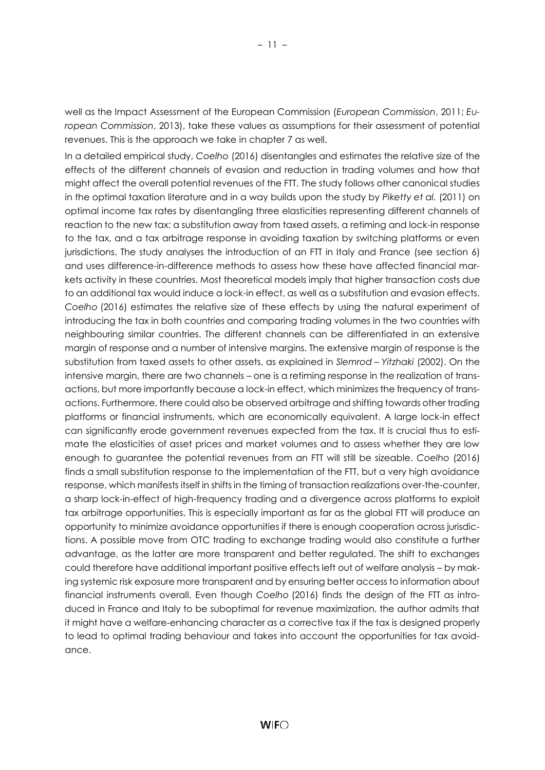well as the Impact Assessment of the European Commission (*European Commission*, 2011; *European Commission*, 2013), take these values as assumptions for their assessment of potential revenues. This is the approach we take in chapter 7 as well.

In a detailed empirical study, *Coelho* (2016) disentangles and estimates the relative size of the effects of the different channels of evasion and reduction in trading volumes and how that might affect the overall potential revenues of the FTT. The study follows other canonical studies in the optimal taxation literature and in a way builds upon the study by *Piketty et al.* (2011) on optimal income tax rates by disentangling three elasticities representing different channels of reaction to the new tax: a substitution away from taxed assets, a retiming and lock-in response to the tax, and a tax arbitrage response in avoiding taxation by switching platforms or even jurisdictions. The study analyses the introduction of an FTT in Italy and France (see section 6) and uses difference-in-difference methods to assess how these have affected financial markets activity in these countries. Most theoretical models imply that higher transaction costs due to an additional tax would induce a lock-in effect, as well as a substitution and evasion effects. *Coelho* (2016) estimates the relative size of these effects by using the natural experiment of introducing the tax in both countries and comparing trading volumes in the two countries with neighbouring similar countries. The different channels can be differentiated in an extensive margin of response and a number of intensive margins. The extensive margin of response is the substitution from taxed assets to other assets, as explained in *Slemrod – Yitzhaki* (2002). On the intensive margin, there are two channels – one is a retiming response in the realization of transactions, but more importantly because a lock-in effect, which minimizes the frequency of transactions. Furthermore, there could also be observed arbitrage and shifting towards other trading platforms or financial instruments, which are economically equivalent. A large lock-in effect can significantly erode government revenues expected from the tax. It is crucial thus to estimate the elasticities of asset prices and market volumes and to assess whether they are low enough to guarantee the potential revenues from an FTT will still be sizeable. *Coelho* (2016) finds a small substitution response to the implementation of the FTT, but a very high avoidance response, which manifests itself in shifts in the timing of transaction realizations over-the-counter, a sharp lock-in-effect of high-frequency trading and a divergence across platforms to exploit tax arbitrage opportunities. This is especially important as far as the global FTT will produce an opportunity to minimize avoidance opportunities if there is enough cooperation across jurisdictions. A possible move from OTC trading to exchange trading would also constitute a further advantage, as the latter are more transparent and better regulated. The shift to exchanges could therefore have additional important positive effects left out of welfare analysis – by making systemic risk exposure more transparent and by ensuring better access to information about financial instruments overall. Even though *Coelho* (2016) finds the design of the FTT as introduced in France and Italy to be suboptimal for revenue maximization, the author admits that it might have a welfare-enhancing character as a corrective tax if the tax is designed properly to lead to optimal trading behaviour and takes into account the opportunities for tax avoidance.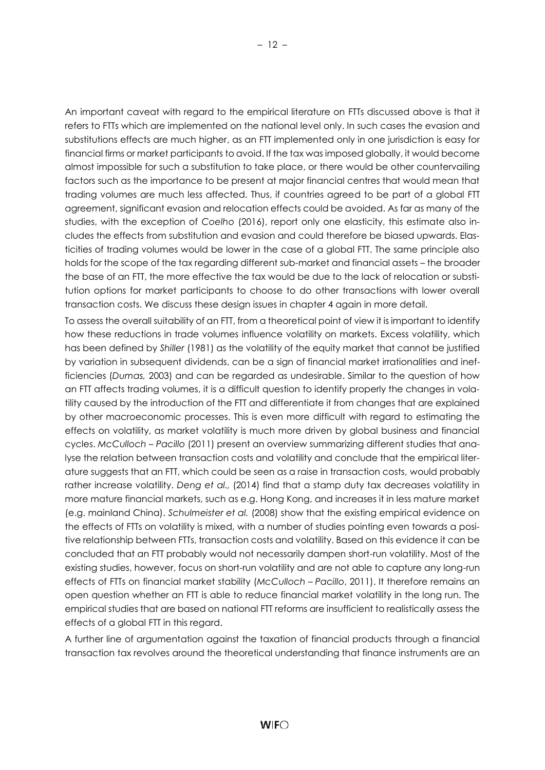An important caveat with regard to the empirical literature on FTTs discussed above is that it refers to FTTs which are implemented on the national level only. In such cases the evasion and substitutions effects are much higher, as an FTT implemented only in one jurisdiction is easy for financial firms or market participants to avoid. If the tax was imposed globally, it would become almost impossible for such a substitution to take place, or there would be other countervailing factors such as the importance to be present at major financial centres that would mean that trading volumes are much less affected. Thus, if countries agreed to be part of a global FTT agreement, significant evasion and relocation effects could be avoided. As far as many of the studies, with the exception of *Coelho* (2016), report only one elasticity, this estimate also includes the effects from substitution and evasion and could therefore be biased upwards. Elasticities of trading volumes would be lower in the case of a global FTT. The same principle also holds for the scope of the tax regarding different sub-market and financial assets – the broader the base of an FTT, the more effective the tax would be due to the lack of relocation or substitution options for market participants to choose to do other transactions with lower overall transaction costs. We discuss these design issues in chapter 4 again in more detail.

To assess the overall suitability of an FTT, from a theoretical point of view it is important to identify how these reductions in trade volumes influence volatility on markets. Excess volatility, which has been defined by *Shiller* (1981) as the volatility of the equity market that cannot be justified by variation in subsequent dividends, can be a sign of financial market irrationalities and inefficiencies (*Dumas,* 2003) and can be regarded as undesirable. Similar to the question of how an FTT affects trading volumes, it is a difficult question to identify properly the changes in volatility caused by the introduction of the FTT and differentiate it from changes that are explained by other macroeconomic processes. This is even more difficult with regard to estimating the effects on volatility, as market volatility is much more driven by global business and financial cycles. *McCulloch – Pacillo* (2011) present an overview summarizing different studies that analyse the relation between transaction costs and volatility and conclude that the empirical literature suggests that an FTT, which could be seen as a raise in transaction costs, would probably rather increase volatility. *Deng et al.,* (2014) find that a stamp duty tax decreases volatility in more mature financial markets, such as e.g. Hong Kong, and increases it in less mature market (e.g. mainland China). *Schulmeister et al.* (2008) show that the existing empirical evidence on the effects of FTTs on volatility is mixed, with a number of studies pointing even towards a positive relationship between FTTs, transaction costs and volatility. Based on this evidence it can be concluded that an FTT probably would not necessarily dampen short-run volatility. Most of the existing studies, however, focus on short-run volatility and are not able to capture any long-run effects of FTTs on financial market stability (*McCulloch – Pacillo*, 2011). It therefore remains an open question whether an FTT is able to reduce financial market volatility in the long run. The empirical studies that are based on national FTT reforms are insufficient to realistically assess the effects of a global FTT in this regard.

A further line of argumentation against the taxation of financial products through a financial transaction tax revolves around the theoretical understanding that finance instruments are an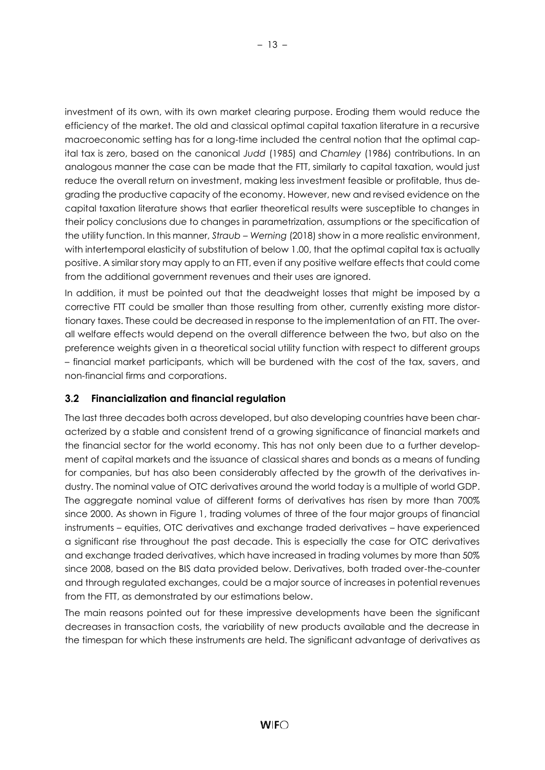investment of its own, with its own market clearing purpose. Eroding them would reduce the efficiency of the market. The old and classical optimal capital taxation literature in a recursive macroeconomic setting has for a long-time included the central notion that the optimal capital tax is zero, based on the canonical *Judd* (1985) and *Chamley* (1986) contributions. In an analogous manner the case can be made that the FTT, similarly to capital taxation, would just reduce the overall return on investment, making less investment feasible or profitable, thus degrading the productive capacity of the economy. However, new and revised evidence on the capital taxation literature shows that earlier theoretical results were susceptible to changes in their policy conclusions due to changes in parametrization, assumptions or the specification of the utility function. In this manner, *Straub – Werning* (2018) show in a more realistic environment, with intertemporal elasticity of substitution of below 1.00, that the optimal capital tax is actually positive. A similar story may apply to an FTT, even if any positive welfare effects that could come from the additional government revenues and their uses are ignored.

In addition, it must be pointed out that the deadweight losses that might be imposed by a corrective FTT could be smaller than those resulting from other, currently existing more distortionary taxes. These could be decreased in response to the implementation of an FTT. The overall welfare effects would depend on the overall difference between the two, but also on the preference weights given in a theoretical social utility function with respect to different groups – financial market participants, which will be burdened with the cost of the tax, savers, and non-financial firms and corporations.

# <span id="page-17-0"></span>**3.2 Financialization and financial regulation**

The last three decades both across developed, but also developing countries have been characterized by a stable and consistent trend of a growing significance of financial markets and the financial sector for the world economy. This has not only been due to a further development of capital markets and the issuance of classical shares and bonds as a means of funding for companies, but has also been considerably affected by the growth of the derivatives industry. The nominal value of OTC derivatives around the world today is a multiple of world GDP. The aggregate nominal value of different forms of derivatives has risen by more than 700% since 2000. As shown in Figure 1, trading volumes of three of the four major groups of financial instruments – equities, OTC derivatives and exchange traded derivatives – have experienced a significant rise throughout the past decade. This is especially the case for OTC derivatives and exchange traded derivatives, which have increased in trading volumes by more than 50% since 2008, based on the BIS data provided below. Derivatives, both traded over-the-counter and through regulated exchanges, could be a major source of increases in potential revenues from the FTT, as demonstrated by our estimations below.

The main reasons pointed out for these impressive developments have been the significant decreases in transaction costs, the variability of new products available and the decrease in the timespan for which these instruments are held. The significant advantage of derivatives as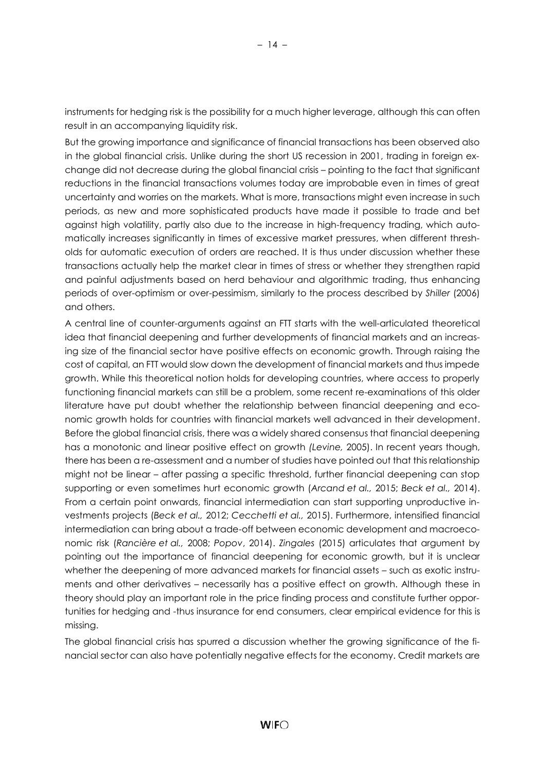instruments for hedging risk is the possibility for a much higher leverage, although this can often result in an accompanying liquidity risk.

But the growing importance and significance of financial transactions has been observed also in the global financial crisis. Unlike during the short US recession in 2001, trading in foreign exchange did not decrease during the global financial crisis – pointing to the fact that significant reductions in the financial transactions volumes today are improbable even in times of great uncertainty and worries on the markets. What is more, transactions might even increase in such periods, as new and more sophisticated products have made it possible to trade and bet against high volatility, partly also due to the increase in high-frequency trading, which automatically increases significantly in times of excessive market pressures, when different thresholds for automatic execution of orders are reached. It is thus under discussion whether these transactions actually help the market clear in times of stress or whether they strengthen rapid and painful adjustments based on herd behaviour and algorithmic trading, thus enhancing periods of over-optimism or over-pessimism, similarly to the process described by *Shiller* (2006) and others.

A central line of counter-arguments against an FTT starts with the well-articulated theoretical idea that financial deepening and further developments of financial markets and an increasing size of the financial sector have positive effects on economic growth. Through raising the cost of capital, an FTT would slow down the development of financial markets and thus impede growth. While this theoretical notion holds for developing countries, where access to properly functioning financial markets can still be a problem, some recent re-examinations of this older literature have put doubt whether the relationship between financial deepening and economic growth holds for countries with financial markets well advanced in their development. Before the global financial crisis, there was a widely shared consensus that financial deepening has a monotonic and linear positive effect on growth *(Levine,* 2005). In recent years though, there has been a re-assessment and a number of studies have pointed out that this relationship might not be linear – after passing a specific threshold, further financial deepening can stop supporting or even sometimes hurt economic growth (*Arcand et al.,* 2015; *Beck et al.,* 2014). From a certain point onwards, financial intermediation can start supporting unproductive investments projects (*Beck et al.,* 2012; *Cecchetti et al.,* 2015). Furthermore, intensified financial intermediation can bring about a trade-off between economic development and macroeconomic risk (*Rancière et al.,* 2008; *Popov*, 2014). *Zingales* (2015) articulates that argument by pointing out the importance of financial deepening for economic growth, but it is unclear whether the deepening of more advanced markets for financial assets – such as exotic instruments and other derivatives – necessarily has a positive effect on growth. Although these in theory should play an important role in the price finding process and constitute further opportunities for hedging and -thus insurance for end consumers, clear empirical evidence for this is missing.

The global financial crisis has spurred a discussion whether the growing significance of the financial sector can also have potentially negative effects for the economy. Credit markets are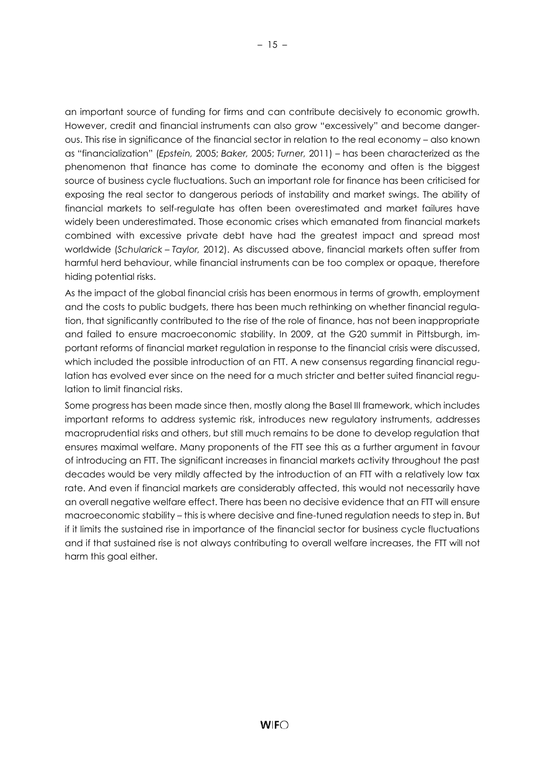an important source of funding for firms and can contribute decisively to economic growth. However, credit and financial instruments can also grow "excessively" and become dangerous. This rise in significance of the financial sector in relation to the real economy – also known as "financialization" (*Epstein,* 2005; *Baker,* 2005; *Turner,* 2011) – has been characterized as the phenomenon that finance has come to dominate the economy and often is the biggest source of business cycle fluctuations. Such an important role for finance has been criticised for exposing the real sector to dangerous periods of instability and market swings. The ability of financial markets to self-regulate has often been overestimated and market failures have widely been underestimated. Those economic crises which emanated from financial markets combined with excessive private debt have had the greatest impact and spread most worldwide (*Schularick – Taylor,* 2012). As discussed above, financial markets often suffer from harmful herd behaviour, while financial instruments can be too complex or opaque, therefore hiding potential risks.

As the impact of the global financial crisis has been enormous in terms of growth, employment and the costs to public budgets, there has been much rethinking on whether financial regulation, that significantly contributed to the rise of the role of finance, has not been inappropriate and failed to ensure macroeconomic stability. In 2009, at the G20 summit in Pittsburgh, important reforms of financial market regulation in response to the financial crisis were discussed, which included the possible introduction of an FTT. A new consensus regarding financial regulation has evolved ever since on the need for a much stricter and better suited financial regulation to limit financial risks.

Some progress has been made since then, mostly along the Basel III framework, which includes important reforms to address systemic risk, introduces new regulatory instruments, addresses macroprudential risks and others, but still much remains to be done to develop regulation that ensures maximal welfare. Many proponents of the FTT see this as a further argument in favour of introducing an FTT. The significant increases in financial markets activity throughout the past decades would be very mildly affected by the introduction of an FTT with a relatively low tax rate. And even if financial markets are considerably affected, this would not necessarily have an overall negative welfare effect. There has been no decisive evidence that an FTT will ensure macroeconomic stability – this is where decisive and fine-tuned regulation needs to step in. But if it limits the sustained rise in importance of the financial sector for business cycle fluctuations and if that sustained rise is not always contributing to overall welfare increases, the FTT will not harm this goal either.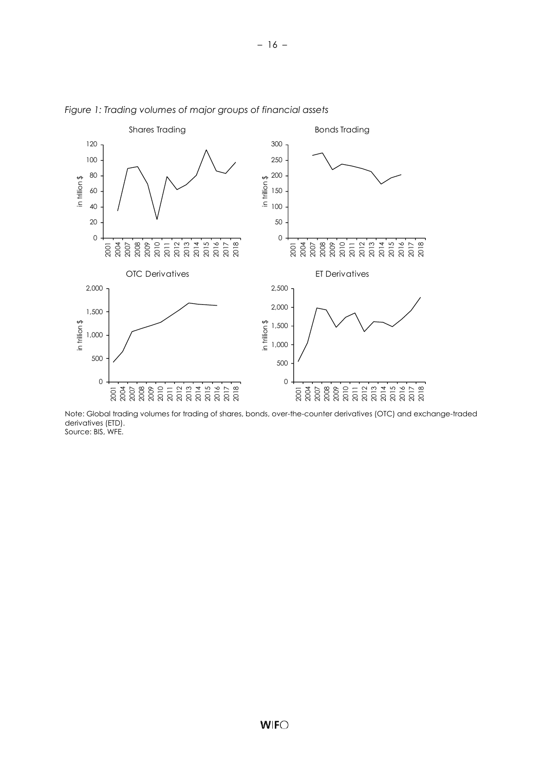

– 16 –

*Figure 1: Trading volumes of major groups of financial assets*

Note: Global trading volumes for trading of shares, bonds, over-the-counter derivatives (OTC) and exchange-traded derivatives (ETD). Source: BIS, WFE.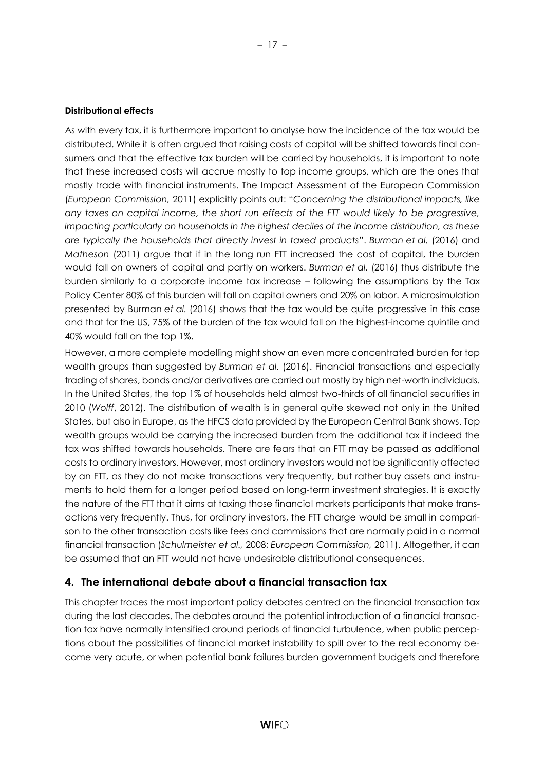#### **Distributional effects**

As with every tax, it is furthermore important to analyse how the incidence of the tax would be distributed. While it is often argued that raising costs of capital will be shifted towards final consumers and that the effective tax burden will be carried by households, it is important to note that these increased costs will accrue mostly to top income groups, which are the ones that mostly trade with financial instruments. The Impact Assessment of the European Commission (*European Commission,* 2011) explicitly points out: "*Concerning the distributional impacts, like any taxes on capital income, the short run effects of the FTT would likely to be progressive, impacting particularly on households in the highest deciles of the income distribution, as these are typically the households that directly invest in taxed products*". *Burman et al.* (2016) and *Matheson* (2011) argue that if in the long run FTT increased the cost of capital, the burden would fall on owners of capital and partly on workers. *Burman et al.* (2016) thus distribute the burden similarly to a corporate income tax increase – following the assumptions by the Tax Policy Center 80% of this burden will fall on capital owners and 20% on labor. A microsimulation presented by Burman *et al.* (2016) shows that the tax would be quite progressive in this case and that for the US, 75% of the burden of the tax would fall on the highest-income quintile and 40% would fall on the top 1%.

However, a more complete modelling might show an even more concentrated burden for top wealth groups than suggested by *Burman et al.* (2016). Financial transactions and especially trading of shares, bonds and/or derivatives are carried out mostly by high net-worth individuals. In the United States, the top 1% of households held almost two-thirds of all financial securities in 2010 (*Wolff*, 2012). The distribution of wealth is in general quite skewed not only in the United States, but also in Europe, as the HFCS data provided by the European Central Bank shows. Top wealth groups would be carrying the increased burden from the additional tax if indeed the tax was shifted towards households. There are fears that an FTT may be passed as additional costs to ordinary investors. However, most ordinary investors would not be significantly affected by an FTT, as they do not make transactions very frequently, but rather buy assets and instruments to hold them for a longer period based on long-term investment strategies. It is exactly the nature of the FTT that it aims at taxing those financial markets participants that make transactions very frequently. Thus, for ordinary investors, the FTT charge would be small in comparison to the other transaction costs like fees and commissions that are normally paid in a normal financial transaction (*Schulmeister et al.,* 2008; *European Commission,* 2011). Altogether, it can be assumed that an FTT would not have undesirable distributional consequences.

## <span id="page-21-0"></span>**4. The international debate about a financial transaction tax**

This chapter traces the most important policy debates centred on the financial transaction tax during the last decades. The debates around the potential introduction of a financial transaction tax have normally intensified around periods of financial turbulence, when public perceptions about the possibilities of financial market instability to spill over to the real economy become very acute, or when potential bank failures burden government budgets and therefore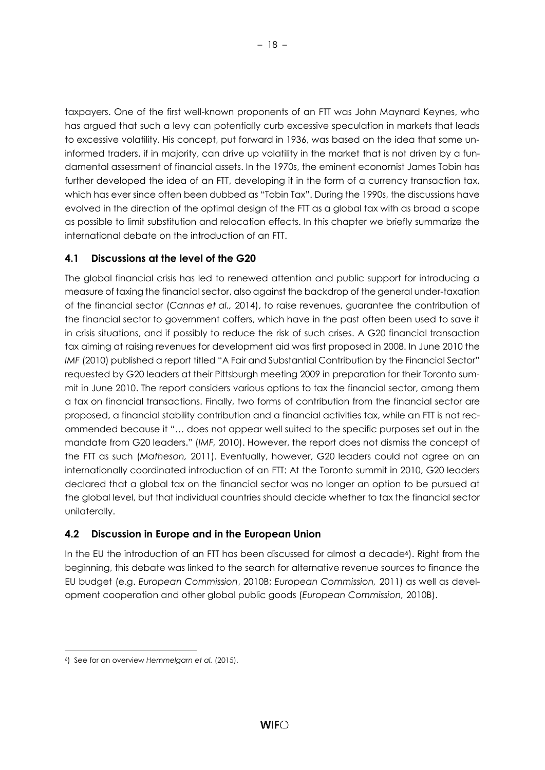taxpayers. One of the first well-known proponents of an FTT was John Maynard Keynes, who has argued that such a levy can potentially curb excessive speculation in markets that leads to excessive volatility. His concept, put forward in 1936, was based on the idea that some uninformed traders, if in majority, can drive up volatility in the market that is not driven by a fundamental assessment of financial assets. In the 1970s, the eminent economist James Tobin has further developed the idea of an FTT, developing it in the form of a currency transaction tax, which has ever since often been dubbed as "Tobin Tax". During the 1990s, the discussions have evolved in the direction of the optimal design of the FTT as a global tax with as broad a scope as possible to limit substitution and relocation effects. In this chapter we briefly summarize the international debate on the introduction of an FTT.

## <span id="page-22-0"></span>**4.1 Discussions at the level of the G20**

The global financial crisis has led to renewed attention and public support for introducing a measure of taxing the financial sector, also against the backdrop of the general under-taxation of the financial sector (*Cannas et al.,* 2014), to raise revenues, guarantee the contribution of the financial sector to government coffers, which have in the past often been used to save it in crisis situations, and if possibly to reduce the risk of such crises. A G20 financial transaction tax aiming at raising revenues for development aid was first proposed in 2008. In June 2010 the *IMF* (2010) published a report titled "A Fair and Substantial Contribution by the Financial Sector" requested by G20 leaders at their Pittsburgh meeting 2009 in preparation for their Toronto summit in June 2010. The report considers various options to tax the financial sector, among them a tax on financial transactions. Finally, two forms of contribution from the financial sector are proposed, a financial stability contribution and a financial activities tax, while an FTT is not recommended because it "… does not appear well suited to the specific purposes set out in the mandate from G20 leaders." (*IMF,* 2010). However, the report does not dismiss the concept of the FTT as such (*Matheson,* 2011). Eventually, however, G20 leaders could not agree on an internationally coordinated introduction of an FTT: At the Toronto summit in 2010, G20 leaders declared that a global tax on the financial sector was no longer an option to be pursued at the global level, but that individual countries should decide whether to tax the financial sector unilaterally.

## <span id="page-22-1"></span>**4.2 Discussion in Europe and in the European Union**

In the EU the introduction of an FTT has been discussed for almost a decade<sup>6</sup>). Right from the beginning, this debate was linked to the search for alternative revenue sources to finance the EU budget (e.g. *European Commission*, 2010B; *European Commission,* 2011) as well as development cooperation and other global public goods (*European Commission,* 2010B).

l

<sup>6</sup>) See for an overview *Hemmelgarn et al.* (2015).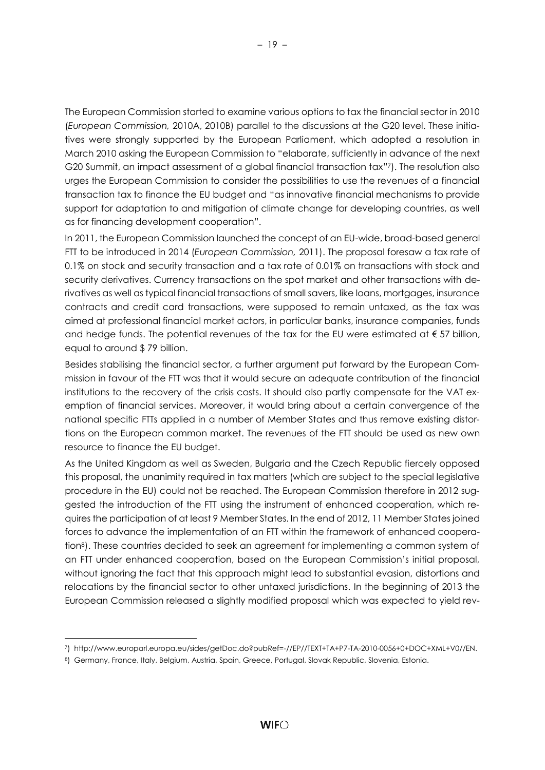The European Commission started to examine various options to tax the financial sector in 2010 (*European Commission,* 2010A, 2010B) parallel to the discussions at the G20 level. These initiatives were strongly supported by the European Parliament, which adopted a resolution in March 2010 asking the European Commission to "elaborate, sufficiently in advance of the next G20 Summit, an impact assessment of a global financial transaction tax" <sup>7</sup>). The resolution also urges the European Commission to consider the possibilities to use the revenues of a financial transaction tax to finance the EU budget and "as innovative financial mechanisms to provide support for adaptation to and mitigation of climate change for developing countries, as well as for financing development cooperation".

In 2011, the European Commission launched the concept of an EU-wide, broad-based general FTT to be introduced in 2014 (*European Commission,* 2011). The proposal foresaw a tax rate of 0.1% on stock and security transaction and a tax rate of 0.01% on transactions with stock and security derivatives. Currency transactions on the spot market and other transactions with derivatives as well as typical financial transactions of small savers, like loans, mortgages, insurance contracts and credit card transactions, were supposed to remain untaxed, as the tax was aimed at professional financial market actors, in particular banks, insurance companies, funds and hedge funds. The potential revenues of the tax for the EU were estimated at  $\epsilon$  57 billion, equal to around \$ 79 billion.

Besides stabilising the financial sector, a further argument put forward by the European Commission in favour of the FTT was that it would secure an adequate contribution of the financial institutions to the recovery of the crisis costs. It should also partly compensate for the VAT exemption of financial services. Moreover, it would bring about a certain convergence of the national specific FTTs applied in a number of Member States and thus remove existing distortions on the European common market. The revenues of the FTT should be used as new own resource to finance the EU budget.

As the United Kingdom as well as Sweden, Bulgaria and the Czech Republic fiercely opposed this proposal, the unanimity required in tax matters (which are subject to the special legislative procedure in the EU) could not be reached. The European Commission therefore in 2012 suggested the introduction of the FTT using the instrument of enhanced cooperation, which requires the participation of at least 9 Member States. In the end of 2012, 11 Member States joined forces to advance the implementation of an FTT within the framework of enhanced cooperation8). These countries decided to seek an agreement for implementing a common system of an FTT under enhanced cooperation, based on the European Commission's initial proposal, without ignoring the fact that this approach might lead to substantial evasion, distortions and relocations by the financial sector to other untaxed jurisdictions. In the beginning of 2013 the European Commission released a slightly modified proposal which was expected to yield rev-

l

<sup>7</sup>) http://www.europarl.europa.eu/sides/getDoc.do?pubRef=-//EP//TEXT+TA+P7-TA-2010-0056+0+DOC+XML+V0//EN.

<sup>8</sup>) Germany, France, Italy, Belgium, Austria, Spain, Greece, Portugal, Slovak Republic, Slovenia, Estonia.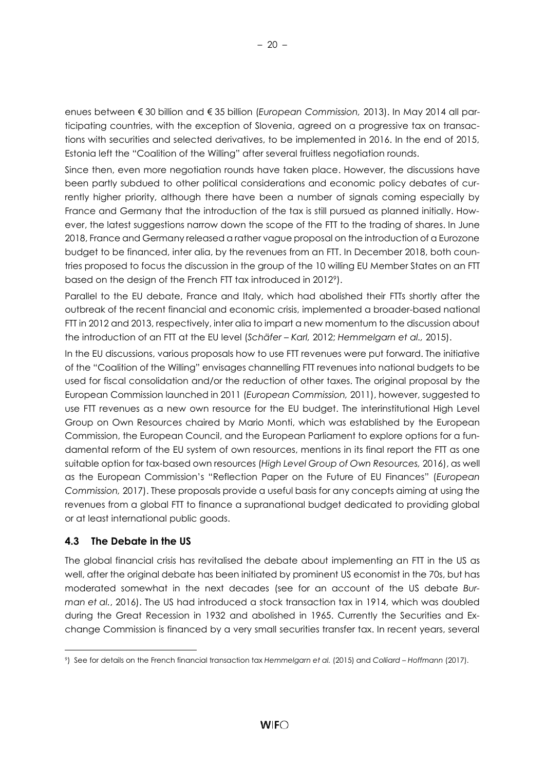enues between € 30 billion and € 35 billion (*European Commission,* 2013). In May 2014 all participating countries, with the exception of Slovenia, agreed on a progressive tax on transactions with securities and selected derivatives, to be implemented in 2016. In the end of 2015, Estonia left the "Coalition of the Willing" after several fruitless negotiation rounds.

Since then, even more negotiation rounds have taken place. However, the discussions have been partly subdued to other political considerations and economic policy debates of currently higher priority, although there have been a number of signals coming especially by France and Germany that the introduction of the tax is still pursued as planned initially. However, the latest suggestions narrow down the scope of the FTT to the trading of shares. In June 2018, France and Germany released a rather vague proposal on the introduction of a Eurozone budget to be financed, inter alia, by the revenues from an FTT. In December 2018, both countries proposed to focus the discussion in the group of the 10 willing EU Member States on an FTT based on the design of the French FTT tax introduced in 20129).

Parallel to the EU debate, France and Italy, which had abolished their FTTs shortly after the outbreak of the recent financial and economic crisis, implemented a broader-based national FTT in 2012 and 2013, respectively, inter alia to impart a new momentum to the discussion about the introduction of an FTT at the EU level (*Schäfer – Karl,* 2012; *Hemmelgarn et al.,* 2015).

In the EU discussions, various proposals how to use FTT revenues were put forward. The initiative of the "Coalition of the Willing" envisages channelling FTT revenues into national budgets to be used for fiscal consolidation and/or the reduction of other taxes. The original proposal by the European Commission launched in 2011 (*European Commission,* 2011), however, suggested to use FTT revenues as a new own resource for the EU budget. The interinstitutional High Level Group on Own Resources chaired by Mario Monti, which was established by the European Commission, the European Council, and the European Parliament to explore options for a fundamental reform of the EU system of own resources, mentions in its final report the FTT as one suitable option for tax-based own resources (*High Level Group of Own Resources,* 2016), as well as the European Commission's "Reflection Paper on the Future of EU Finances" (*European Commission,* 2017). These proposals provide a useful basis for any concepts aiming at using the revenues from a global FTT to finance a supranational budget dedicated to providing global or at least international public goods.

## <span id="page-24-0"></span>**4.3 The Debate in the US**

l

The global financial crisis has revitalised the debate about implementing an FTT in the US as well, after the original debate has been initiated by prominent US economist in the 70s, but has moderated somewhat in the next decades (see for an account of the US debate *Burman et al.*, 2016). The US had introduced a stock transaction tax in 1914, which was doubled during the Great Recession in 1932 and abolished in 1965. Currently the Securities and Exchange Commission is financed by a very small securities transfer tax. In recent years, several

<sup>9</sup>) See for details on the French financial transaction tax *Hemmelgarn et al.* (2015) and *Colliard – Hoffmann* (2017).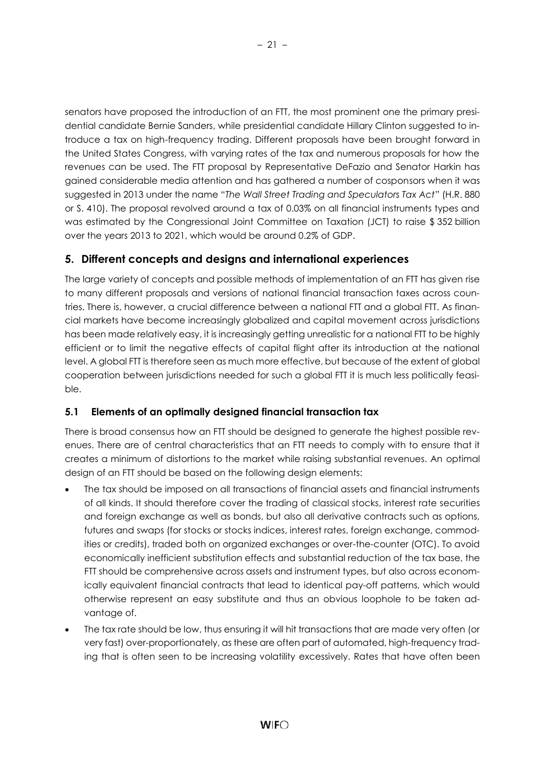senators have proposed the introduction of an FTT, the most prominent one the primary presidential candidate Bernie Sanders, while presidential candidate Hillary Clinton suggested to introduce a tax on high-frequency trading. Different proposals have been brought forward in the United States Congress, with varying rates of the tax and numerous proposals for how the revenues can be used. The FTT proposal by Representative DeFazio and Senator Harkin has gained considerable media attention and has gathered a number of cosponsors when it was suggested in 2013 under the name "*The Wall Street Trading and Speculators Tax Act*" (H.R. 880 or S. 410). The proposal revolved around a tax of 0.03% on all financial instruments types and was estimated by the Congressional Joint Committee on Taxation (JCT) to raise \$352 billion over the years 2013 to 2021, which would be around 0.2% of GDP.

# <span id="page-25-0"></span>**5. Different concepts and designs and international experiences**

The large variety of concepts and possible methods of implementation of an FTT has given rise to many different proposals and versions of national financial transaction taxes across countries. There is, however, a crucial difference between a national FTT and a global FTT. As financial markets have become increasingly globalized and capital movement across jurisdictions has been made relatively easy, it is increasingly getting unrealistic for a national FTT to be highly efficient or to limit the negative effects of capital flight after its introduction at the national level. A global FTT is therefore seen as much more effective, but because of the extent of global cooperation between jurisdictions needed for such a global FTT it is much less politically feasible.

# <span id="page-25-1"></span>**5.1 Elements of an optimally designed financial transaction tax**

There is broad consensus how an FTT should be designed to generate the highest possible revenues. There are of central characteristics that an FTT needs to comply with to ensure that it creates a minimum of distortions to the market while raising substantial revenues. An optimal design of an FTT should be based on the following design elements:

- The tax should be imposed on all transactions of financial assets and financial instruments of all kinds. It should therefore cover the trading of classical stocks, interest rate securities and foreign exchange as well as bonds, but also all derivative contracts such as options, futures and swaps (for stocks or stocks indices, interest rates, foreign exchange, commodities or credits), traded both on organized exchanges or over-the-counter (OTC). To avoid economically inefficient substitution effects and substantial reduction of the tax base, the FTT should be comprehensive across assets and instrument types, but also across economically equivalent financial contracts that lead to identical pay-off patterns, which would otherwise represent an easy substitute and thus an obvious loophole to be taken advantage of.
- The tax rate should be low, thus ensuring it will hit transactions that are made very often (or very fast) over-proportionately, as these are often part of automated, high-frequency trading that is often seen to be increasing volatility excessively. Rates that have often been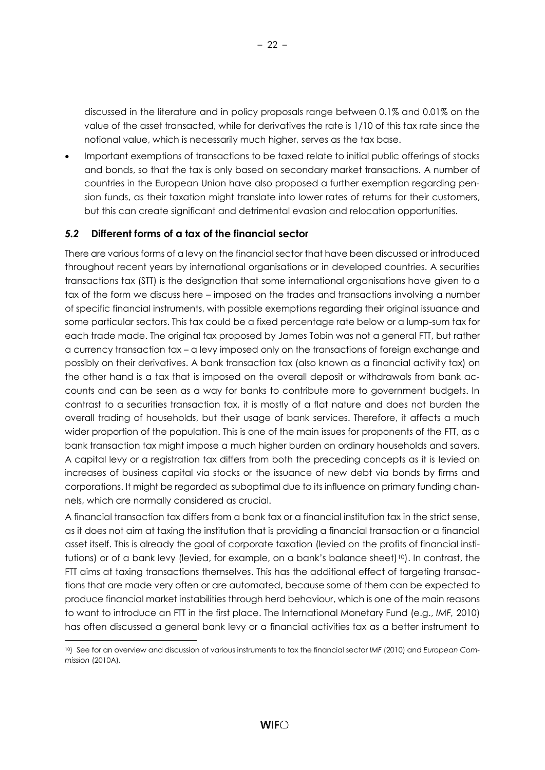discussed in the literature and in policy proposals range between 0.1% and 0.01% on the value of the asset transacted, while for derivatives the rate is 1/10 of this tax rate since the notional value, which is necessarily much higher, serves as the tax base.

• Important exemptions of transactions to be taxed relate to initial public offerings of stocks and bonds, so that the tax is only based on secondary market transactions. A number of countries in the European Union have also proposed a further exemption regarding pension funds, as their taxation might translate into lower rates of returns for their customers, but this can create significant and detrimental evasion and relocation opportunities.

## <span id="page-26-0"></span>*5.2* **Different forms of a tax of the financial sector**

l

There are various forms of a levy on the financial sector that have been discussed or introduced throughout recent years by international organisations or in developed countries. A securities transactions tax (STT) is the designation that some international organisations have given to a tax of the form we discuss here – imposed on the trades and transactions involving a number of specific financial instruments, with possible exemptions regarding their original issuance and some particular sectors. This tax could be a fixed percentage rate below or a lump-sum tax for each trade made. The original tax proposed by James Tobin was not a general FTT, but rather a currency transaction tax – a levy imposed only on the transactions of foreign exchange and possibly on their derivatives. A bank transaction tax (also known as a financial activity tax) on the other hand is a tax that is imposed on the overall deposit or withdrawals from bank accounts and can be seen as a way for banks to contribute more to government budgets. In contrast to a securities transaction tax, it is mostly of a flat nature and does not burden the overall trading of households, but their usage of bank services. Therefore, it affects a much wider proportion of the population. This is one of the main issues for proponents of the FTT, as a bank transaction tax might impose a much higher burden on ordinary households and savers. A capital levy or a registration tax differs from both the preceding concepts as it is levied on increases of business capital via stocks or the issuance of new debt via bonds by firms and corporations. It might be regarded as suboptimal due to its influence on primary funding channels, which are normally considered as crucial.

A financial transaction tax differs from a bank tax or a financial institution tax in the strict sense, as it does not aim at taxing the institution that is providing a financial transaction or a financial asset itself. This is already the goal of corporate taxation (levied on the profits of financial institutions) or of a bank levy (levied, for example, on a bank's balance sheet)<sup>10</sup>). In contrast, the FTT aims at taxing transactions themselves. This has the additional effect of targeting transactions that are made very often or are automated, because some of them can be expected to produce financial market instabilities through herd behaviour, which is one of the main reasons to want to introduce an FTT in the first place. The International Monetary Fund (e.g., *IMF,* 2010) has often discussed a general bank levy or a financial activities tax as a better instrument to

<sup>10</sup>) See for an overview and discussion of various instruments to tax the financial sector *IMF* (2010) and *European Commission* (2010A).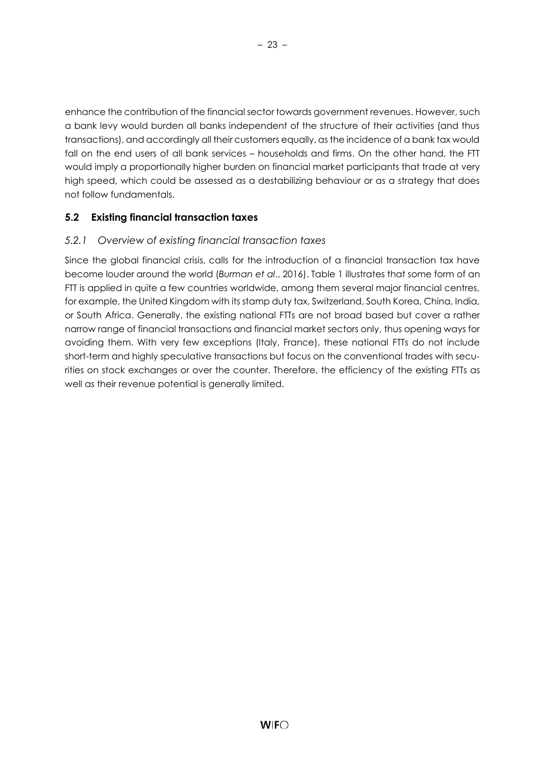enhance the contribution of the financial sector towards government revenues. However, such a bank levy would burden all banks independent of the structure of their activities (and thus transactions), and accordingly all their customers equally, as the incidence of a bank tax would fall on the end users of all bank services – households and firms. On the other hand, the FTT would imply a proportionally higher burden on financial market participants that trade at very high speed, which could be assessed as a destabilizing behaviour or as a strategy that does not follow fundamentals.

# <span id="page-27-0"></span>**5.2 Existing financial transaction taxes**

## <span id="page-27-1"></span>*5.2.1 Overview of existing financial transaction taxes*

Since the global financial crisis, calls for the introduction of a financial transaction tax have become louder around the world (*Burman et al*., 2016). Table 1 illustrates that some form of an FTT is applied in quite a few countries worldwide, among them several major financial centres, for example, the United Kingdom with its stamp duty tax, Switzerland, South Korea, China, India, or South Africa. Generally, the existing national FTTs are not broad based but cover a rather narrow range of financial transactions and financial market sectors only, thus opening ways for avoiding them. With very few exceptions (Italy, France), these national FTTs do not include short-term and highly speculative transactions but focus on the conventional trades with securities on stock exchanges or over the counter. Therefore, the efficiency of the existing FTTs as well as their revenue potential is generally limited.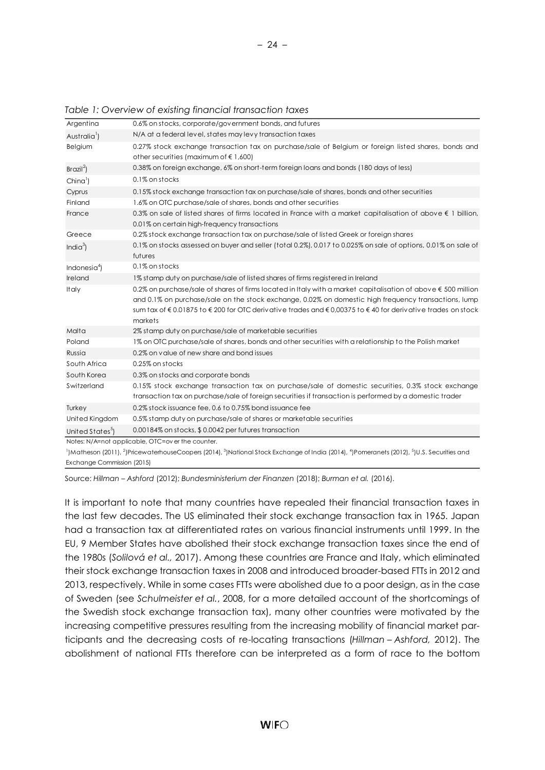| Argentina                    | 0.6% on stocks, corporate/government bonds, and futures                                                                                                                                                                                                                                                                                               |
|------------------------------|-------------------------------------------------------------------------------------------------------------------------------------------------------------------------------------------------------------------------------------------------------------------------------------------------------------------------------------------------------|
| Australia <sup>1</sup> )     | N/A at a federal level, states may levy transaction taxes                                                                                                                                                                                                                                                                                             |
| Belgium                      | 0.27% stock exchange transaction tax on purchase/sale of Belgium or foreign listed shares, bonds and<br>other securities (maximum of $\epsilon$ 1,600)                                                                                                                                                                                                |
| Brazil <sup>2</sup>          | 0.38% on foreign exchange, 6% on short-term foreign loans and bonds (180 days of less)                                                                                                                                                                                                                                                                |
| $China^1$                    | 0.1% on stocks                                                                                                                                                                                                                                                                                                                                        |
| Cyprus                       | 0.15% stock exchange transaction tax on purchase/sale of shares, bonds and other securities                                                                                                                                                                                                                                                           |
| Finland                      | 1.6% on OTC purchase/sale of shares, bonds and other securities                                                                                                                                                                                                                                                                                       |
| France                       | 0.3% on sale of listed shares of firms located in France with a market capitalisation of above $\xi$ 1 billion,<br>0.01% on certain high-frequency transactions                                                                                                                                                                                       |
| Greece                       | 0.2% stock exchange transaction tax on purchase/sale of listed Greek or foreign shares                                                                                                                                                                                                                                                                |
| India $3$ )                  | 0.1% on stocks assessed on buyer and seller (total 0.2%), 0.017 to 0.025% on sale of options, 0.01% on sale of<br>futures                                                                                                                                                                                                                             |
| Indonesia <sup>4</sup> )     | 0.1% on stocks                                                                                                                                                                                                                                                                                                                                        |
| Ireland                      | 1% stamp duty on purchase/sale of listed shares of firms registered in Ireland                                                                                                                                                                                                                                                                        |
| <b>Italy</b>                 | 0.2% on purchase/sale of shares of firms located in Italy with a market capitalisation of above $\epsilon$ 500 million<br>and 0.1% on purchase/sale on the stock exchange, 0.02% on domestic high frequency transactions, lump<br>sum tax of €0.01875 to €200 for OTC derivative trades and €0,00375 to €40 for derivative trades on stock<br>markets |
| Malta                        | 2% stamp duty on purchase/sale of marketable securities                                                                                                                                                                                                                                                                                               |
| Poland                       | 1% on OTC purchase/sale of shares, bonds and other securities with a relationship to the Polish market                                                                                                                                                                                                                                                |
| Russia                       | 0.2% on value of new share and bond issues                                                                                                                                                                                                                                                                                                            |
| South Africa                 | 0.25% on stocks                                                                                                                                                                                                                                                                                                                                       |
| South Korea                  | 0.3% on stocks and corporate bonds                                                                                                                                                                                                                                                                                                                    |
| Switzerland                  | 0.15% stock exchange transaction tax on purchase/sale of domestic securities, 0.3% stock exchange<br>transaction tax on purchase/sale of foreign securities if transaction is performed by a domestic trader                                                                                                                                          |
| Turkey                       | 0.2% stock issuance fee, 0.6 to 0.75% bond issuance fee                                                                                                                                                                                                                                                                                               |
| United Kingdom               | 0.5% stamp duty on purchase/sale of shares or marketable securities                                                                                                                                                                                                                                                                                   |
| United States <sup>5</sup> ) | 0.00184% on stocks, \$0.0042 per futures transaction                                                                                                                                                                                                                                                                                                  |
|                              | Notes: N/A=not applicable, OTC=over the counter.                                                                                                                                                                                                                                                                                                      |

*Table 1: Overview of existing financial transaction taxes* 

 $^{\rm l}$ Matheson (2011),  $^{\rm 2}$ )PricewaterhouseCoopers (2014),  $^{\rm 3}$ National Stock Exchange of India (2014),  $^{\rm 4}$ JPomeranets (2012),  $^{\rm 5}$ U.S. Securities and Exchange Commission (2015)

Source: *Hillman – Ashford* (2012); *Bundesministerium der Finanzen* (2018); *Burman et al.* (2016).

It is important to note that many countries have repealed their financial transaction taxes in the last few decades. The US eliminated their stock exchange transaction tax in 1965. Japan had a transaction tax at differentiated rates on various financial instruments until 1999. In the EU, 9 Member States have abolished their stock exchange transaction taxes since the end of the 1980s (*Solilová et al.,* 2017). Among these countries are France and Italy, which eliminated their stock exchange transaction taxes in 2008 and introduced broader-based FTTs in 2012 and 2013, respectively. While in some cases FTTs were abolished due to a poor design, as in the case of Sweden (see *Schulmeister et al.*, 2008, for a more detailed account of the shortcomings of the Swedish stock exchange transaction tax), many other countries were motivated by the increasing competitive pressures resulting from the increasing mobility of financial market participants and the decreasing costs of re-locating transactions (*Hillman – Ashford,* 2012). The abolishment of national FTTs therefore can be interpreted as a form of race to the bottom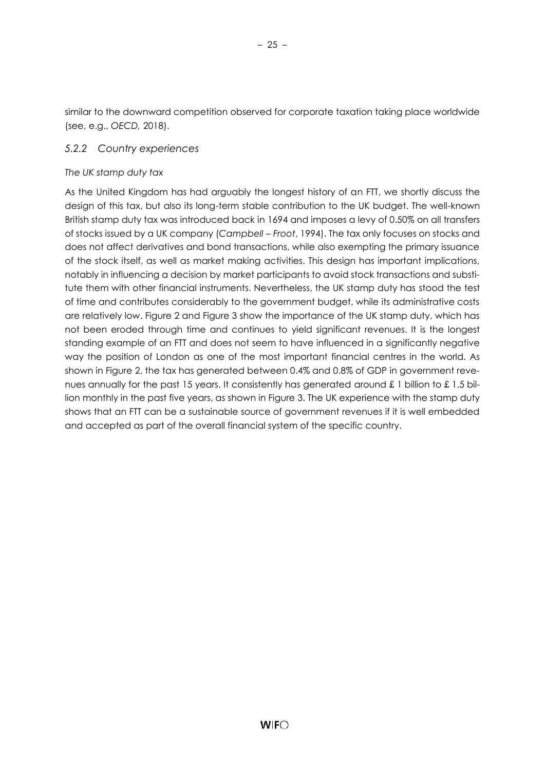similar to the downward competition observed for corporate taxation taking place worldwide (see, e.g., *OECD,* 2018).

### <span id="page-29-0"></span>*5.2.2 Country experiences*

#### *The UK stamp duty tax*

As the United Kingdom has had arguably the longest history of an FTT, we shortly discuss the design of this tax, but also its long-term stable contribution to the UK budget. The well-known British stamp duty tax was introduced back in 1694 and imposes a levy of 0.50% on all transfers of stocks issued by a UK company (*Campbell – Froot*, 1994). The tax only focuses on stocks and does not affect derivatives and bond transactions, while also exempting the primary issuance of the stock itself, as well as market making activities. This design has important implications, notably in influencing a decision by market participants to avoid stock transactions and substitute them with other financial instruments. Nevertheless, the UK stamp duty has stood the test of time and contributes considerably to the government budget, while its administrative costs are relatively low. Figure 2 and Figure 3 show the importance of the UK stamp duty, which has not been eroded through time and continues to yield significant revenues. It is the longest standing example of an FTT and does not seem to have influenced in a significantly negative way the position of London as one of the most important financial centres in the world. As shown in Figure 2, the tax has generated between 0.4% and 0.8% of GDP in government revenues annually for the past 15 years. It consistently has generated around £ 1 billion to £ 1.5 billion monthly in the past five years, as shown in Figure 3. The UK experience with the stamp duty shows that an FTT can be a sustainable source of government revenues if it is well embedded and accepted as part of the overall financial system of the specific country.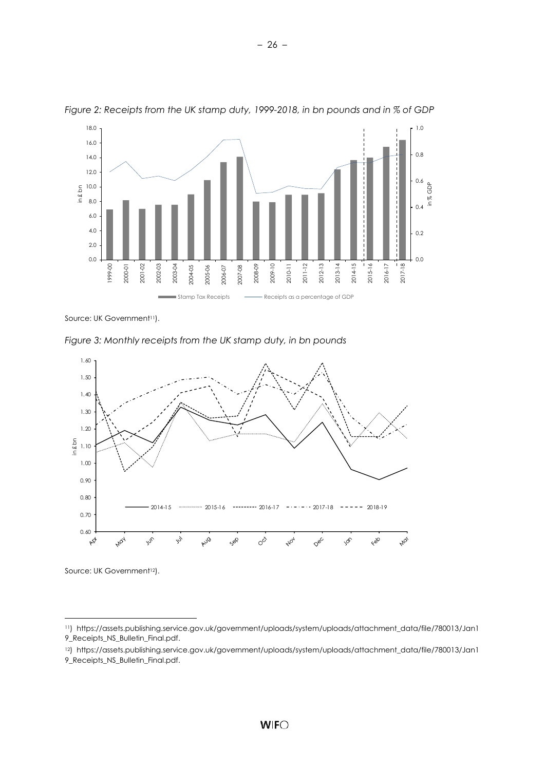

*Figure 2: Receipts from the UK stamp duty, 1999-2018, in bn pounds and in % of GDP*

Source: UK Government<sup>11</sup>).

*Figure 3: Monthly receipts from the UK stamp duty, in bn pounds*



Source: UK Government<sup>12</sup>).

l

– 26 –

<sup>11</sup>) [https://assets.publishing.service.gov.uk/government/uploads/system/uploads/attachment\\_data/file/780013/Jan1](https://assets.publishing.service.gov.uk/government/uploads/system/uploads/attachment_data/file/780013/Jan19_Receipts_NS_Bulletin_Final.pdf) [9\\_Receipts\\_NS\\_Bulletin\\_Final.pdf.](https://assets.publishing.service.gov.uk/government/uploads/system/uploads/attachment_data/file/780013/Jan19_Receipts_NS_Bulletin_Final.pdf)

<sup>12</sup>) [https://assets.publishing.service.gov.uk/government/uploads/system/uploads/attachment\\_data/file/780013/Jan1](https://assets.publishing.service.gov.uk/government/uploads/system/uploads/attachment_data/file/780013/Jan19_Receipts_NS_Bulletin_Final.pdf) [9\\_Receipts\\_NS\\_Bulletin\\_Final.pdf.](https://assets.publishing.service.gov.uk/government/uploads/system/uploads/attachment_data/file/780013/Jan19_Receipts_NS_Bulletin_Final.pdf)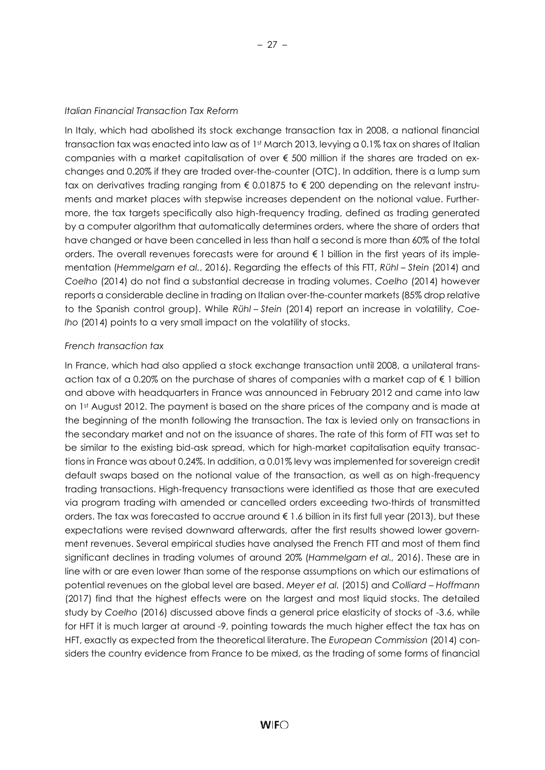#### *Italian Financial Transaction Tax Reform*

In Italy, which had abolished its stock exchange transaction tax in 2008, a national financial transaction tax was enacted into law as of 1st March 2013, levying a 0.1% tax on shares of Italian companies with a market capitalisation of over € 500 million if the shares are traded on exchanges and 0.20% if they are traded over-the-counter (OTC). In addition, there is a lump sum tax on derivatives trading ranging from € 0.01875 to € 200 depending on the relevant instruments and market places with stepwise increases dependent on the notional value. Furthermore, the tax targets specifically also high-frequency trading, defined as trading generated by a computer algorithm that automatically determines orders, where the share of orders that have changed or have been cancelled in less than half a second is more than 60% of the total orders. The overall revenues forecasts were for around € 1 billion in the first years of its implementation (*Hemmelgarn et al.*, 2016). Regarding the effects of this FTT, *Rühl – Stein* (2014) and *Coelho* (2014) do not find a substantial decrease in trading volumes. *Coelho* (2014) however reports a considerable decline in trading on Italian over-the-counter markets (85% drop relative to the Spanish control group). While *Rühl – Stein* (2014) report an increase in volatility, *Coelho* (2014) points to a very small impact on the volatility of stocks.

#### *French transaction tax*

In France, which had also applied a stock exchange transaction until 2008, a unilateral transaction tax of a 0.20% on the purchase of shares of companies with a market cap of  $\epsilon$  1 billion and above with headquarters in France was announced in February 2012 and came into law on 1st August 2012. The payment is based on the share prices of the company and is made at the beginning of the month following the transaction. The tax is levied only on transactions in the secondary market and not on the issuance of shares. The rate of this form of FTT was set to be similar to the existing bid-ask spread, which for high-market capitalisation equity transactions in France was about 0.24%. In addition, a 0.01% levy was implemented for sovereign credit default swaps based on the notional value of the transaction, as well as on high-frequency trading transactions. High-frequency transactions were identified as those that are executed via program trading with amended or cancelled orders exceeding two-thirds of transmitted orders. The tax was forecasted to accrue around € 1.6 billion in its first full year (2013), but these expectations were revised downward afterwards, after the first results showed lower government revenues. Several empirical studies have analysed the French FTT and most of them find significant declines in trading volumes of around 20% (*Hammelgarn et al.,* 2016). These are in line with or are even lower than some of the response assumptions on which our estimations of potential revenues on the global level are based. *Meyer et al.* (2015) and *Colliard – Hoffmann* (2017) find that the highest effects were on the largest and most liquid stocks. The detailed study by *Coelho* (2016) discussed above finds a general price elasticity of stocks of -3.6, while for HFT it is much larger at around -9, pointing towards the much higher effect the tax has on HFT, exactly as expected from the theoretical literature. The *European Commission* (2014) considers the country evidence from France to be mixed, as the trading of some forms of financial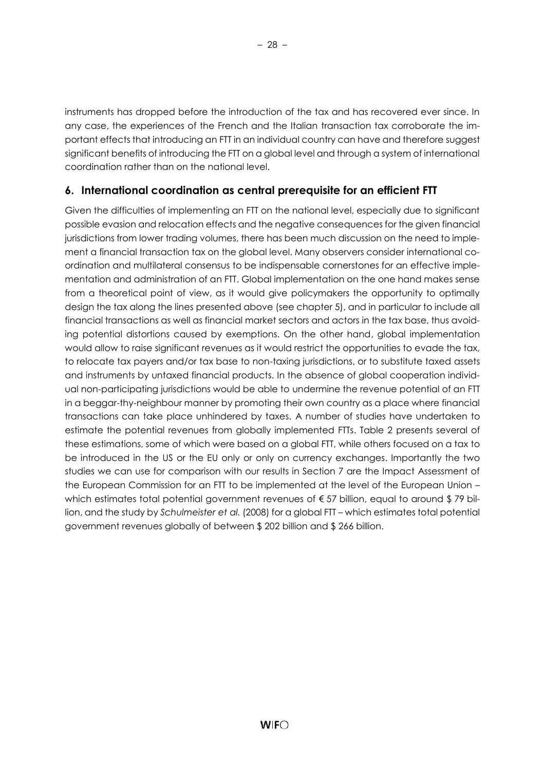instruments has dropped before the introduction of the tax and has recovered ever since. In any case, the experiences of the French and the Italian transaction tax corroborate the important effects that introducing an FTT in an individual country can have and therefore suggest significant benefits of introducing the FTT on a global level and through a system of international coordination rather than on the national level.

# <span id="page-32-0"></span>**6. International coordination as central prerequisite for an efficient FTT**

Given the difficulties of implementing an FTT on the national level, especially due to significant possible evasion and relocation effects and the negative consequences for the given financial jurisdictions from lower trading volumes, there has been much discussion on the need to implement a financial transaction tax on the global level. Many observers consider international coordination and multilateral consensus to be indispensable cornerstones for an effective implementation and administration of an FTT. Global implementation on the one hand makes sense from a theoretical point of view, as it would give policymakers the opportunity to optimally design the tax along the lines presented above (see chapter 5), and in particular to include all financial transactions as well as financial market sectors and actors in the tax base, thus avoiding potential distortions caused by exemptions. On the other hand, global implementation would allow to raise significant revenues as it would restrict the opportunities to evade the tax, to relocate tax payers and/or tax base to non-taxing jurisdictions, or to substitute taxed assets and instruments by untaxed financial products. In the absence of global cooperation individual non-participating jurisdictions would be able to undermine the revenue potential of an FTT in a beggar-thy-neighbour manner by promoting their own country as a place where financial transactions can take place unhindered by taxes. A number of studies have undertaken to estimate the potential revenues from globally implemented FTTs. Table 2 presents several of these estimations, some of which were based on a global FTT, while others focused on a tax to be introduced in the US or the EU only or only on currency exchanges. Importantly the two studies we can use for comparison with our results in Section 7 are the Impact Assessment of the European Commission for an FTT to be implemented at the level of the European Union – which estimates total potential government revenues of €57 billion, equal to around \$79 billion, and the study by *Schulmeister et al.* (2008) for a global FTT – which estimates total potential government revenues globally of between \$ 202 billion and \$ 266 billion.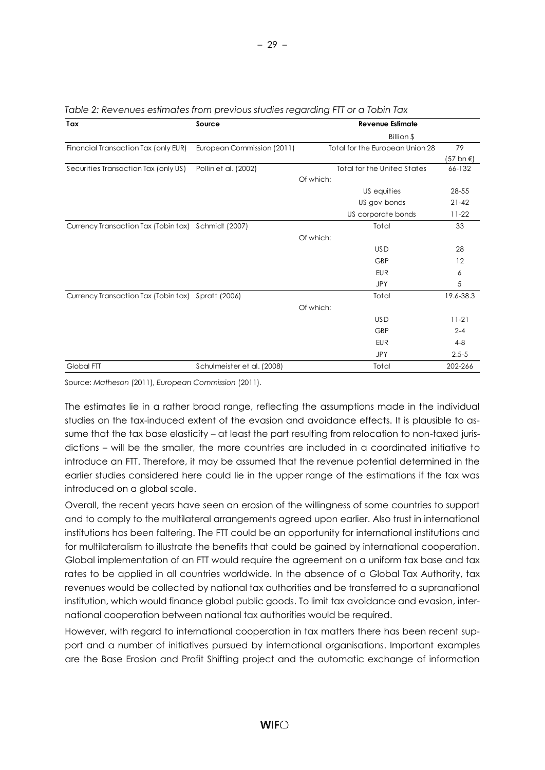| Tax                                                 | Source                     |           |                                    |           |
|-----------------------------------------------------|----------------------------|-----------|------------------------------------|-----------|
|                                                     |                            |           | Billion \$                         |           |
| Financial Transaction Tax (only EUR)                | European Commission (2011) |           | Total for the European Union 28    | 79        |
|                                                     |                            |           |                                    | (57 bn €) |
| Securities Transaction Tax (only US)                | Pollin et al. (2002)       |           | <b>Total for the United States</b> | 66-132    |
|                                                     |                            | Of which: |                                    |           |
|                                                     |                            |           | US equities                        | 28-55     |
|                                                     |                            |           | US gov bonds                       | $21 - 42$ |
|                                                     |                            |           | US corporate bonds                 | $11-22$   |
| Currency Transaction Tax (Tobin tax) Schmidt (2007) |                            |           | Total                              | 33        |
|                                                     |                            | Of which: |                                    |           |
|                                                     |                            |           | <b>USD</b>                         | 28        |
|                                                     |                            |           | <b>GBP</b>                         | 12        |
|                                                     |                            |           | <b>EUR</b>                         | 6         |
|                                                     |                            |           | <b>JPY</b>                         | 5         |
| Currency Transaction Tax (Tobin tax)                | Spratt (2006)              |           | Total                              | 19.6-38.3 |
|                                                     |                            | Of which: |                                    |           |
|                                                     |                            |           | <b>USD</b>                         | $11 - 21$ |
|                                                     |                            |           | <b>GBP</b>                         | $2 - 4$   |
|                                                     |                            |           | <b>EUR</b>                         | $4 - 8$   |
|                                                     |                            |           | JPY                                | $2.5 - 5$ |
| Global FTT                                          | Schulmeister et al. (2008) |           | Total                              | 202-266   |

*Table 2: Revenues estimates from previous studies regarding FTT or a Tobin Tax* 

Source: *Matheson* (2011), *European Commission* (2011).

The estimates lie in a rather broad range, reflecting the assumptions made in the individual studies on the tax-induced extent of the evasion and avoidance effects. It is plausible to assume that the tax base elasticity – at least the part resulting from relocation to non-taxed jurisdictions – will be the smaller, the more countries are included in a coordinated initiative to introduce an FTT. Therefore, it may be assumed that the revenue potential determined in the earlier studies considered here could lie in the upper range of the estimations if the tax was introduced on a global scale.

Overall, the recent years have seen an erosion of the willingness of some countries to support and to comply to the multilateral arrangements agreed upon earlier. Also trust in international institutions has been faltering. The FTT could be an opportunity for international institutions and for multilateralism to illustrate the benefits that could be gained by international cooperation. Global implementation of an FTT would require the agreement on a uniform tax base and tax rates to be applied in all countries worldwide. In the absence of a Global Tax Authority, tax revenues would be collected by national tax authorities and be transferred to a supranational institution, which would finance global public goods. To limit tax avoidance and evasion, international cooperation between national tax authorities would be required.

However, with regard to international cooperation in tax matters there has been recent support and a number of initiatives pursued by international organisations. Important examples are the Base Erosion and Profit Shifting project and the automatic exchange of information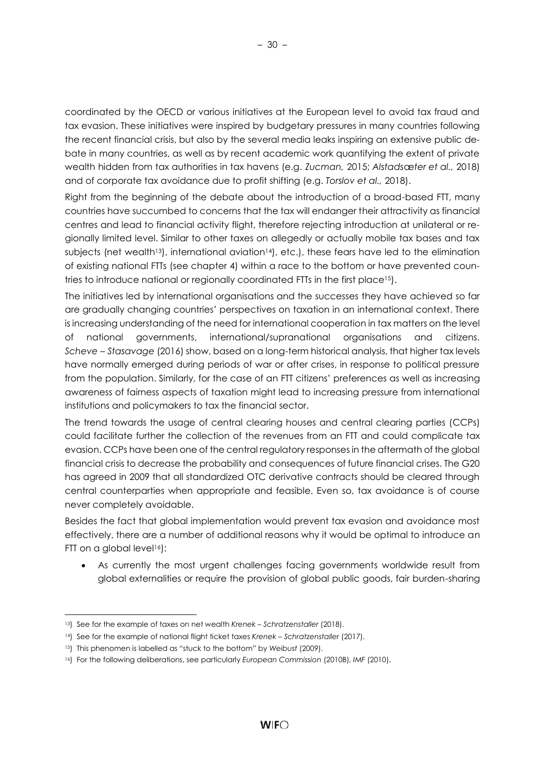coordinated by the OECD or various initiatives at the European level to avoid tax fraud and tax evasion. These initiatives were inspired by budgetary pressures in many countries following the recent financial crisis, but also by the several media leaks inspiring an extensive public debate in many countries, as well as by recent academic work quantifying the extent of private wealth hidden from tax authorities in tax havens (e.g. *Zucman,* 2015; *Alstads*æ*ter et al.,* 2018) and of corporate tax avoidance due to profit shifting (e.g. *Torslov et al.,* 2018).

Right from the beginning of the debate about the introduction of a broad-based FTT, many countries have succumbed to concerns that the tax will endanger their attractivity as financial centres and lead to financial activity flight, therefore rejecting introduction at unilateral or regionally limited level. Similar to other taxes on allegedly or actually mobile tax bases and tax subjects (net wealth<sup>13</sup>), international aviation<sup>14</sup>), etc.), these fears have led to the elimination of existing national FTTs (see chapter 4) within a race to the bottom or have prevented countries to introduce national or regionally coordinated FTTs in the first place<sup>15</sup>).

The initiatives led by international organisations and the successes they have achieved so far are gradually changing countries' perspectives on taxation in an international context. There is increasing understanding of the need for international cooperation in tax matters on the level of national governments, international/supranational organisations and citizens. *Scheve – Stasavage* (2016) show, based on a long-term historical analysis, that higher tax levels have normally emerged during periods of war or after crises, in response to political pressure from the population. Similarly, for the case of an FTT citizens' preferences as well as increasing awareness of fairness aspects of taxation might lead to increasing pressure from international institutions and policymakers to tax the financial sector.

The trend towards the usage of central clearing houses and central clearing parties (CCPs) could facilitate further the collection of the revenues from an FTT and could complicate tax evasion. CCPs have been one of the central regulatory responses in the aftermath of the global financial crisis to decrease the probability and consequences of future financial crises. The G20 has agreed in 2009 that all standardized OTC derivative contracts should be cleared through central counterparties when appropriate and feasible. Even so, tax avoidance is of course never completely avoidable.

Besides the fact that global implementation would prevent tax evasion and avoidance most effectively, there are a number of additional reasons why it would be optimal to introduce an FTT on a global level<sup>16</sup>):

As currently the most urgent challenges facing governments worldwide result from global externalities or require the provision of global public goods, fair burden-sharing

l

<sup>13</sup>) See for the example of taxes on net wealth *Krenek – Schratzenstaller* (2018).

<sup>14</sup>) See for the example of national flight ticket taxes *Krenek – Schratzenstaller* (2017).

<sup>15</sup>) This phenomen is labelled as "stuck to the bottom" by *Weibust* (2009).

<sup>16</sup>) For the following deliberations, see particularly *European Commission* (2010B), *IMF* (2010).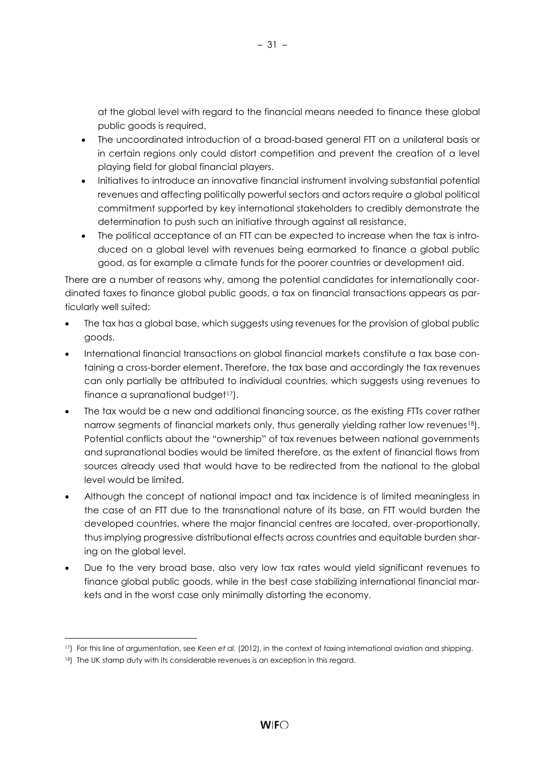at the global level with regard to the financial means needed to finance these global public goods is required.

- The uncoordinated introduction of a broad-based general FTT on a unilateral basis or in certain regions only could distort competition and prevent the creation of a level playing field for global financial players.
- Initiatives to introduce an innovative financial instrument involving substantial potential revenues and affecting politically powerful sectors and actors require a global political commitment supported by key international stakeholders to credibly demonstrate the determination to push such an initiative through against all resistance.
- The political acceptance of an FTT can be expected to increase when the tax is introduced on a global level with revenues being earmarked to finance a global public good, as for example a climate funds for the poorer countries or development aid.

There are a number of reasons why, among the potential candidates for internationally coordinated taxes to finance global public goods, a tax on financial transactions appears as particularly well suited:

- The tax has a global base, which suggests using revenues for the provision of global public goods.
- International financial transactions on global financial markets constitute a tax base containing a cross-border element. Therefore, the tax base and accordingly the tax revenues can only partially be attributed to individual countries, which suggests using revenues to finance a supranational budget<sup>17</sup>).
- The tax would be a new and additional financing source, as the existing FTTs cover rather narrow segments of financial markets only, thus generally yielding rather low revenues<sup>18</sup>). Potential conflicts about the "ownership" of tax revenues between national governments and supranational bodies would be limited therefore, as the extent of financial flows from sources already used that would have to be redirected from the national to the global level would be limited.
- Although the concept of national impact and tax incidence is of limited meaningless in the case of an FTT due to the transnational nature of its base, an FTT would burden the developed countries, where the major financial centres are located, over-proportionally, thus implying progressive distributional effects across countries and equitable burden sharing on the global level.
- Due to the very broad base, also very low tax rates would yield significant revenues to finance global public goods, while in the best case stabilizing international financial markets and in the worst case only minimally distorting the economy.

l

<sup>17</sup>) For this line of argumentation, see *Keen et al.* (2012), in the context of taxing international aviation and shipping.

<sup>18)</sup> The UK stamp duty with its considerable revenues is an exception in this regard.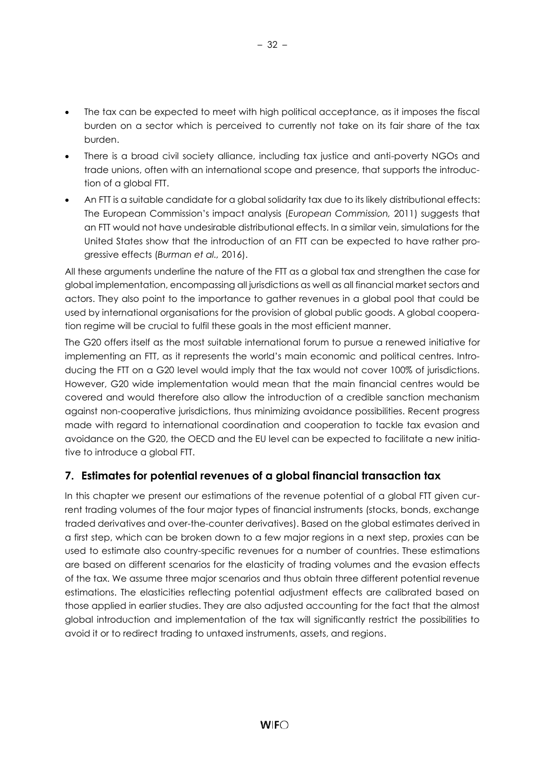- The tax can be expected to meet with high political acceptance, as it imposes the fiscal burden on a sector which is perceived to currently not take on its fair share of the tax burden.
- There is a broad civil society alliance, including tax justice and anti-poverty NGOs and trade unions, often with an international scope and presence, that supports the introduction of a global FTT.
- An FTT is a suitable candidate for a global solidarity tax due to its likely distributional effects: The European Commission's impact analysis (*European Commission,* 2011) suggests that an FTT would not have undesirable distributional effects. In a similar vein, simulations for the United States show that the introduction of an FTT can be expected to have rather progressive effects (*Burman et al.,* 2016).

All these arguments underline the nature of the FTT as a global tax and strengthen the case for global implementation, encompassing all jurisdictions as well as all financial market sectors and actors. They also point to the importance to gather revenues in a global pool that could be used by international organisations for the provision of global public goods. A global cooperation regime will be crucial to fulfil these goals in the most efficient manner.

The G20 offers itself as the most suitable international forum to pursue a renewed initiative for implementing an FTT, as it represents the world's main economic and political centres. Introducing the FTT on a G20 level would imply that the tax would not cover 100% of jurisdictions. However, G20 wide implementation would mean that the main financial centres would be covered and would therefore also allow the introduction of a credible sanction mechanism against non-cooperative jurisdictions, thus minimizing avoidance possibilities. Recent progress made with regard to international coordination and cooperation to tackle tax evasion and avoidance on the G20, the OECD and the EU level can be expected to facilitate a new initiative to introduce a global FTT.

# <span id="page-36-0"></span>**7. Estimates for potential revenues of a global financial transaction tax**

In this chapter we present our estimations of the revenue potential of a global FTT given current trading volumes of the four major types of financial instruments (stocks, bonds, exchange traded derivatives and over-the-counter derivatives). Based on the global estimates derived in a first step, which can be broken down to a few major regions in a next step, proxies can be used to estimate also country-specific revenues for a number of countries. These estimations are based on different scenarios for the elasticity of trading volumes and the evasion effects of the tax. We assume three major scenarios and thus obtain three different potential revenue estimations. The elasticities reflecting potential adjustment effects are calibrated based on those applied in earlier studies. They are also adjusted accounting for the fact that the almost global introduction and implementation of the tax will significantly restrict the possibilities to avoid it or to redirect trading to untaxed instruments, assets, and regions.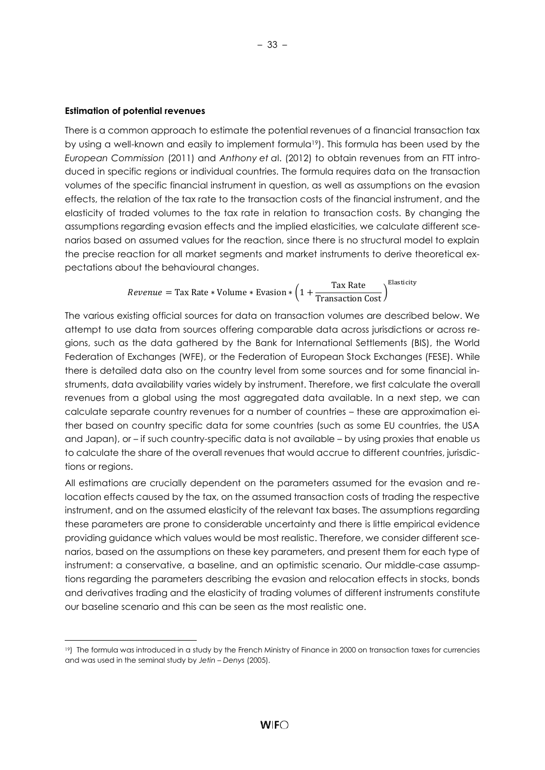#### **Estimation of potential revenues**

l

There is a common approach to estimate the potential revenues of a financial transaction tax by using a well-known and easily to implement formula19). This formula has been used by the *European Commission* (2011) and *Anthony et a*l. (2012) to obtain revenues from an FTT introduced in specific regions or individual countries. The formula requires data on the transaction volumes of the specific financial instrument in question, as well as assumptions on the evasion effects, the relation of the tax rate to the transaction costs of the financial instrument, and the elasticity of traded volumes to the tax rate in relation to transaction costs. By changing the assumptions regarding evasion effects and the implied elasticities, we calculate different scenarios based on assumed values for the reaction, since there is no structural model to explain the precise reaction for all market segments and market instruments to derive theoretical expectations about the behavioural changes.

*Revenue* = Tax Rate \* Volume \* Evasion \* 
$$
\left(1 + \frac{\text{Tax Rate}}{\text{Transaction Cost}}\right)^{\text{Elasticity}}
$$

The various existing official sources for data on transaction volumes are described below. We attempt to use data from sources offering comparable data across jurisdictions or across regions, such as the data gathered by the Bank for International Settlements (BIS), the World Federation of Exchanges (WFE), or the Federation of European Stock Exchanges (FESE). While there is detailed data also on the country level from some sources and for some financial instruments, data availability varies widely by instrument. Therefore, we first calculate the overall revenues from a global using the most aggregated data available. In a next step, we can calculate separate country revenues for a number of countries – these are approximation either based on country specific data for some countries (such as some EU countries, the USA and Japan), or – if such country-specific data is not available – by using proxies that enable us to calculate the share of the overall revenues that would accrue to different countries, jurisdictions or regions.

All estimations are crucially dependent on the parameters assumed for the evasion and relocation effects caused by the tax, on the assumed transaction costs of trading the respective instrument, and on the assumed elasticity of the relevant tax bases. The assumptions regarding these parameters are prone to considerable uncertainty and there is little empirical evidence providing guidance which values would be most realistic. Therefore, we consider different scenarios, based on the assumptions on these key parameters, and present them for each type of instrument: a conservative, a baseline, and an optimistic scenario. Our middle-case assumptions regarding the parameters describing the evasion and relocation effects in stocks, bonds and derivatives trading and the elasticity of trading volumes of different instruments constitute our baseline scenario and this can be seen as the most realistic one.

<sup>19)</sup> The formula was introduced in a study by the French Ministry of Finance in 2000 on transaction taxes for currencies and was used in the seminal study by *Jetin – Denys* (2005).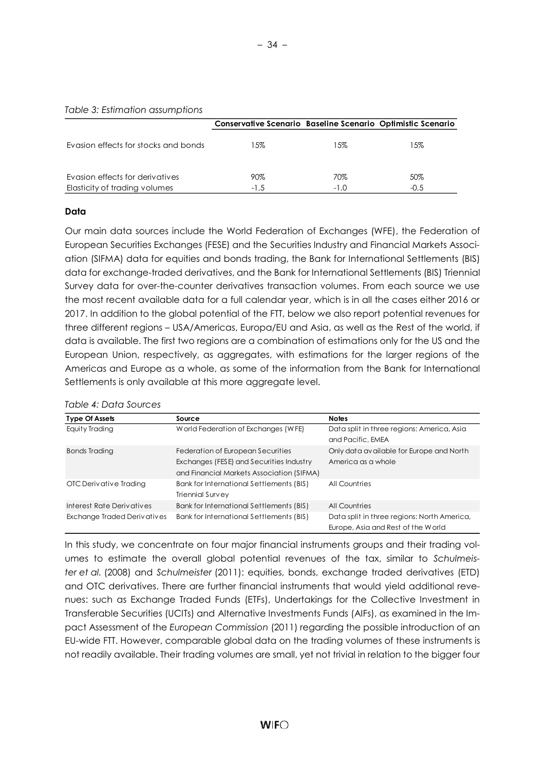#### *Table 3: Estimation assumptions*

|                                                                  | <b>Conservative Scenario Baseline Scenario Optimistic Scenario</b> |               |               |
|------------------------------------------------------------------|--------------------------------------------------------------------|---------------|---------------|
| Evasion effects for stocks and bonds                             | 15%                                                                | 15%           | 15%           |
| Evasion effects for derivatives<br>Elasticity of trading volumes | $90\%$<br>$-1.5$                                                   | 70%<br>$-1.0$ | 50%<br>$-0.5$ |

#### **Data**

Our main data sources include the World Federation of Exchanges (WFE), the Federation of European Securities Exchanges (FESE) and the Securities Industry and Financial Markets Association (SIFMA) data for equities and bonds trading, the Bank for International Settlements (BIS) data for exchange-traded derivatives, and the Bank for International Settlements (BIS) Triennial Survey data for over-the-counter derivatives transaction volumes. From each source we use the most recent available data for a full calendar year, which is in all the cases either 2016 or 2017. In addition to the global potential of the FTT, below we also report potential revenues for three different regions – USA/Americas, Europa/EU and Asia, as well as the Rest of the world, if data is available. The first two regions are a combination of estimations only for the US and the European Union, respectively, as aggregates, with estimations for the larger regions of the Americas and Europe as a whole, as some of the information from the Bank for International Settlements is only available at this more aggregate level.

#### *Table 4: Data Sources*

| <b>Type Of Assets</b>       | Source                                    | <b>Notes</b>                                |
|-----------------------------|-------------------------------------------|---------------------------------------------|
| Equity Trading              | World Federation of Exchanges (WFE)       | Data split in three regions: America, Asia  |
|                             |                                           | and Pacific, EMEA                           |
| <b>Bonds Trading</b>        | Federation of European Securities         | Only data available for Europe and North    |
|                             | Exchanges (FESE) and Securities Industry  | America as a whole                          |
|                             | and Financial Markets Association (SIFMA) |                                             |
| OTC Derivative Trading      | Bank for International Settlements (BIS)  | <b>All Countries</b>                        |
|                             | Triennial Survey                          |                                             |
| Interest Rate Derivatives   | Bank for International Settlements (BIS)  | <b>All Countries</b>                        |
| Exchange Traded Derivatives | Bank for International Settlements (BIS)  | Data split in three regions: North America, |
|                             |                                           | Europe, Asia and Rest of the World          |

In this study, we concentrate on four major financial instruments groups and their trading volumes to estimate the overall global potential revenues of the tax, similar to *Schulmeister et al.* (2008) and *Schulmeister* (2011): equities, bonds, exchange traded derivatives (ETD) and OTC derivatives. There are further financial instruments that would yield additional revenues: such as Exchange Traded Funds (ETFs), Undertakings for the Collective Investment in Transferable Securities (UCITs) and Alternative Investments Funds (AIFs), as examined in the Impact Assessment of the *European Commission* (2011) regarding the possible introduction of an EU-wide FTT. However, comparable global data on the trading volumes of these instruments is not readily available. Their trading volumes are small, yet not trivial in relation to the bigger four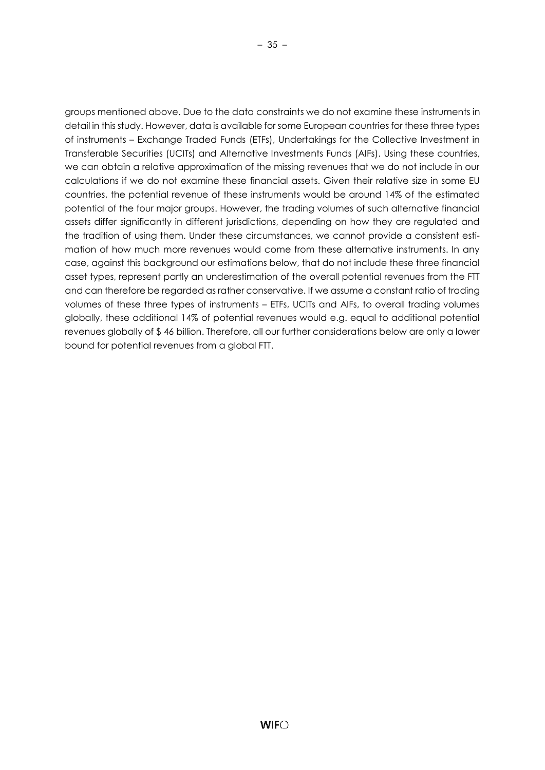groups mentioned above. Due to the data constraints we do not examine these instruments in detail in this study. However, data is available for some European countries for these three types of instruments – Exchange Traded Funds (ETFs), Undertakings for the Collective Investment in Transferable Securities (UCITs) and Alternative Investments Funds (AIFs). Using these countries, we can obtain a relative approximation of the missing revenues that we do not include in our calculations if we do not examine these financial assets. Given their relative size in some EU countries, the potential revenue of these instruments would be around 14% of the estimated potential of the four major groups. However, the trading volumes of such alternative financial assets differ significantly in different jurisdictions, depending on how they are regulated and the tradition of using them. Under these circumstances, we cannot provide a consistent estimation of how much more revenues would come from these alternative instruments. In any case, against this background our estimations below, that do not include these three financial asset types, represent partly an underestimation of the overall potential revenues from the FTT and can therefore be regarded as rather conservative. If we assume a constant ratio of trading

volumes of these three types of instruments – ETFs, UCITs and AIFs, to overall trading volumes globally, these additional 14% of potential revenues would e.g. equal to additional potential revenues globally of \$ 46 billion. Therefore, all our further considerations below are only a lower bound for potential revenues from a global FTT.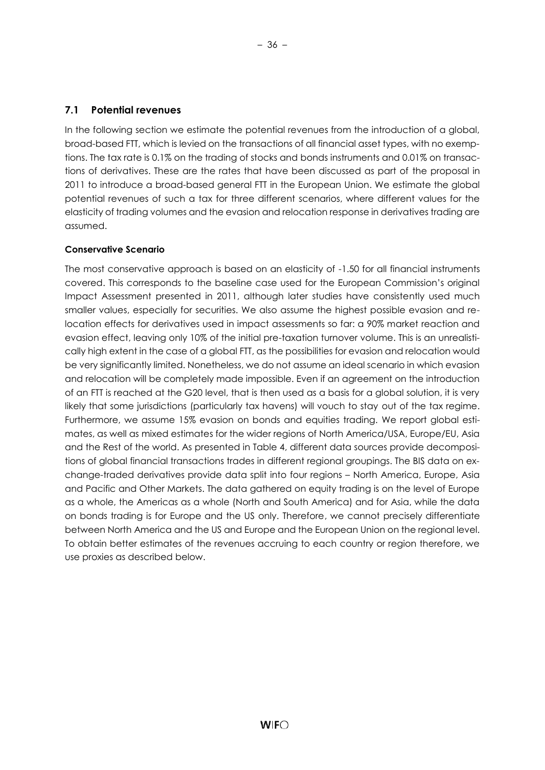## <span id="page-40-0"></span>**7.1 Potential revenues**

In the following section we estimate the potential revenues from the introduction of a global, broad-based FTT, which is levied on the transactions of all financial asset types, with no exemptions. The tax rate is 0.1% on the trading of stocks and bonds instruments and 0.01% on transactions of derivatives. These are the rates that have been discussed as part of the proposal in 2011 to introduce a broad-based general FTT in the European Union. We estimate the global potential revenues of such a tax for three different scenarios, where different values for the elasticity of trading volumes and the evasion and relocation response in derivatives trading are assumed.

## **Conservative Scenario**

The most conservative approach is based on an elasticity of -1.50 for all financial instruments covered. This corresponds to the baseline case used for the European Commission's original Impact Assessment presented in 2011, although later studies have consistently used much smaller values, especially for securities. We also assume the highest possible evasion and relocation effects for derivatives used in impact assessments so far: a 90% market reaction and evasion effect, leaving only 10% of the initial pre-taxation turnover volume. This is an unrealistically high extent in the case of a global FTT, as the possibilities for evasion and relocation would be very significantly limited. Nonetheless, we do not assume an ideal scenario in which evasion and relocation will be completely made impossible. Even if an agreement on the introduction of an FTT is reached at the G20 level, that is then used as a basis for a global solution, it is very likely that some jurisdictions (particularly tax havens) will vouch to stay out of the tax regime. Furthermore, we assume 15% evasion on bonds and equities trading. We report global estimates, as well as mixed estimates for the wider regions of North America/USA, Europe/EU, Asia and the Rest of the world. As presented in Table 4, different data sources provide decompositions of global financial transactions trades in different regional groupings. The BIS data on exchange-traded derivatives provide data split into four regions – North America, Europe, Asia and Pacific and Other Markets. The data gathered on equity trading is on the level of Europe as a whole, the Americas as a whole (North and South America) and for Asia, while the data on bonds trading is for Europe and the US only. Therefore, we cannot precisely differentiate between North America and the US and Europe and the European Union on the regional level. To obtain better estimates of the revenues accruing to each country or region therefore, we use proxies as described below.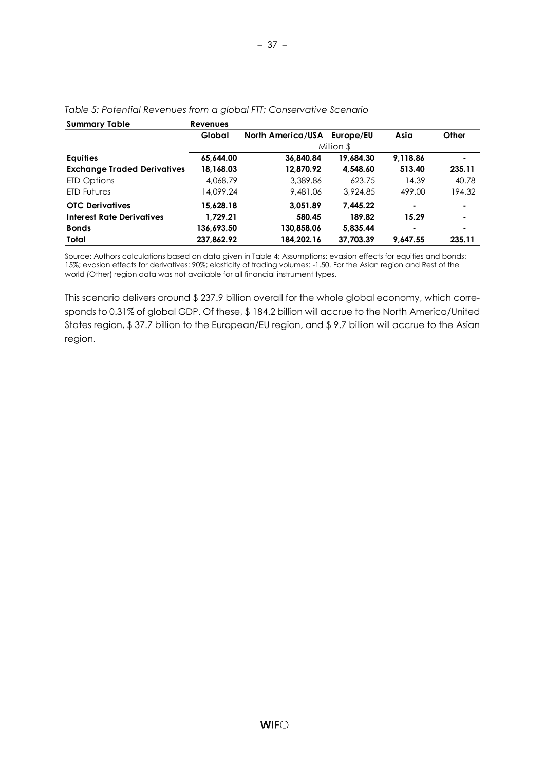| <b>Summary Table</b>               | <b>Revenues</b> |                             |            |          |                |
|------------------------------------|-----------------|-----------------------------|------------|----------|----------------|
|                                    | Global          | North America/USA Europe/EU |            | Asia     | Other          |
|                                    |                 |                             | Million \$ |          |                |
| <b>Equities</b>                    | 65,644.00       | 36,840.84                   | 19,684.30  | 9,118.86 |                |
| <b>Exchange Traded Derivatives</b> | 18,168.03       | 12.870.92                   | 4.548.60   | 513.40   | 235.11         |
| ETD Options                        | 4,068.79        | 3,389.86                    | 623.75     | 14.39    | 40.78          |
| <b>ETD Futures</b>                 | 14,099.24       | 9,481.06                    | 3.924.85   | 499.00   | 194.32         |
| <b>OTC Derivatives</b>             | 15,628.18       | 3,051.89                    | 7.445.22   | ٠        | $\blacksquare$ |
| Interest Rate Derivatives          | 1,729.21        | 580.45                      | 189.82     | 15.29    | $\blacksquare$ |
| <b>Bonds</b>                       | 136,693.50      | 130,858.06                  | 5,835.44   | ٠        | ۰              |
| Total                              | 237,862.92      | 184,202.16                  | 37,703.39  | 9.647.55 | 235.11         |

– 37 –

#### *Table 5: Potential Revenues from a global FTT; Conservative Scenario*

Source: Authors calculations based on data given in Table 4; Assumptions: evasion effects for equities and bonds: 15%; evasion effects for derivatives: 90%; elasticity of trading volumes: -1.50. For the Asian region and Rest of the world (Other) region data was not available for all financial instrument types.

This scenario delivers around \$ 237.9 billion overall for the whole global economy, which corresponds to 0.31% of global GDP. Of these, \$ 184.2 billion will accrue to the North America/United States region, \$ 37.7 billion to the European/EU region, and \$ 9.7 billion will accrue to the Asian region.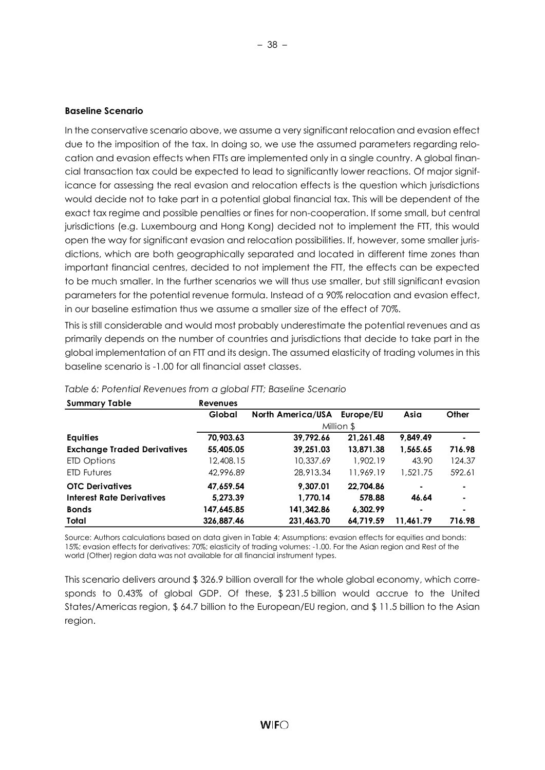#### **Baseline Scenario**

In the conservative scenario above, we assume a very significant relocation and evasion effect due to the imposition of the tax. In doing so, we use the assumed parameters regarding relocation and evasion effects when FTTs are implemented only in a single country. A global financial transaction tax could be expected to lead to significantly lower reactions. Of major significance for assessing the real evasion and relocation effects is the question which jurisdictions would decide not to take part in a potential global financial tax. This will be dependent of the exact tax regime and possible penalties or fines for non-cooperation. If some small, but central jurisdictions (e.g. Luxembourg and Hong Kong) decided not to implement the FTT, this would open the way for significant evasion and relocation possibilities. If, however, some smaller jurisdictions, which are both geographically separated and located in different time zones than important financial centres, decided to not implement the FTT, the effects can be expected to be much smaller. In the further scenarios we will thus use smaller, but still significant evasion parameters for the potential revenue formula. Instead of a 90% relocation and evasion effect, in our baseline estimation thus we assume a smaller size of the effect of 70%.

This is still considerable and would most probably underestimate the potential revenues and as primarily depends on the number of countries and jurisdictions that decide to take part in the global implementation of an FTT and its design. The assumed elasticity of trading volumes in this baseline scenario is -1.00 for all financial asset classes.

| <b>Summary Table</b>               | <b>Revenues</b> |                   |            |                |                |
|------------------------------------|-----------------|-------------------|------------|----------------|----------------|
|                                    | Global          | North America/USA | Europe/EU  | Asia           | Other          |
|                                    |                 |                   | Million \$ |                |                |
| <b>Equities</b>                    | 70.903.63       | 39.792.66         | 21.261.48  | 9.849.49       | ۰              |
| <b>Exchange Traded Derivatives</b> | 55,405.05       | 39,251.03         | 13,871.38  | 1,565.65       | 716.98         |
| ETD Options                        | 12,408.15       | 10,337.69         | 1.902.19   | 43.90          | 124.37         |
| <b>ETD Futures</b>                 | 42,996.89       | 28,913.34         | 11,969.19  | 1,521.75       | 592.61         |
| <b>OTC Derivatives</b>             | 47.659.54       | 9.307.01          | 22.704.86  | $\blacksquare$ | $\blacksquare$ |
| Interest Rate Derivatives          | 5.273.39        | 1.770.14          | 578.88     | 46.64          |                |
| <b>Bonds</b>                       | 147,645.85      | 141,342.86        | 6,302.99   | ٠              | ۰              |
| Total                              | 326,887.46      | 231,463.70        | 64,719.59  | 11.461.79      | 716.98         |

#### *Table 6: Potential Revenues from a global FTT; Baseline Scenario*

Source: Authors calculations based on data given in Table 4; Assumptions: evasion effects for equities and bonds: 15%; evasion effects for derivatives: 70%; elasticity of trading volumes: -1.00. For the Asian region and Rest of the world (Other) region data was not available for all financial instrument types.

This scenario delivers around \$ 326.9 billion overall for the whole global economy, which corresponds to 0.43% of global GDP. Of these, \$ 231.5 billion would accrue to the United States/Americas region, \$ 64.7 billion to the European/EU region, and \$ 11.5 billion to the Asian region.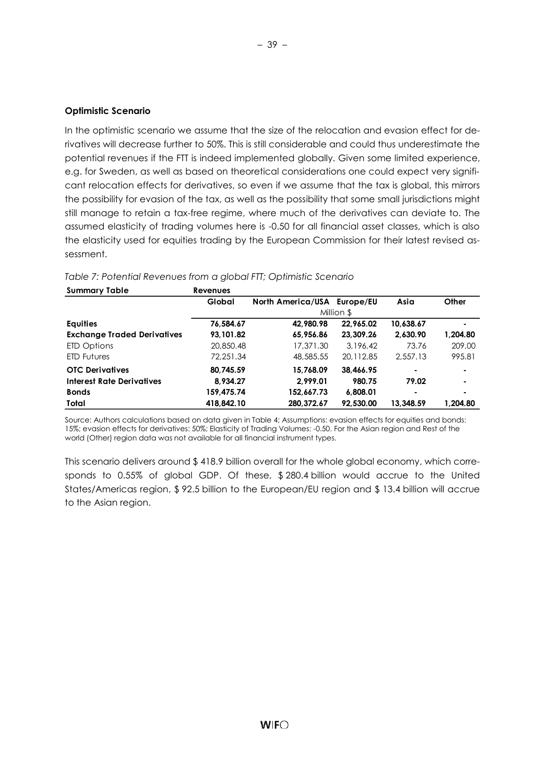#### **Optimistic Scenario**

In the optimistic scenario we assume that the size of the relocation and evasion effect for derivatives will decrease further to 50%. This is still considerable and could thus underestimate the potential revenues if the FTT is indeed implemented globally. Given some limited experience, e.g. for Sweden, as well as based on theoretical considerations one could expect very significant relocation effects for derivatives, so even if we assume that the tax is global, this mirrors the possibility for evasion of the tax, as well as the possibility that some small jurisdictions might still manage to retain a tax-free regime, where much of the derivatives can deviate to. The assumed elasticity of trading volumes here is -0.50 for all financial asset classes, which is also the elasticity used for equities trading by the European Commission for their latest revised assessment.

| <b>Summary Table</b>               | <b>Revenues</b> |                             |            |           |          |
|------------------------------------|-----------------|-----------------------------|------------|-----------|----------|
|                                    | Global          | North America/USA Europe/EU |            | Asia      | Other    |
|                                    |                 |                             | Million \$ |           |          |
| <b>Equities</b>                    | 76,584.67       | 42,980.98                   | 22,965.02  | 10,638.67 | ۰        |
| <b>Exchange Traded Derivatives</b> | 93.101.82       | 65,956.86                   | 23.309.26  | 2.630.90  | 1,204.80 |
| ETD Options                        | 20,850.48       | 17,371.30                   | 3,196.42   | 73.76     | 209.00   |
| <b>ETD Futures</b>                 | 72,251.34       | 48,585.55                   | 20.112.85  | 2.557.13  | 995.81   |
| <b>OTC Derivatives</b>             | 80,745.59       | 15.768.09                   | 38.466.95  |           | ۰        |
| Interest Rate Derivatives          | 8.934.27        | 2.999.01                    | 980.75     | 79.02     | ۰        |
| <b>Bonds</b>                       | 159,475.74      | 152.667.73                  | 6.808.01   |           | ۰        |
| Total                              | 418.842.10      | 280,372.67                  | 92.530.00  | 13.348.59 | 1.204.80 |

#### *Table 7: Potential Revenues from a global FTT; Optimistic Scenario*

Source: Authors calculations based on data given in Table 4; Assumptions: evasion effects for equities and bonds: 15%; evasion effects for derivatives: 50%; Elasticity of Trading Volumes: -0.50. For the Asian region and Rest of the world (Other) region data was not available for all financial instrument types.

This scenario delivers around \$ 418.9 billion overall for the whole global economy, which corresponds to 0.55% of global GDP. Of these, \$ 280.4 billion would accrue to the United States/Americas region, \$ 92.5 billion to the European/EU region and \$ 13.4 billion will accrue to the Asian region.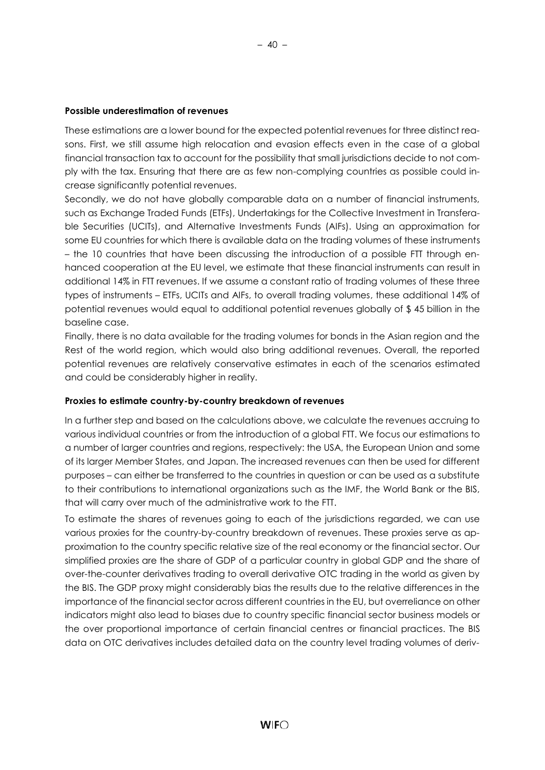These estimations are a lower bound for the expected potential revenues for three distinct reasons. First, we still assume high relocation and evasion effects even in the case of a global financial transaction tax to account for the possibility that small jurisdictions decide to not comply with the tax. Ensuring that there are as few non-complying countries as possible could increase significantly potential revenues.

Secondly, we do not have globally comparable data on a number of financial instruments, such as Exchange Traded Funds (ETFs), Undertakings for the Collective Investment in Transferable Securities (UCITs), and Alternative Investments Funds (AIFs). Using an approximation for some EU countries for which there is available data on the trading volumes of these instruments – the 10 countries that have been discussing the introduction of a possible FTT through enhanced cooperation at the EU level, we estimate that these financial instruments can result in additional 14% in FTT revenues. If we assume a constant ratio of trading volumes of these three types of instruments – ETFs, UCITs and AIFs, to overall trading volumes, these additional 14% of potential revenues would equal to additional potential revenues globally of \$ 45 billion in the baseline case.

Finally, there is no data available for the trading volumes for bonds in the Asian region and the Rest of the world region, which would also bring additional revenues. Overall, the reported potential revenues are relatively conservative estimates in each of the scenarios estimated and could be considerably higher in reality.

#### **Proxies to estimate country-by-country breakdown of revenues**

In a further step and based on the calculations above, we calculate the revenues accruing to various individual countries or from the introduction of a global FTT. We focus our estimations to a number of larger countries and regions, respectively: the USA, the European Union and some of its larger Member States, and Japan. The increased revenues can then be used for different purposes – can either be transferred to the countries in question or can be used as a substitute to their contributions to international organizations such as the IMF, the World Bank or the BIS, that will carry over much of the administrative work to the FTT.

To estimate the shares of revenues going to each of the jurisdictions regarded, we can use various proxies for the country-by-country breakdown of revenues. These proxies serve as approximation to the country specific relative size of the real economy or the financial sector. Our simplified proxies are the share of GDP of a particular country in global GDP and the share of over-the-counter derivatives trading to overall derivative OTC trading in the world as given by the BIS. The GDP proxy might considerably bias the results due to the relative differences in the importance of the financial sector across different countries in the EU, but overreliance on other indicators might also lead to biases due to country specific financial sector business models or the over proportional importance of certain financial centres or financial practices. The BIS data on OTC derivatives includes detailed data on the country level trading volumes of deriv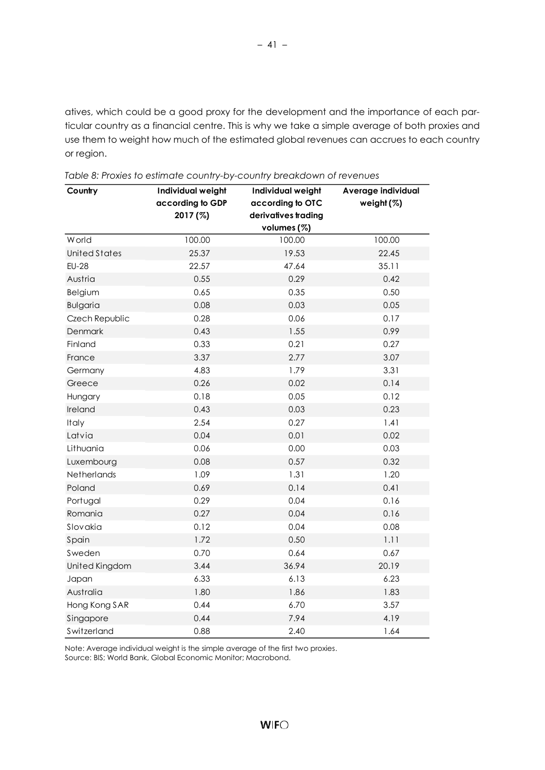atives, which could be a good proxy for the development and the importance of each particular country as a financial centre. This is why we take a simple average of both proxies and use them to weight how much of the estimated global revenues can accrues to each country or region.

| Country              | Individual weight | Individual weight   | Average individual |
|----------------------|-------------------|---------------------|--------------------|
|                      | according to GDP  | according to OTC    | weight $(%)$       |
|                      | 2017 (%)          | derivatives trading |                    |
|                      |                   | volumes (%)         |                    |
| <b>W</b> orld        | 100.00            | 100.00              | 100.00             |
| <b>United States</b> | 25.37             | 19.53               | 22.45              |
| <b>EU-28</b>         | 22.57             | 47.64               | 35.11              |
| Austria              | 0.55              | 0.29                | 0.42               |
| Belgium              | 0.65              | 0.35                | 0.50               |
| <b>Bulgaria</b>      | 0.08              | 0.03                | 0.05               |
| Czech Republic       | 0.28              | 0.06                | 0.17               |
| Denmark              | 0.43              | 1.55                | 0.99               |
| Finland              | 0.33              | 0.21                | 0.27               |
| France               | 3.37              | 2.77                | 3.07               |
| Germany              | 4.83              | 1.79                | 3.31               |
| Greece               | 0.26              | 0.02                | 0.14               |
| Hungary              | 0.18              | 0.05                | 0.12               |
| Ireland              | 0.43              | 0.03                | 0.23               |
| Italy                | 2.54              | 0.27                | 1.41               |
| Latvia               | 0.04              | 0.01                | 0.02               |
| Lithuania            | 0.06              | 0.00                | 0.03               |
| Luxembourg           | 0.08              | 0.57                | 0.32               |
| Netherlands          | 1.09              | 1.31                | 1.20               |
| Poland               | 0.69              | 0.14                | 0.41               |
| Portugal             | 0.29              | 0.04                | 0.16               |
| Romania              | 0.27              | 0.04                | 0.16               |
| Slovakia             | 0.12              | 0.04                | 0.08               |
| Spain                | 1.72              | 0.50                | 1.11               |
| Sweden               | 0.70              | 0.64                | 0.67               |
| United Kingdom       | 3.44              | 36.94               | 20.19              |
| Japan                | 6.33              | 6.13                | 6.23               |
| Australia            | 1.80              | 1.86                | 1.83               |
| Hong Kong SAR        | 0.44              | 6.70                | 3.57               |
| Singapore            | 0.44              | 7.94                | 4.19               |
| Switzerland          | 0.88              | 2.40                | 1.64               |

Note: Average individual weight is the simple average of the first two proxies.

Source: BIS; World Bank, Global Economic Monitor; Macrobond.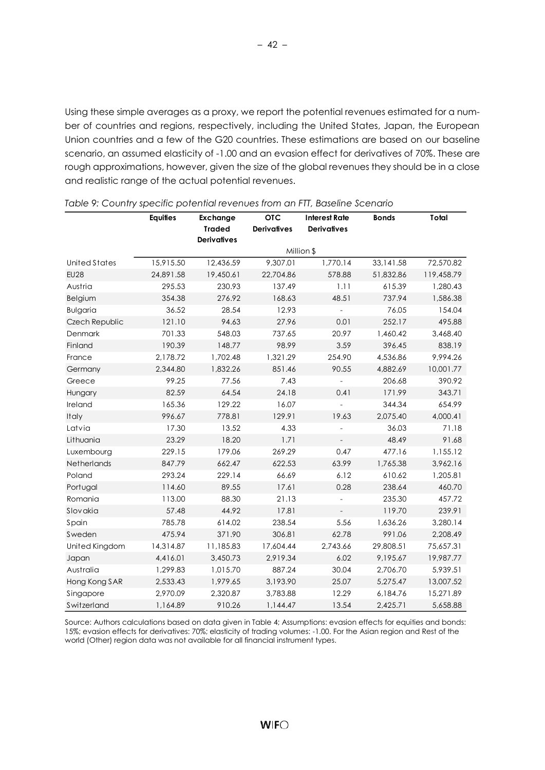Using these simple averages as a proxy, we report the potential revenues estimated for a number of countries and regions, respectively, including the United States, Japan, the European Union countries and a few of the G20 countries. These estimations are based on our baseline scenario, an assumed elasticity of -1.00 and an evasion effect for derivatives of 70%. These are rough approximations, however, given the size of the global revenues they should be in a close and realistic range of the actual potential revenues.

|                      | <b>Equities</b> | Exchange<br><b>Traded</b> | <b>OTC</b><br><b>Derivatives</b> | <b>Interest Rate</b><br><b>Derivatives</b> | <b>Bonds</b> | Total      |
|----------------------|-----------------|---------------------------|----------------------------------|--------------------------------------------|--------------|------------|
|                      |                 | <b>Derivatives</b>        |                                  |                                            |              |            |
|                      |                 |                           |                                  | Million \$                                 |              |            |
| <b>United States</b> | 15,915.50       | 12,436.59                 | 9,307.01                         | 1,770.14                                   | 33,141.58    | 72,570.82  |
| <b>EU28</b>          | 24,891.58       | 19,450.61                 | 22,704.86                        | 578.88                                     | 51,832.86    | 119,458.79 |
| Austria              | 295.53          | 230.93                    | 137.49                           | 1.11                                       | 615.39       | 1,280.43   |
| Belgium              | 354.38          | 276.92                    | 168.63                           | 48.51                                      | 737.94       | 1,586.38   |
| <b>Bulgaria</b>      | 36.52           | 28.54                     | 12.93                            | $\overline{\phantom{0}}$                   | 76.05        | 154.04     |
| Czech Republic       | 121.10          | 94.63                     | 27.96                            | 0.01                                       | 252.17       | 495.88     |
| Denmark              | 701.33          | 548.03                    | 737.65                           | 20.97                                      | 1,460.42     | 3,468.40   |
| Finland              | 190.39          | 148.77                    | 98.99                            | 3.59                                       | 396.45       | 838.19     |
| France               | 2,178.72        | 1,702.48                  | 1,321.29                         | 254.90                                     | 4,536.86     | 9,994.26   |
| Germany              | 2,344.80        | 1,832.26                  | 851.46                           | 90.55                                      | 4,882.69     | 10,001.77  |
| Greece               | 99.25           | 77.56                     | 7.43                             |                                            | 206.68       | 390.92     |
| Hungary              | 82.59           | 64.54                     | 24.18                            | 0.41                                       | 171.99       | 343.71     |
| Ireland              | 165.36          | 129.22                    | 16.07                            |                                            | 344.34       | 654.99     |
| Italy                | 996.67          | 778.81                    | 129.91                           | 19.63                                      | 2,075.40     | 4,000.41   |
| Latvia               | 17.30           | 13.52                     | 4.33                             |                                            | 36.03        | 71.18      |
| Lithuania            | 23.29           | 18.20                     | 1.71                             |                                            | 48.49        | 91.68      |
| Luxembourg           | 229.15          | 179.06                    | 269.29                           | 0.47                                       | 477.16       | 1,155.12   |
| Netherlands          | 847.79          | 662.47                    | 622.53                           | 63.99                                      | 1,765.38     | 3,962.16   |
| Poland               | 293.24          | 229.14                    | 66.69                            | 6.12                                       | 610.62       | 1,205.81   |
| Portugal             | 114.60          | 89.55                     | 17.61                            | 0.28                                       | 238.64       | 460.70     |
| Romania              | 113.00          | 88.30                     | 21.13                            |                                            | 235.30       | 457.72     |
| Slovakia             | 57.48           | 44.92                     | 17.81                            | $\blacksquare$                             | 119.70       | 239.91     |
| Spain                | 785.78          | 614.02                    | 238.54                           | 5.56                                       | 1,636.26     | 3,280.14   |
| Sweden               | 475.94          | 371.90                    | 306.81                           | 62.78                                      | 991.06       | 2,208.49   |
| United Kingdom       | 14,314.87       | 11,185.83                 | 17,604.44                        | 2,743.66                                   | 29,808.51    | 75,657.31  |
| Japan                | 4,416.01        | 3,450.73                  | 2,919.34                         | 6.02                                       | 9,195.67     | 19,987.77  |
| Australia            | 1,299.83        | 1,015.70                  | 887.24                           | 30.04                                      | 2,706.70     | 5,939.51   |
| Hong Kong SAR        | 2,533.43        | 1,979.65                  | 3,193.90                         | 25.07                                      | 5,275.47     | 13,007.52  |
| Singapore            | 2,970.09        | 2.320.87                  | 3.783.88                         | 12.29                                      | 6,184.76     | 15,271.89  |
| Switzerland          | 1,164.89        | 910.26                    | 1,144.47                         | 13.54                                      | 2,425.71     | 5,658.88   |

*Table 9: Country specific potential revenues from an FTT, Baseline Scenario*

Source: Authors calculations based on data given in Table 4; Assumptions: evasion effects for equities and bonds: 15%; evasion effects for derivatives: 70%; elasticity of trading volumes: -1.00. For the Asian region and Rest of the world (Other) region data was not available for all financial instrument types.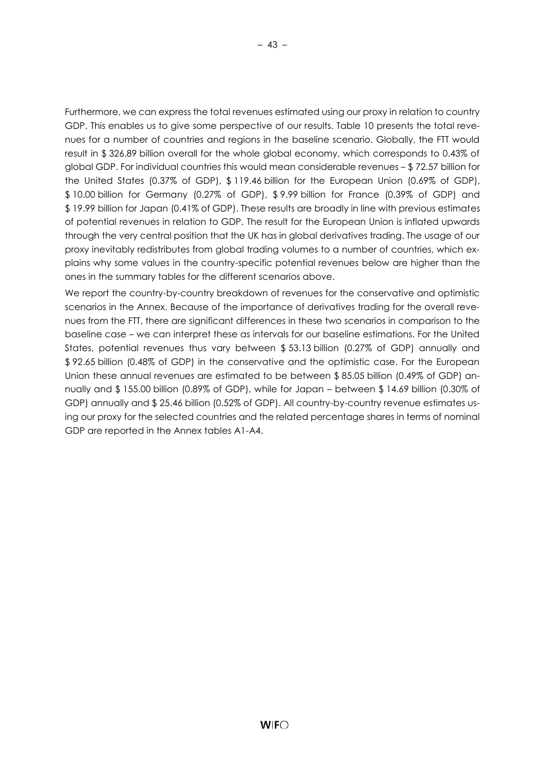Furthermore, we can express the total revenues estimated using our proxy in relation to country GDP. This enables us to give some perspective of our results. Table 10 presents the total revenues for a number of countries and regions in the baseline scenario. Globally, the FTT would result in \$ 326.89 billion overall for the whole global economy, which corresponds to 0.43% of global GDP. For individual countries this would mean considerable revenues – \$ 72.57 billion for the United States (0.37% of GDP), \$ 119.46 billion for the European Union (0.69% of GDP), \$ 10.00 billion for Germany (0.27% of GDP), \$ 9.99 billion for France (0.39% of GDP) and \$ 19.99 billion for Japan (0.41% of GDP). These results are broadly in line with previous estimates of potential revenues in relation to GDP. The result for the European Union is inflated upwards through the very central position that the UK has in global derivatives trading. The usage of our proxy inevitably redistributes from global trading volumes to a number of countries, which explains why some values in the country-specific potential revenues below are higher than the ones in the summary tables for the different scenarios above.

We report the country-by-country breakdown of revenues for the conservative and optimistic scenarios in the Annex. Because of the importance of derivatives trading for the overall revenues from the FTT, there are significant differences in these two scenarios in comparison to the baseline case – we can interpret these as intervals for our baseline estimations. For the United States, potential revenues thus vary between \$ 53.13 billion (0.27% of GDP) annually and \$ 92.65 billion (0.48% of GDP) in the conservative and the optimistic case. For the European Union these annual revenues are estimated to be between \$ 85.05 billion (0.49% of GDP) annually and \$ 155.00 billion (0.89% of GDP), while for Japan – between \$ 14.69 billion (0.30% of GDP) annually and \$ 25.46 billion (0.52% of GDP). All country-by-country revenue estimates using our proxy for the selected countries and the related percentage shares in terms of nominal GDP are reported in the Annex tables A1-A4.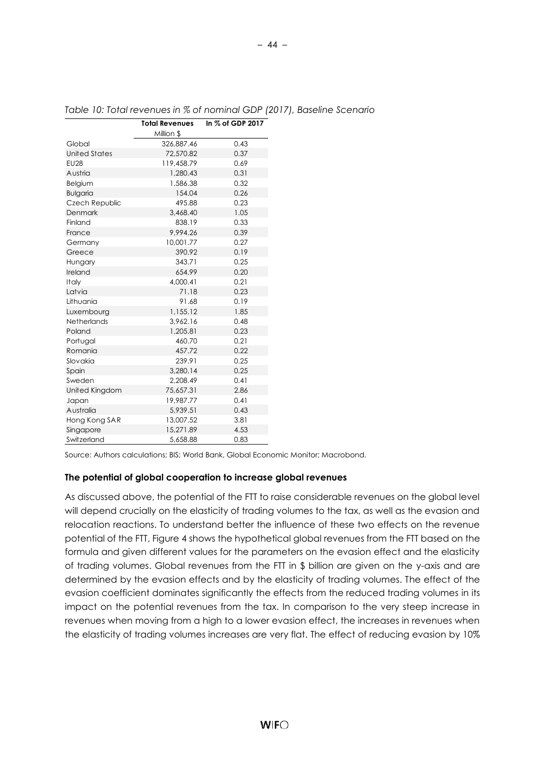|                      | <b>Total Revenues</b> | In % of GDP 2017 |
|----------------------|-----------------------|------------------|
|                      | Million \$            |                  |
| Global               | 326,887.46            | 0.43             |
| <b>United States</b> | 72,570.82             | 0.37             |
| <b>EU28</b>          | 119,458.79            | 0.69             |
| Austria              | 1,280.43              | 0.31             |
| Belgium              | 1,586.38              | 0.32             |
| <b>Bulgaria</b>      | 154.04                | 0.26             |
| Czech Republic       | 495.88                | 0.23             |
| Denmark              | 3,468.40              | 1.05             |
| Finland              | 838.19                | 0.33             |
| France               | 9.994.26              | 0.39             |
| Germany              | 10,001.77             | 0.27             |
| Greece               | 390.92                | 0.19             |
| Hungary              | 343.71                | 0.25             |
| Ireland              | 654.99                | 0.20             |
| Italy                | 4.000.41              | 0.21             |
| Latvia               | 71.18                 | 0.23             |
| Lithuania            | 91.68                 | 0.19             |
| Luxembourg           | 1,155.12              | 1.85             |
| <b>Netherlands</b>   | 3,962.16              | 0.48             |
| Poland               | 1.205.81              | 0.23             |
| Portugal             | 460.70                | 0.21             |
| Romania              | 457.72                | 0.22             |
| Slovakia             | 239.91                | 0.25             |
| Spain                | 3,280.14              | 0.25             |
| Sweden               | 2.208.49              | 0.41             |
| United Kingdom       | 75,657.31             | 2.86             |
| Japan                | 19,987.77             | 0.41             |
| Australia            | 5,939.51              | 0.43             |
| Hong Kong SAR        | 13,007.52             | 3.81             |
| Singapore            | 15,271.89             | 4.53             |
| Switzerland          | 5,658.88              | 0.83             |

*Table 10: Total revenues in % of nominal GDP (2017), Baseline Scenario*

Source: Authors calculations; BIS; World Bank, Global Economic Monitor; Macrobond.

#### **The potential of global cooperation to increase global revenues**

As discussed above, the potential of the FTT to raise considerable revenues on the global level will depend crucially on the elasticity of trading volumes to the tax, as well as the evasion and relocation reactions. To understand better the influence of these two effects on the revenue potential of the FTT, Figure 4 shows the hypothetical global revenues from the FTT based on the formula and given different values for the parameters on the evasion effect and the elasticity of trading volumes. Global revenues from the FTT in \$ billion are given on the y-axis and are determined by the evasion effects and by the elasticity of trading volumes. The effect of the evasion coefficient dominates significantly the effects from the reduced trading volumes in its impact on the potential revenues from the tax. In comparison to the very steep increase in revenues when moving from a high to a lower evasion effect, the increases in revenues when the elasticity of trading volumes increases are very flat. The effect of reducing evasion by 10%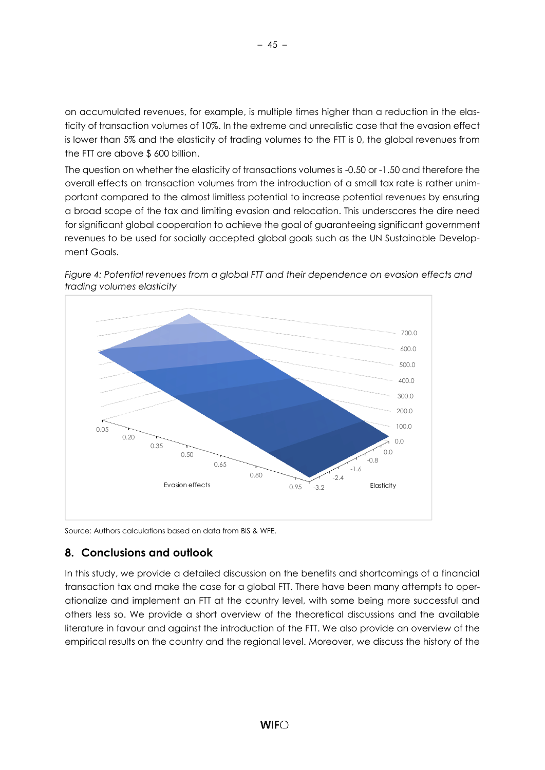on accumulated revenues, for example, is multiple times higher than a reduction in the elasticity of transaction volumes of 10%. In the extreme and unrealistic case that the evasion effect is lower than 5% and the elasticity of trading volumes to the FTT is 0, the global revenues from the FTT are above \$ 600 billion.

The question on whether the elasticity of transactions volumes is -0.50 or -1.50 and therefore the overall effects on transaction volumes from the introduction of a small tax rate is rather unimportant compared to the almost limitless potential to increase potential revenues by ensuring a broad scope of the tax and limiting evasion and relocation. This underscores the dire need for significant global cooperation to achieve the goal of guaranteeing significant government revenues to be used for socially accepted global goals such as the UN Sustainable Development Goals.



*Figure 4: Potential revenues from a global FTT and their dependence on evasion effects and trading volumes elasticity*

Source: Authors calculations based on data from BIS & WFE.

## <span id="page-49-0"></span>**8. Conclusions and outlook**

In this study, we provide a detailed discussion on the benefits and shortcomings of a financial transaction tax and make the case for a global FTT. There have been many attempts to operationalize and implement an FTT at the country level, with some being more successful and others less so. We provide a short overview of the theoretical discussions and the available literature in favour and against the introduction of the FTT. We also provide an overview of the empirical results on the country and the regional level. Moreover, we discuss the history of the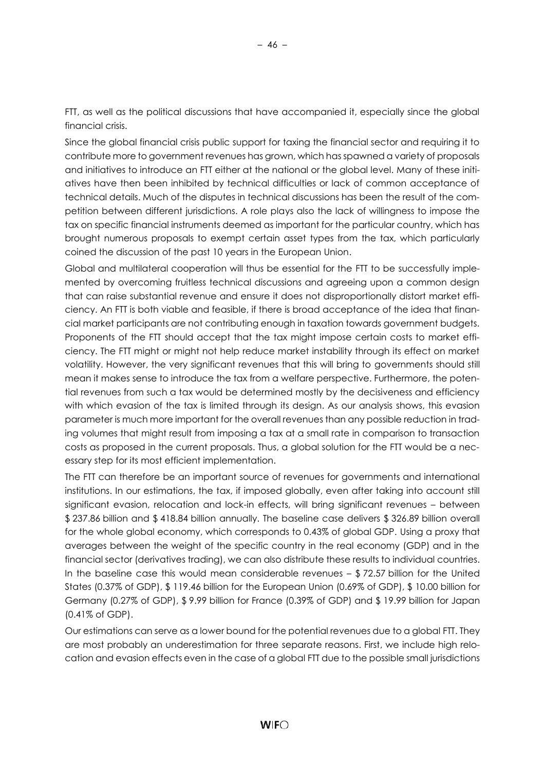FTT, as well as the political discussions that have accompanied it, especially since the global financial crisis.

Since the global financial crisis public support for taxing the financial sector and requiring it to contribute more to government revenues has grown, which has spawned a variety of proposals and initiatives to introduce an FTT either at the national or the global level. Many of these initiatives have then been inhibited by technical difficulties or lack of common acceptance of technical details. Much of the disputes in technical discussions has been the result of the competition between different jurisdictions. A role plays also the lack of willingness to impose the tax on specific financial instruments deemed as important for the particular country, which has brought numerous proposals to exempt certain asset types from the tax, which particularly coined the discussion of the past 10 years in the European Union.

Global and multilateral cooperation will thus be essential for the FTT to be successfully implemented by overcoming fruitless technical discussions and agreeing upon a common design that can raise substantial revenue and ensure it does not disproportionally distort market efficiency. An FTT is both viable and feasible, if there is broad acceptance of the idea that financial market participants are not contributing enough in taxation towards government budgets. Proponents of the FTT should accept that the tax might impose certain costs to market efficiency. The FTT might or might not help reduce market instability through its effect on market volatility. However, the very significant revenues that this will bring to governments should still mean it makes sense to introduce the tax from a welfare perspective. Furthermore, the potential revenues from such a tax would be determined mostly by the decisiveness and efficiency with which evasion of the tax is limited through its design. As our analysis shows, this evasion parameter is much more important for the overall revenues than any possible reduction in trading volumes that might result from imposing a tax at a small rate in comparison to transaction costs as proposed in the current proposals. Thus, a global solution for the FTT would be a necessary step for its most efficient implementation.

The FTT can therefore be an important source of revenues for governments and international institutions. In our estimations, the tax, if imposed globally, even after taking into account still significant evasion, relocation and lock-in effects, will bring significant revenues – between \$ 237.86 billion and \$ 418.84 billion annually. The baseline case delivers \$ 326.89 billion overall for the whole global economy, which corresponds to 0.43% of global GDP. Using a proxy that averages between the weight of the specific country in the real economy (GDP) and in the financial sector (derivatives trading), we can also distribute these results to individual countries. In the baseline case this would mean considerable revenues  $-$  \$72.57 billion for the United States (0.37% of GDP), \$ 119.46 billion for the European Union (0.69% of GDP), \$ 10.00 billion for Germany (0.27% of GDP), \$ 9.99 billion for France (0.39% of GDP) and \$ 19.99 billion for Japan (0.41% of GDP).

Our estimations can serve as a lower bound for the potential revenues due to a global FTT. They are most probably an underestimation for three separate reasons. First, we include high relocation and evasion effects even in the case of a global FTT due to the possible small jurisdictions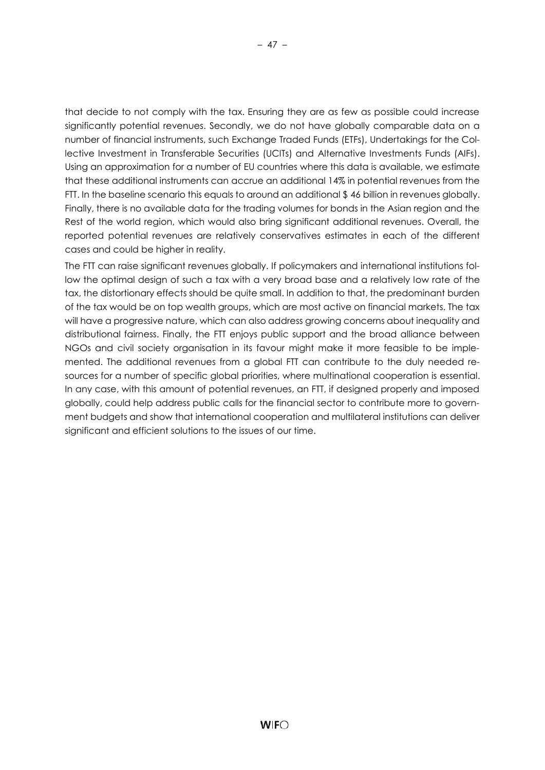that decide to not comply with the tax. Ensuring they are as few as possible could increase significantly potential revenues. Secondly, we do not have globally comparable data on a number of financial instruments, such Exchange Traded Funds (ETFs), Undertakings for the Collective Investment in Transferable Securities (UCITs) and Alternative Investments Funds (AIFs). Using an approximation for a number of EU countries where this data is available, we estimate that these additional instruments can accrue an additional 14% in potential revenues from the FTT. In the baseline scenario this equals to around an additional \$46 billion in revenues globally. Finally, there is no available data for the trading volumes for bonds in the Asian region and the Rest of the world region, which would also bring significant additional revenues. Overall, the reported potential revenues are relatively conservatives estimates in each of the different cases and could be higher in reality.

The FTT can raise significant revenues globally. If policymakers and international institutions follow the optimal design of such a tax with a very broad base and a relatively low rate of the tax, the distortionary effects should be quite small. In addition to that, the predominant burden of the tax would be on top wealth groups, which are most active on financial markets. The tax will have a progressive nature, which can also address growing concerns about inequality and distributional fairness. Finally, the FTT enjoys public support and the broad alliance between NGOs and civil society organisation in its favour might make it more feasible to be implemented. The additional revenues from a global FTT can contribute to the duly needed resources for a number of specific global priorities, where multinational cooperation is essential. In any case, with this amount of potential revenues, an FTT, if designed properly and imposed globally, could help address public calls for the financial sector to contribute more to government budgets and show that international cooperation and multilateral institutions can deliver significant and efficient solutions to the issues of our time.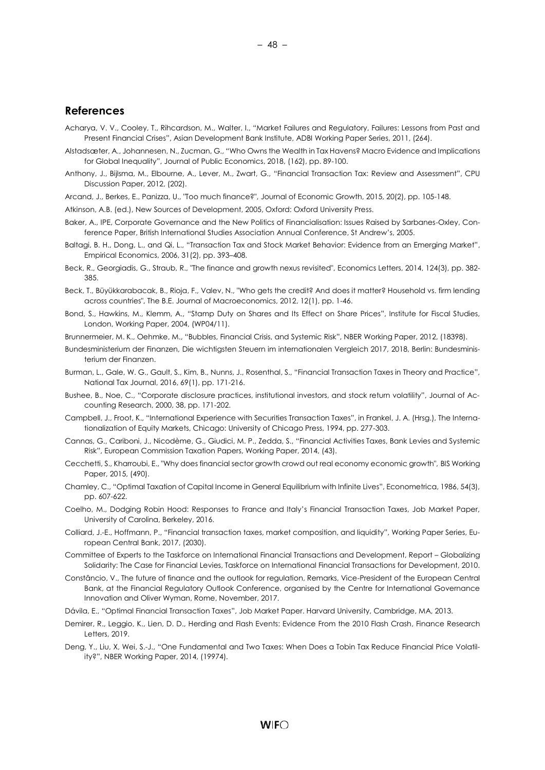#### <span id="page-52-0"></span>**References**

- Acharya, V. V., Cooley, T., Rihcardson, M., Walter, I., "Market Failures and Regulatory, Failures: Lessons from Past and Present Financial Crises", Asian Development Bank Institute, ADBI Working Paper Series, 2011, (264).
- Alstadsæter, A., Johannesen, N., Zucman, G., "Who Owns the Wealth in Tax Havens? Macro Evidence and Implications for Global Inequality", Journal of Public Economics, 2018, (162), pp. 89-100.
- Anthony, J., Bijlsma, M., Elbourne, A., Lever, M., Zwart, G., "Financial Transaction Tax: Review and Assessment", CPU Discussion Paper, 2012, (202).
- Arcand, J., Berkes, E., Panizza, U., "Too much finance?", Journal of Economic Growth, 2015, 20(2), pp. 105-148.

Atkinson, A.B. (ed.), New Sources of Development, 2005, Oxford: Oxford University Press.

- Baker, A., IPE, Corporate Governance and the New Politics of Financialisation: Issues Raised by Sarbanes-Oxley, Conference Paper, British International Studies Association Annual Conference, St Andrew's, 2005.
- Baltagi, B. H., Dong, L., and Qi, L., "Transaction Tax and Stock Market Behavior: Evidence from an Emerging Market", Empirical Economics, 2006, 31(2), pp. 393–408.
- Beck, R., Georgiadis, G., Straub, R., "The finance and growth nexus revisited", Economics Letters, 2014, 124(3), pp. 382- 385.
- Beck, T., Büyükkarabacak, B., Rioja, F., Valev, N., "Who gets the credit? And does it matter? Household vs. firm lending across countries", The B.E. Journal of Macroeconomics, 2012, 12(1), pp. 1-46.
- Bond, S., Hawkins, M., Klemm, A., "Stamp Duty on Shares and Its Effect on Share Prices", Institute for Fiscal Studies, London, Working Paper, 2004, (WP04/11).
- Brunnermeier, M. K., Oehmke, M., "Bubbles, Financial Crisis, and Systemic Risk", NBER Working Paper, 2012, (18398).
- Bundesministerium der Finanzen, Die wichtigsten Steuern im internationalen Vergleich 2017, 2018, Berlin: Bundesministerium der Finanzen.
- Burman, L., Gale, W. G., Gault, S., Kim, B., Nunns, J., Rosenthal, S., "Financial Transaction Taxes in Theory and Practice", National Tax Journal, 2016, 69(1), pp. 171-216.
- Bushee, B., Noe, C., "Corporate disclosure practices, institutional investors, and stock return volatility", Journal of Accounting Research, 2000, 38, pp. 171-202.
- Campbell, J., Froot, K., "International Experience with Securities Transaction Taxes", in Frankel, J. A. (Hrsg.), The Internationalization of Equity Markets, Chicago: University of Chicago Press, 1994, pp. 277-303.
- Cannas, G., Cariboni, J., Nicodème, G., Giudici, M. P., Zedda, S., "Financial Activities Taxes, Bank Levies and Systemic Risk", European Commission Taxation Papers, Working Paper, 2014, (43).
- Cecchetti, S., Kharroubi, E., "Why does financial sector growth crowd out real economy economic growth", BIS Working Paper, 2015, (490).
- Chamley, C., "Optimal Taxation of Capital Income in General Equilibrium with Infinite Lives", Econometrica, 1986, 54(3), pp. 607-622.
- Coelho, M., Dodging Robin Hood: Responses to France and Italy's Financial Transaction Taxes, Job Market Paper, University of Carolina, Berkeley, 2016.
- Colliard, J.-E., Hoffmann, P., "Financial transaction taxes, market composition, and liquidity", Working Paper Series, European Central Bank, 2017, (2030).
- Committee of Experts to the Taskforce on International Financial Transactions and Development, Report Globalizing Solidarity: The Case for Financial Levies, Taskforce on International Financial Transactions for Development, 2010.
- Constâncio, V., The future of finance and the outlook for regulation, Remarks, Vice-President of the European Central Bank, at the Financial Regulatory Outlook Conference, organised by the Centre for International Governance Innovation and Oliver Wyman, Rome, November, 2017.
- Dávila, E., "Optimal Financial Transaction Taxes", Job Market Paper. Harvard University, Cambridge, MA, 2013.
- Demirer, R., Leggio, K., Lien, D. D., Herding and Flash Events: Evidence From the 2010 Flash Crash, Finance Research Letters, 2019.
- Deng, Y., Liu, X, Wei, S.-J., "One Fundamental and Two Taxes: When Does a Tobin Tax Reduce Financial Price Volatility?", NBER Working Paper, 2014, (19974).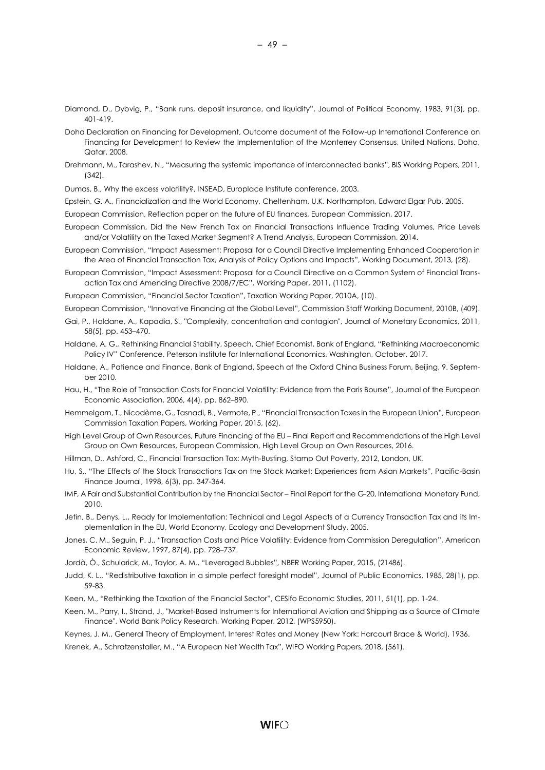- Diamond, D., Dybvig, P., "Bank runs, deposit insurance, and liquidity", Journal of Political Economy, 1983, 91(3), pp. 401-419.
- Doha Declaration on Financing for Development, Outcome document of the Follow-up International Conference on Financing for Development to Review the Implementation of the Monterrey Consensus, United Nations, Doha, Qatar, 2008.
- Drehmann, M., Tarashev, N., "Measuring the systemic importance of interconnected banks", BIS Working Papers, 2011, (342).
- Dumas, B., Why the excess volatility?, INSEAD, Europlace Institute conference, 2003.
- Epstein, G. A., Financialization and the World Economy, Cheltenham, U.K. Northampton, Edward Elgar Pub, 2005.

European Commission, Reflection paper on the future of EU finances, European Commission, 2017.

- European Commission, Did the New French Tax on Financial Transactions Influence Trading Volumes, Price Levels and/or Volatility on the Taxed Market Segment? A Trend Analysis, European Commission, 2014.
- European Commission, "Impact Assessment: Proposal for a Council Directive Implementing Enhanced Cooperation in the Area of Financial Transaction Tax, Analysis of Policy Options and Impacts", Working Document, 2013, (28).
- European Commission, "Impact Assessment: Proposal for a Council Directive on a Common System of Financial Transaction Tax and Amending Directive 2008/7/EC", Working Paper, 2011, (1102).

European Commission, "Financial Sector Taxation", Taxation Working Paper, 2010A, (10).

- European Commission, "Innovative Financing at the Global Level", Commission Staff Working Document, 2010B, (409).
- Gai, P., Haldane, A., Kapadia, S., "Complexity, concentration and contagion", Journal of Monetary Economics, 2011, 58(5), pp. 453–470.
- Haldane, A. G., Rethinking Financial Stability, Speech, Chief Economist, Bank of England, "Rethinking Macroeconomic Policy IV" Conference, Peterson Institute for International Economics, Washington, October, 2017.
- Haldane, A., Patience and Finance, Bank of England, Speech at the Oxford China Business Forum, Beijing, 9. September 2010.
- Hau, H., "The Role of Transaction Costs for Financial Volatility: Evidence from the Paris Bourse", Journal of the European Economic Association, 2006, 4(4), pp. 862–890.
- Hemmelgarn, T., Nicodème, G., Tasnadi, B., Vermote, P., "Financial Transaction Taxes in the European Union", European Commission Taxation Papers, Working Paper, 2015, (62).
- High Level Group of Own Resources, Future Financing of the EU Final Report and Recommendations of the High Level Group on Own Resources, European Commission, High Level Group on Own Resources, 2016.
- Hillman, D., Ashford, C., Financial Transaction Tax: Myth-Busting, Stamp Out Poverty, 2012, London, UK.
- Hu, S., "The Effects of the Stock Transactions Tax on the Stock Market: Experiences from Asian Markets", Pacific-Basin Finance Journal, 1998, 6(3), pp. 347-364.
- IMF, A Fair and Substantial Contribution by the Financial Sector Final Report for the G-20, International Monetary Fund, 2010.
- Jetin, B., Denys, L., Ready for Implementation: Technical and Legal Aspects of a Currency Transaction Tax and its Implementation in the EU, World Economy, Ecology and Development Study, 2005.
- Jones, C. M., Seguin, P. J., "Transaction Costs and Price Volatility: Evidence from Commission Deregulation", American Economic Review, 1997, 87(4), pp. 728–737.
- Jordà, Ò., Schularick, M., Taylor, A. M., "Leveraged Bubbles", NBER Working Paper, 2015, (21486).
- Judd, K. L., "Redistributive taxation in a simple perfect foresight model", Journal of Public Economics, 1985, 28(1), pp. 59-83.
- Keen, M., "Rethinking the Taxation of the Financial Sector", CESifo Economic Studies, 2011, 51(1), pp. 1-24.
- Keen, M., Parry, I., Strand, J., "Market-Based Instruments for International Aviation and Shipping as a Source of Climate Finance", World Bank Policy Research, Working Paper, 2012, (WPS5950).
- Keynes, J. M., General Theory of Employment, Interest Rates and Money (New York: Harcourt Brace & World), 1936.

Krenek, A., Schratzenstaller, M., "A European Net Wealth Tax", WIFO Working Papers, 2018, (561).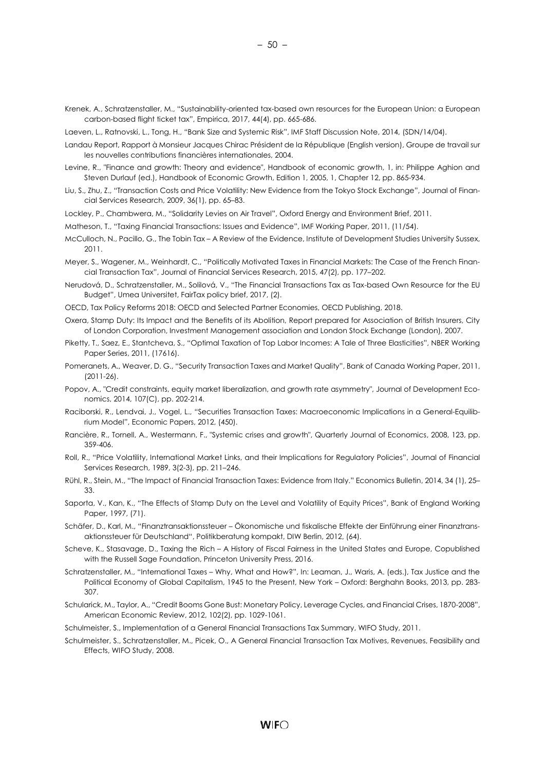Krenek, A., Schratzenstaller, M., "Sustainability-oriented tax-based own resources for the European Union: a European carbon-based flight ticket tax", Empirica, 2017, 44(4), pp. 665-686.

Laeven, L., Ratnovski, L., Tong, H., "Bank Size and Systemic Risk", IMF Staff Discussion Note, 2014, (SDN/14/04).

- Landau Report, Rapport à Monsieur Jacques Chirac Président de la République (English version), Groupe de travail sur les nouvelles contributions financières internationales, 2004.
- Levine, R., "Finance and growth: Theory and evidence", Handbook of economic growth, 1, in: Philippe Aghion and Steven Durlauf (ed.), Handbook of Economic Growth, Edition 1, 2005, 1, Chapter 12, pp. 865-934.
- Liu, S., Zhu, Z., "Transaction Costs and Price Volatility: New Evidence from the Tokyo Stock Exchange", Journal of Financial Services Research, 2009, 36(1), pp. 65–83.
- Lockley, P., Chambwera, M., "Solidarity Levies on Air Travel", Oxford Energy and Environment Brief, 2011.
- Matheson, T., "Taxing Financial Transactions: Issues and Evidence", IMF Working Paper, 2011, (11/54).
- McCulloch, N., Pacillo, G., The Tobin Tax A Review of the Evidence, Institute of Development Studies University Sussex, 2011.
- Meyer, S., Wagener, M., Weinhardt, C., "Politically Motivated Taxes in Financial Markets: The Case of the French Financial Transaction Tax", Journal of Financial Services Research, 2015, 47(2), pp. 177–202.
- Nerudová, D., Schratzenstaller, M., Solilová, V., "The Financial Transactions Tax as Tax-based Own Resource for the EU Budget", Umea Universitet, FairTax policy brief, 2017, (2).
- OECD, Tax Policy Reforms 2018: OECD and Selected Partner Economies, OECD Publishing, 2018.
- Oxera, Stamp Duty: Its Impact and the Benefits of its Abolition, Report prepared for Association of British Insurers, City of London Corporation, Investment Management association and London Stock Exchange (London), 2007.
- Piketty, T., Saez, E., Stantcheva, S., "Optimal Taxation of Top Labor Incomes: A Tale of Three Elasticities", NBER Working Paper Series, 2011, (17616).
- Pomeranets, A., Weaver, D. G., "Security Transaction Taxes and Market Quality", Bank of Canada Working Paper, 2011, (2011-26).
- Popov, A., "Credit constraints, equity market liberalization, and growth rate asymmetry", Journal of Development Economics, 2014, 107(C), pp. 202-214.
- Raciborski, R., Lendvai, J., Vogel, L., "Securities Transaction Taxes: Macroeconomic Implications in a General-Equilibrium Model", Economic Papers, 2012, (450).
- Rancière, R., Tornell, A., Westermann, F., "Systemic crises and growth", Quarterly Journal of Economics, 2008, 123, pp. 359-406.
- Roll, R., "Price Volatility, International Market Links, and their Implications for Regulatory Policies", Journal of Financial Services Research, 1989, 3(2-3), pp. 211–246.
- Rühl, R., Stein, M., "The Impact of Financial Transaction Taxes: Evidence from Italy." Economics Bulletin, 2014, 34 (1), 25– 33.
- Saporta, V., Kan, K., "The Effects of Stamp Duty on the Level and Volatility of Equity Prices", Bank of England Working Paper, 1997, (71).
- Schäfer, D., Karl, M., "Finanztransaktionssteuer Ökonomische und fiskalische Effekte der Einführung einer Finanztransaktionssteuer für Deutschland", Politikberatung kompakt, DIW Berlin, 2012, (64).
- Scheve, K., Stasavage, D., Taxing the Rich A History of Fiscal Fairness in the United States and Europe, Copublished with the Russell Sage Foundation, Princeton University Press, 2016.
- Schratzenstaller, M., "International Taxes Why, What and How?", In: Leaman, J., Waris, A. (eds.), Tax Justice and the Political Economy of Global Capitalism, 1945 to the Present, New York – Oxford: Berghahn Books, 2013, pp. 283- 307.
- Schularick, M., Taylor, A., "Credit Booms Gone Bust: Monetary Policy, Leverage Cycles, and Financial Crises, 1870-2008", American Economic Review, 2012, 102(2), pp. 1029-1061.
- Schulmeister, S., Implementation of a General Financial Transactions Tax Summary, WIFO Study, 2011.
- Schulmeister, S., Schratzenstaller, M., Picek, O., A General Financial Transaction Tax Motives, Revenues, Feasibility and Effects, WIFO Study, 2008.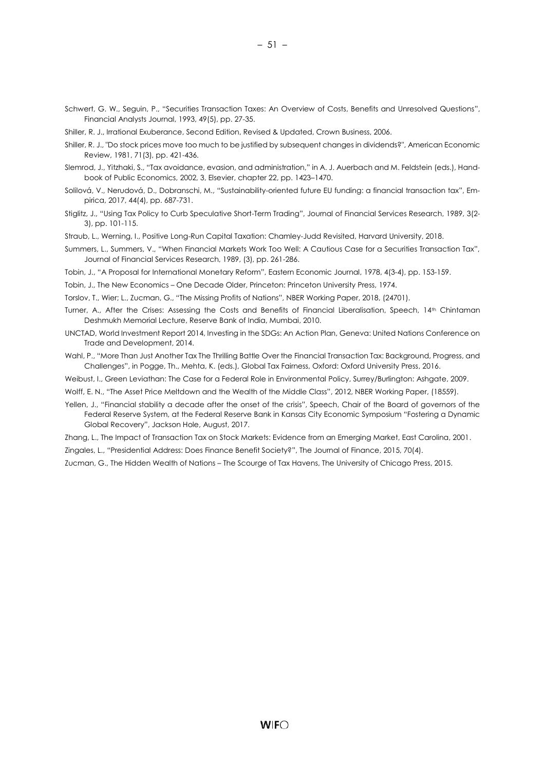Schwert, G. W., Seguin, P., "Securities Transaction Taxes: An Overview of Costs, Benefits and Unresolved Questions", Financial Analysts Journal, 1993, 49(5), pp. 27-35.

Shiller, R. J., Irrational Exuberance, Second Edition, Revised & Updated, Crown Business, 2006.

- Shiller, R. J., "Do stock prices move too much to be justified by subsequent changes in dividends?", American Economic Review, 1981, 71(3), pp. 421-436.
- Slemrod, J., Yitzhaki, S., "Tax avoidance, evasion, and administration," in A. J. Auerbach and M. Feldstein (eds.), Handbook of Public Economics, 2002, 3, Elsevier, chapter 22, pp. 1423–1470.
- Solilová, V., Nerudová, D., Dobranschi, M., "Sustainability-oriented future EU funding: a financial transaction tax", Empirica, 2017, 44(4), pp. 687-731.
- Stiglitz, J., "Using Tax Policy to Curb Speculative Short-Term Trading", Journal of Financial Services Research, 1989, 3(2- 3), pp. 101-115.
- Straub, L., Werning, I., Positive Long-Run Capital Taxation: Chamley-Judd Revisited, Harvard University, 2018.
- Summers, L., Summers, V., "When Financial Markets Work Too Well: A Cautious Case for a Securities Transaction Tax", Journal of Financial Services Research, 1989, (3), pp. 261-286.
- Tobin, J., "A Proposal for International Monetary Reform", Eastern Economic Journal, 1978, 4(3-4), pp. 153-159.

Tobin, J., The New Economics – One Decade Older, Princeton: Princeton University Press, 1974.

Torslov, T., Wier; L., Zucman, G., "The Missing Profits of Nations", NBER Working Paper, 2018, (24701).

- Turner, A., After the Crises: Assessing the Costs and Benefits of Financial Liberalisation, Speech, 14th Chintaman Deshmukh Memorial Lecture, Reserve Bank of India, Mumbai, 2010.
- UNCTAD, World Investment Report 2014, Investing in the SDGs: An Action Plan, Geneva: United Nations Conference on Trade and Development, 2014.
- Wahl, P., "More Than Just Another Tax The Thrilling Battle Over the Financial Transaction Tax: Background, Progress, and Challenges", in Pogge, Th., Mehta, K. (eds.), Global Tax Fairness, Oxford: Oxford University Press, 2016.
- Weibust, I., Green Leviathan: The Case for a Federal Role in Environmental Policy, Surrey/Burlington: Ashgate, 2009.
- Wolff, E. N., "The Asset Price Meltdown and the Wealth of the Middle Class", 2012, NBER Working Paper, (18559).
- Yellen, J., "Financial stability a decade after the onset of the crisis", Speech, Chair of the Board of governors of the Federal Reserve System, at the Federal Reserve Bank in Kansas City Economic Symposium "Fostering a Dynamic Global Recovery", Jackson Hole, August, 2017.
- Zhang, L., The Impact of Transaction Tax on Stock Markets: Evidence from an Emerging Market, East Carolina, 2001.
- Zingales, L., "Presidential Address: Does Finance Benefit Society?", The Journal of Finance, 2015, 70(4).
- Zucman, G., The Hidden Wealth of Nations The Scourge of Tax Havens, The University of Chicago Press, 2015.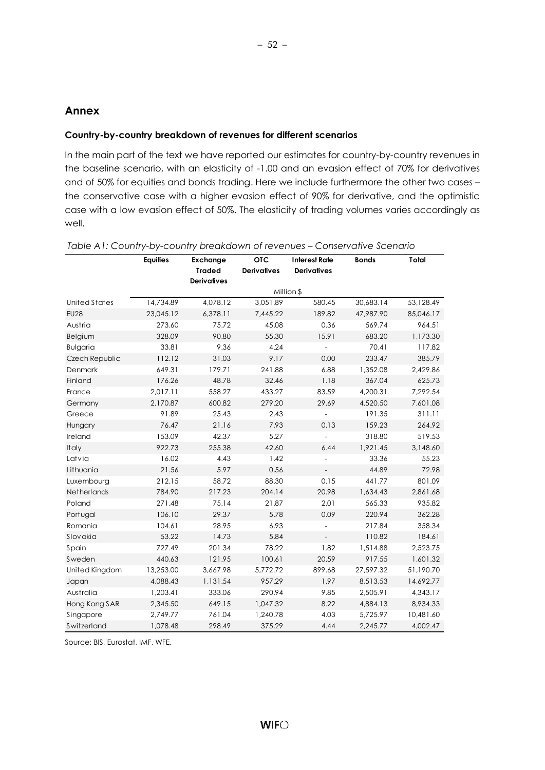## <span id="page-56-0"></span>**Annex**

#### **Country-by-country breakdown of revenues for different scenarios**

In the main part of the text we have reported our estimates for country-by-country revenues in the baseline scenario, with an elasticity of -1.00 and an evasion effect of 70% for derivatives and of 50% for equities and bonds trading. Here we include furthermore the other two cases – the conservative case with a higher evasion effect of 90% for derivative, and the optimistic case with a low evasion effect of 50%. The elasticity of trading volumes varies accordingly as well.

|                 | <b>Equities</b> | <b>Exchange</b>    | <b>OTC</b>         | <b>Interest Rate</b>     | <b>Bonds</b> | Total     |
|-----------------|-----------------|--------------------|--------------------|--------------------------|--------------|-----------|
|                 |                 | <b>Traded</b>      | <b>Derivatives</b> | <b>Derivatives</b>       |              |           |
|                 |                 | <b>Derivatives</b> |                    |                          |              |           |
|                 |                 |                    |                    | Million \$               |              |           |
| United States   | 14,734.89       | 4,078.12           | 3,051.89           | 580.45                   | 30,683.14    | 53,128.49 |
| <b>EU28</b>     | 23,045.12       | 6,378.11           | 7,445.22           | 189.82                   | 47,987.90    | 85,046.17 |
| Austria         | 273.60          | 75.72              | 45.08              | 0.36                     | 569.74       | 964.51    |
| Belgium         | 328.09          | 90.80              | 55.30              | 15.91                    | 683.20       | 1,173.30  |
| <b>Bulgaria</b> | 33.81           | 9.36               | 4.24               |                          | 70.41        | 117.82    |
| Czech Republic  | 112.12          | 31.03              | 9.17               | 0.00                     | 233.47       | 385.79    |
| <b>Denmark</b>  | 649.31          | 179.71             | 241.88             | 6.88                     | 1,352.08     | 2,429.86  |
| Finland         | 176.26          | 48.78              | 32.46              | 1.18                     | 367.04       | 625.73    |
| France          | 2,017.11        | 558.27             | 433.27             | 83.59                    | 4,200.31     | 7,292.54  |
| Germany         | 2,170.87        | 600.82             | 279.20             | 29.69                    | 4,520.50     | 7,601.08  |
| Greece          | 91.89           | 25.43              | 2.43               | $\overline{a}$           | 191.35       | 311.11    |
| Hungary         | 76.47           | 21.16              | 7.93               | 0.13                     | 159.23       | 264.92    |
| Ireland         | 153.09          | 42.37              | 5.27               | $\overline{\phantom{a}}$ | 318.80       | 519.53    |
| Italy           | 922.73          | 255.38             | 42.60              | 6.44                     | 1,921.45     | 3,148.60  |
| Latvia          | 16.02           | 4.43               | 1.42               |                          | 33.36        | 55.23     |
| Lithuania       | 21.56           | 5.97               | 0.56               |                          | 44.89        | 72.98     |
| Luxembourg      | 212.15          | 58.72              | 88.30              | 0.15                     | 441.77       | 801.09    |
| Netherlands     | 784.90          | 217.23             | 204.14             | 20.98                    | 1,634.43     | 2,861.68  |
| Poland          | 271.48          | 75.14              | 21.87              | 2.01                     | 565.33       | 935.82    |
| Portugal        | 106.10          | 29.37              | 5.78               | 0.09                     | 220.94       | 362.28    |
| Romania         | 104.61          | 28.95              | 6.93               |                          | 217.84       | 358.34    |
| Slovakia        | 53.22           | 14.73              | 5.84               | $\overline{\phantom{a}}$ | 110.82       | 184.61    |
| Spain           | 727.49          | 201.34             | 78.22              | 1.82                     | 1,514.88     | 2,523.75  |
| Sweden          | 440.63          | 121.95             | 100.61             | 20.59                    | 917.55       | 1,601.32  |
| United Kingdom  | 13,253.00       | 3,667.98           | 5,772.72           | 899.68                   | 27,597.32    | 51,190.70 |
| Japan           | 4,088.43        | 1,131.54           | 957.29             | 1.97                     | 8,513.53     | 14,692.77 |
| Australia       | 1,203.41        | 333.06             | 290.94             | 9.85                     | 2,505.91     | 4,343.17  |
| Hong Kong SAR   | 2,345.50        | 649.15             | 1,047.32           | 8.22                     | 4,884.13     | 8,934.33  |
| Singapore       | 2,749.77        | 761.04             | 1,240.78           | 4.03                     | 5,725.97     | 10,481.60 |
| Switzerland     | 1,078.48        | 298.49             | 375.29             | 4.44                     | 2,245.77     | 4,002.47  |

| Table A1: Country-by-country breakdown of revenues - Conservative Scenario |  |  |  |  |  |
|----------------------------------------------------------------------------|--|--|--|--|--|
|                                                                            |  |  |  |  |  |

Source: BIS, Eurostat, IMF, WFE.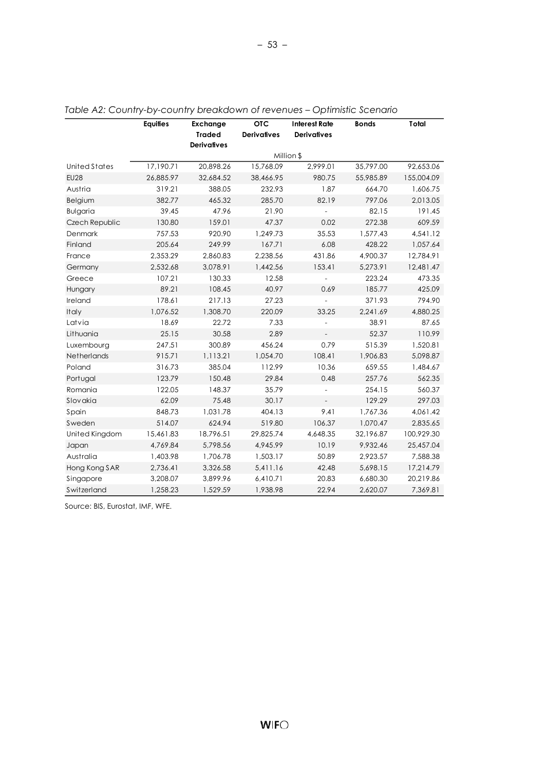|                 | <b>Equities</b> | Exchange<br><b>Traded</b> | <b>OTC</b><br><b>Derivatives</b> | <b>Interest Rate</b><br><b>Derivatives</b> | <b>Bonds</b> | Total      |
|-----------------|-----------------|---------------------------|----------------------------------|--------------------------------------------|--------------|------------|
|                 |                 | <b>Derivatives</b>        |                                  |                                            |              |            |
|                 |                 |                           |                                  | Million \$                                 |              |            |
| United States   | 17,190.71       | 20,898.26                 | 15,768.09                        | 2,999.01                                   | 35,797.00    | 92,653.06  |
| <b>EU28</b>     | 26,885.97       | 32,684.52                 | 38,466.95                        | 980.75                                     | 55,985.89    | 155,004.09 |
| Austria         | 319.21          | 388.05                    | 232.93                           | 1.87                                       | 664.70       | 1,606.75   |
| Belgium         | 382.77          | 465.32                    | 285.70                           | 82.19                                      | 797.06       | 2,013.05   |
| <b>Bulgaria</b> | 39.45           | 47.96                     | 21.90                            |                                            | 82.15        | 191.45     |
| Czech Republic  | 130.80          | 159.01                    | 47.37                            | 0.02                                       | 272.38       | 609.59     |
| Denmark         | 757.53          | 920.90                    | 1,249.73                         | 35.53                                      | 1,577.43     | 4,541.12   |
| Finland         | 205.64          | 249.99                    | 167.71                           | 6.08                                       | 428.22       | 1,057.64   |
| France          | 2,353.29        | 2,860.83                  | 2,238.56                         | 431.86                                     | 4,900.37     | 12,784.91  |
| Germany         | 2,532.68        | 3,078.91                  | 1,442.56                         | 153.41                                     | 5,273.91     | 12,481.47  |
| Greece          | 107.21          | 130.33                    | 12.58                            |                                            | 223.24       | 473.35     |
| Hungary         | 89.21           | 108.45                    | 40.97                            | 0.69                                       | 185.77       | 425.09     |
| Ireland         | 178.61          | 217.13                    | 27.23                            |                                            | 371.93       | 794.90     |
| Italy           | 1,076.52        | 1,308.70                  | 220.09                           | 33.25                                      | 2,241.69     | 4,880.25   |
| Latvia          | 18.69           | 22.72                     | 7.33                             |                                            | 38.91        | 87.65      |
| Lithuania       | 25.15           | 30.58                     | 2.89                             |                                            | 52.37        | 110.99     |
| Luxembourg      | 247.51          | 300.89                    | 456.24                           | 0.79                                       | 515.39       | 1,520.81   |
| Netherlands     | 915.71          | 1,113.21                  | 1,054.70                         | 108.41                                     | 1,906.83     | 5,098.87   |
| Poland          | 316.73          | 385.04                    | 112.99                           | 10.36                                      | 659.55       | 1,484.67   |
| Portugal        | 123.79          | 150.48                    | 29.84                            | 0.48                                       | 257.76       | 562.35     |
| Romania         | 122.05          | 148.37                    | 35.79                            |                                            | 254.15       | 560.37     |
| Slovakia        | 62.09           | 75.48                     | 30.17                            | $\overline{\phantom{a}}$                   | 129.29       | 297.03     |
| Spain           | 848.73          | 1,031.78                  | 404.13                           | 9.41                                       | 1,767.36     | 4,061.42   |
| Sweden          | 514.07          | 624.94                    | 519.80                           | 106.37                                     | 1,070.47     | 2,835.65   |
| United Kingdom  | 15,461.83       | 18,796.51                 | 29,825.74                        | 4,648.35                                   | 32,196.87    | 100,929.30 |
| Japan           | 4,769.84        | 5,798.56                  | 4,945.99                         | 10.19                                      | 9,932.46     | 25,457.04  |
| Australia       | 1,403.98        | 1,706.78                  | 1,503.17                         | 50.89                                      | 2,923.57     | 7,588.38   |
| Hong Kong SAR   | 2,736.41        | 3,326.58                  | 5,411.16                         | 42.48                                      | 5,698.15     | 17,214.79  |
| Singapore       | 3,208.07        | 3,899.96                  | 6,410.71                         | 20.83                                      | 6,680.30     | 20,219.86  |
| Switzerland     | 1,258.23        | 1,529.59                  | 1,938.98                         | 22.94                                      | 2,620.07     | 7,369.81   |

*Table A2: Country-by-country breakdown of revenues – Optimistic Scenario*

Source: BIS, Eurostat, IMF, WFE.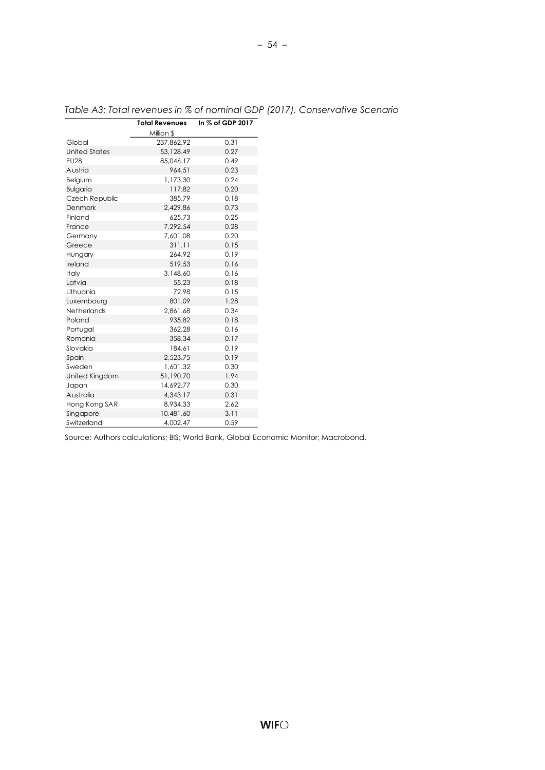|                      | <b>Total Revenues</b> | In % of GDP 2017 |  |  |
|----------------------|-----------------------|------------------|--|--|
|                      | Million \$            |                  |  |  |
| Global               | 237,862.92            | 0.31             |  |  |
| <b>United States</b> | 53,128.49             | 0.27             |  |  |
| <b>EU28</b>          | 85,046.17             | 0.49             |  |  |
| Austria              | 964.51                | 0.23             |  |  |
| Belgium              | 1,173.30              | 0.24             |  |  |
| <b>Bulgaria</b>      | 117.82                | 0.20             |  |  |
| Czech Republic       | 385.79                | 0.18             |  |  |
| Denmark              | 2.429.86              | 0.73             |  |  |
| Finland              | 625.73                | 0.25             |  |  |
| France               | 7,292.54              | 0.28             |  |  |
| Germany              | 7,601.08              | 0.20             |  |  |
| Greece               | 311.11                | 0.15             |  |  |
| Hungary              | 264.92                | 0.19             |  |  |
| Ireland              | 519.53                | 0.16             |  |  |
| Italy                | 3,148.60              | 0.16             |  |  |
| Latvia               | 55.23                 | 0.18             |  |  |
| Lithuania            | 72.98                 | 0.15             |  |  |
| Luxembourg           | 801.09                | 1.28             |  |  |
| Netherlands          | 2.861.68              | 0.34             |  |  |
| Poland               | 935.82                | 0.18             |  |  |
| Portugal             | 362.28                | 0.16             |  |  |
| Romania              | 358.34                | 0.17             |  |  |
| Slovakia             | 184.61                | 0.19             |  |  |
| Spain                | 2.523.75              | 0.19             |  |  |
| Sweden               | 1,601.32              | 0.30             |  |  |
| United Kingdom       | 51,190.70             | 1.94             |  |  |
| Japan                | 14,692.77             | 0.30             |  |  |
| Australia            | 4,343.17              | 0.31             |  |  |
| Hong Kong SAR        | 8,934.33              | 2.62             |  |  |
| Singapore            | 10,481.60             | 3.11             |  |  |
| Switzerland          | 4,002.47              | 0.59             |  |  |

# *Table A3: Total revenues in % of nominal GDP (2017), Conservative Scenario*

Source: Authors calculations; BIS; World Bank, Global Economic Monitor; Macrobond.